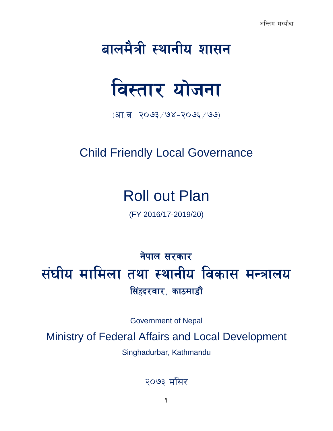# बालमैत्री स्थानीय शासन



 $(31.7 - 3093/98 - 3095/99)$ 

# Child Friendly Local Governance

# Roll out Plan

(FY 2016/17-2019/20)

# नेपाल सरकार संघीय मामिला तथा स्थानीय विकास मन्त्रालय सिंहदरवार, काठमाडौं

Government of Nepal

Ministry of Federal Affairs and Local Development

Singhadurbar, Kathmandu

२०७३ मंसिर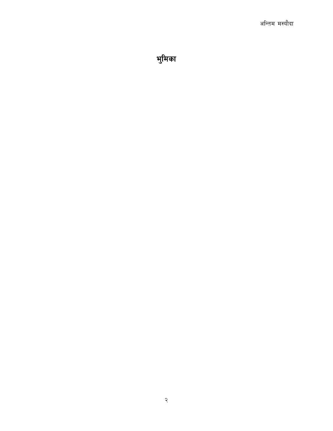भुमिका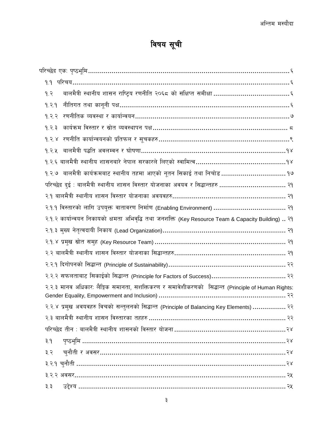# विषय सूची

| 9.3                                                                                                |
|----------------------------------------------------------------------------------------------------|
| 9.3.9                                                                                              |
| 9.3.3                                                                                              |
| कार्यक्रम विस्तार र स्रोत व्यवस्थापन पक्ष………………………………………………………… ८<br>9.3.3                         |
|                                                                                                    |
| 9.3.4                                                                                              |
|                                                                                                    |
|                                                                                                    |
| परिच्छेद दुई : बालमैत्री स्थानीय शासन विस्तार योजनाका अवयव र सिद्धान्तहरु  २१                      |
|                                                                                                    |
|                                                                                                    |
| २.१.२ कार्यान्वयन निकायको क्षमता अभिवृद्धि तथा जनशक्ति (Key Resource Team & Capacity Building)  २१ |
|                                                                                                    |
|                                                                                                    |
|                                                                                                    |
|                                                                                                    |
|                                                                                                    |
| २.२.३ मानव अधिकार: लैङ्गिक समानता, सशक्तिकरण र समावेशीकरणको सिद्धान्त (Principle of Human Rights:  |
| २.२.४ प्रमुख अवयवहरु विचको सन्तुलनको सिद्धान्त (Principle of Balancing Key Elements)  २२           |
|                                                                                                    |
|                                                                                                    |
| ३.१                                                                                                |
| ३.२                                                                                                |
|                                                                                                    |
|                                                                                                    |
| ३.३                                                                                                |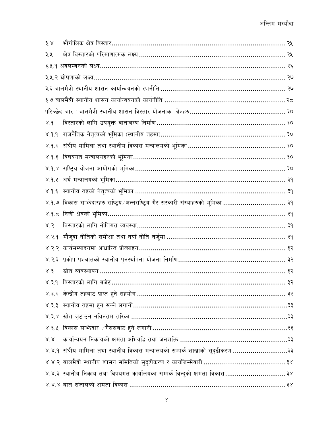| 3.8                   |                                                                                     |
|-----------------------|-------------------------------------------------------------------------------------|
| ३.५                   |                                                                                     |
|                       | ३.५.१ अवलम्वनको लक्ष्य…………………………………………………………………………………… २६                           |
|                       |                                                                                     |
|                       |                                                                                     |
|                       |                                                                                     |
|                       | परिच्छेद चार : बालमैत्री स्थानीय शासन विस्तार योजनाका क्षेत्रहरु………………………………………… ३० |
| $\gamma$ .9           | विस्तारको लागि उपयुक्त वातावरण निर्माण……………………………………………………… ३०                      |
| 9.9.8                 |                                                                                     |
|                       |                                                                                     |
|                       |                                                                                     |
|                       |                                                                                     |
|                       | ४.१.५  अर्थ मन्त्रालयको भूमिका…………………………………………………………………………… ३१                      |
|                       |                                                                                     |
|                       | ४.१.७ विकास साभेदारहरु राष्ट्रिय ⁄अन्तराष्ट्रिय गैर सरकारी संस्थाहरुको भूमिका  ३१   |
|                       |                                                                                     |
| 8.5                   |                                                                                     |
| 8.3.9                 |                                                                                     |
|                       | ४.२.२  कार्यसम्पादनमा आधारित प्रोत्साहन……………………………………………………………… ३२                  |
|                       |                                                                                     |
| 8.3                   |                                                                                     |
|                       |                                                                                     |
|                       |                                                                                     |
|                       |                                                                                     |
|                       |                                                                                     |
|                       |                                                                                     |
| $\lambda^{'},\lambda$ |                                                                                     |
|                       | ४.४.१ संघीय मामिला तथा स्थानीय विकास मन्त्रालयको सम्पर्क शाखाको सुदृढीकरण ३३        |
|                       |                                                                                     |
|                       | ४.४.३ स्थानीय निकाय तथा विषयगत कार्यालयका सम्पर्क विन्दुको क्षमता विकास३४           |
|                       |                                                                                     |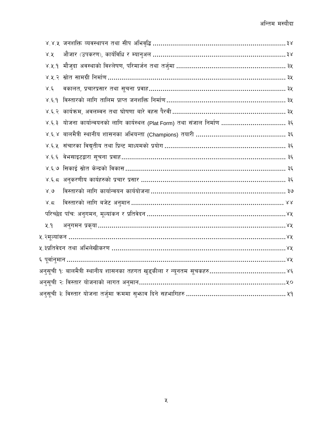| ४.४.५  जनशक्ति  व्यवस्थापन  तथा  सीप  अभिवृद्धि ………………………………………………………………… ३४ |  |
|------------------------------------------------------------------------------|--|
| X, X                                                                         |  |
|                                                                              |  |
| ४.५.२  स्रोत  सामग्री  निर्माण ……………………………………………………………………………… ३५             |  |
| वकालत, प्रचारप्रसार तथा सूचना प्रवाह…………………………………………………………… ३५<br>8.5        |  |
| ४.६.१  विस्तारको लागि तालिम प्राप्त जनशक्ति निर्माण…………………………………………………… ३५   |  |
|                                                                              |  |
| ४.६.३ योजना कार्यान्वयनको लागि कार्यस्थल (Plat Form) तथा संजाल निर्माण  ३६   |  |
|                                                                              |  |
|                                                                              |  |
| ४.६.६  वेभसाइटद्वारा सूचना प्रवाह……………………………………………………………………… ३६              |  |
|                                                                              |  |
|                                                                              |  |
| 8.6                                                                          |  |
| 8.5                                                                          |  |
|                                                                              |  |
| 4.9                                                                          |  |
|                                                                              |  |
|                                                                              |  |
|                                                                              |  |
|                                                                              |  |
|                                                                              |  |
|                                                                              |  |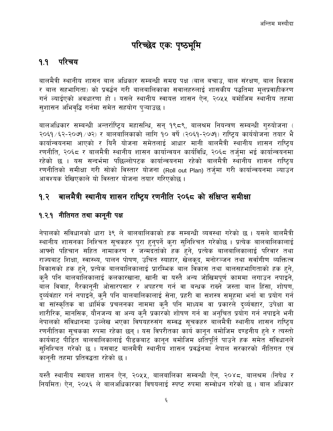## परिच्छेद एकः पृष्ठभूमि

#### <span id="page-5-1"></span><span id="page-5-0"></span>१.१ परिचय

बालमैत्री स्थानीय शासन बाल अधिकार सम्बन्धी समग्र पक्ष (बाल बचाउ, बाल संरक्षण, बाल विकास र बाल सहभागिता) को प्रवर्द्धन गरी बालबालिकाका सवालहरुलाई शासकीय पद्धतिमा मलप्रवाहीकरण गर्न ल्याईएको अवधारणा हो । यसले स्थानीय स्वायत्त शासन ऐन, २०५५ बमोजिम स्थानीय तहमा सशासन अभिवृद्धि गर्नमा समेत सहयोग प्ऱ्याउछ ।

बालअधिकार सम्बन्धी अन्तर्राष्ट्रिय महासन्धि, सन् १९८९, बालश्रम नियन्त्रण सम्बन्धी गुरुयोजना ( २०६१ /६२-२०७१ /७२) र बालबालिकाको लागि १० वर्षे (२०६१-२०७१) राष्ट्रिय कार्ययोजना तयार भै कार्यान्वयनमा आएको र यिनै योजना समेतलाई आधार मानी बालमैत्री स्थानीय शासन राष्ट्रिय रणनीति, २०६८ र बालमैत्री स्थानीय शासन कार्यान्वयन कार्यविधि, २०६८ तर्जुमा भई कार्यान्वयनमा रहेको छ । यस सन्दर्भमा पछिल्लोपटक कार्यान्वयनमा रहेको बालमैत्री स्थानीय शासन राष्ट्रिय रणनीतिको समीक्षा गरी सोको विस्तार योजना (Roll out Plan) तर्जुमा गरी कार्यान्वयनमा ल्याउन आवश्यक देखिएकाले यो विस्तार योजना तयार गरिएकोछ ।

#### <span id="page-5-2"></span>बालमैत्री स्थानीय शासन राष्ट्रिय रणनीति २०६८ को संक्षिप्त समीक्षा  $9.3$

#### <span id="page-5-3"></span>१.२.१ नीतिगत तथा कानूनी पक्ष

नेपालको संविधानको धारा ३९ ले बालबालिकाको हक सम्बन्धी व्यवस्था गरेको छ । यसले बालमैत्री स्थानीय शासनका निश्चित सूचकहरु पूरा हुनुपर्ने कुरा सुनिश्चित गरेकोछ । प्रत्येक बालबालिकालाई आफ्नो पहिचान सहित नामाकरण र<sup>ें</sup>जन्मदर्ताको हक हुने, प्रत्येक बालबालिकालाई परिवार तथा राज्यबाट शिक्षा, स्वास्थ्य, पालन पोषण, उचित स्याहार, खेलकूद, मनोरञ्जन तथा सर्वांगीण व्यक्तित्व विकासको हक हुने, प्रत्येक बालबालिकालाई प्रारम्भिक बाल विकास तथा बालसहभागिताको हक हुने, क्नै पनि बालबालिकालाई कलकारखाना, खानी वा यस्तै अन्य जोखिमपूर्ण काममा लगाउन नपाइने, बाल विवाह, गैरकानूनी ओसारपसार र अपहरण गर्न वा बन्धक राख्ने जस्ता बाल हिंसा, शोषण, द्व्यंवंहार गर्न नपाइने, क्नै पनि बालबालिकालाई सेना, प्रहरी वा सशस्त्र समूहमा भर्ना वा प्रयोग गर्न वा सांस्कृतिक वा धार्मिक प्रचलनका नाममा क्नै पनि माध्यम वा प्रकारले द्व्यंवहार, उपेक्षा वा शारीरिक, मानसिक, यौनजन्य वा अन्य कुनै प्रकारको शोषण गर्न वा अनुचित प्रयोग गर्न नपाइने भनी नेपालको संविधानमा उल्लेख भएका विषयहरुसंग सम्वद्ध सूचकहरु बालमैत्री स्थानीय शासन राष्ट्रिय रणनीतिका सूचकका रुपमा रहेका छन् । यस विपरीतका कार्य कानून बमोजिम दण्डनीय हुने र त्यस्तो कार्यबाट पीडित बालबालिकालाई पीडकबाट कानुन बमोजिम क्षतिपुर्ति पाउने हक समेत संविधानले सनिश्चित गरेको छ । यसवाट बालमैत्री स्थानीय शासन प्रवर्द्धनमा नेपाल सरकारको नीतिगत एवं कानुनी तहमा प्रतिवद्धता रहेको छ।

यस्तै स्थानीय स्वायत्त शासन ऐन, २०५५, बालबालिका सम्वन्धी ऐन, २०४८, बालश्रम (निषेध र नियमित) ऐन, २०५६ ले बालअधिकारका विषयलाई स्पष्ट रुपमा सम्वोधन गरेको छ । बाल अधिकार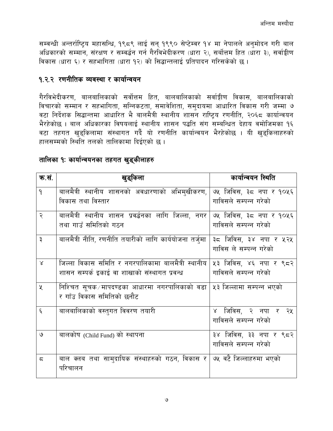सम्वन्धी अन्तर्राष्ट्रिय महासन्धि, १९८९ लाई सन् १९९० सेप्टेम्वर १४ मा नेपालले अनुमोदन गरी बाल अधिकारको सम्मान, संरक्षण र सम्वर्द्धन गर्न गैरविभेदीकरण (धारा २), सर्बोत्तम हित (धारा ३), सर्वाङ्घीण विकास (धारा ६) र सहभागिता (धारा १२) को सिद्धान्तलाई प्रतिपादन गरिसकेको छ ।

#### <span id="page-6-0"></span>१.२.२ रणनीतिक व्यवस्था र कार्यान्वयन

गैरविभेदीकरण, बालबालिकाको सर्वोत्तम हित, बालबालिकाको सर्वाङ्गीण विकास, बालबालिकाको विचारको सम्मान र सहभागिता, सन्निकटता, समावेशिता, समुदायमा आधारित विकास गरी जम्मा ७ वटा निर्देशक सिद्धान्तमा आधारित भै बालमैत्री स्थानीय शासन राष्ट्यि रणनीति, २०६८ कार्यान्वयन भैरहेकोछ । बाल अधिकारका विषयलाई स्थानीय शासन पद्धति संग सम्बन्धित देहाय वमोजिमका १६ वटा तहगत खुडुकिलामा संस्थागत गर्दै यो रणनीति कार्यान्वयन भैरहेकोछ । यी खुडुकिलाहरुको हालसम्मको स्थिति तलको तालिकामा दिईएको छ ।

|  | तालिका १: कार्यान्वयनका तहगत खुड्कीलाहरु |  |
|--|------------------------------------------|--|
|  |                                          |  |

| क.सं.              | खुड्किला                                                                                                  | कार्यान्वयन स्थिति                               |
|--------------------|-----------------------------------------------------------------------------------------------------------|--------------------------------------------------|
| $\mathsf{P}$       | बालमैत्री स्थानीय शासनको अवधारणाको अभिमुखीकरण,<br>विकास तथा विस्तार                                       | ७५ जिविस, ३८ नपा र १०५६<br>गाविसले सम्पन्न गरेको |
| २                  | बालमैत्री स्थानीय शासन प्रवर्द्धनका लागि जिल्ला, नगर<br>तथा गाउँ समितिको गठन                              | ७५ जिविस, ३८ नपा र १०५६<br>गाविसले सम्पन्न गरेको |
| ३                  | बालमैत्री नीति, रणनीति तयारीको लागि कार्ययोजना तर्जुमा                                                    | ३८ जिविस, ३४ नपा र ५२५<br>गाविस ले सम्पन्न गरेको |
| $\lambda$          | जिल्ला विकास समिति र नगरपालिकामा बालमैत्री स्थानीय $\mid$<br>शासन सम्पर्क इकाई वा शाखाको संस्थागत प्रवन्ध | ५३ जिविस, ४६ नपा र ९८२<br>गाविसले सम्पन्न गरेको  |
| X                  | निश्चित सूचक⁄मापदण्डका आधारमा नगरपालिकाको वडा   ५३ जिल्लामा सम्पन्न भएको<br>र गाँउ विकास समितिको छनौट     |                                                  |
| $\boldsymbol{\xi}$ | बालबालिकाको वस्तुगत विवरण तयारी                                                                           | ४ जिविस, २ नपा र २५<br>गाविसले सम्पन्न गरेको     |
| ৩                  | बालकोष (Child Fund) को स्थापना                                                                            | ३४ जिविस, ३३ नपा र ९८२<br>गाविसले सम्पन्न गरेको  |
| ζ                  | बाल क्लब तथा सामुदायिक संस्थाहरुको गठन, विकास र   ७५ वटै जिल्लाहरुमा भएको<br>परिचालन                      |                                                  |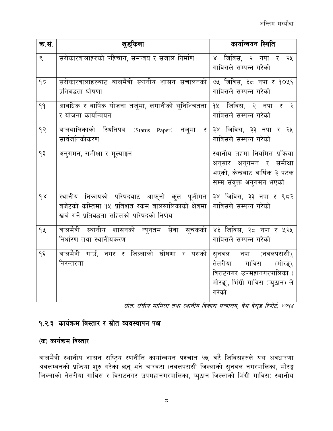| क.सं. | खुड्किला                                                                                                                                                                            | कार्यान्वयन स्थिति                                                                                                                |
|-------|-------------------------------------------------------------------------------------------------------------------------------------------------------------------------------------|-----------------------------------------------------------------------------------------------------------------------------------|
| ९     | सरोकारवालाहरुको पहिचान, समन्वय र संजाल निर्माण                                                                                                                                      | ४ जिविस, २ नपा र<br>२५<br>गाविसले सम्पन्न गरेको                                                                                   |
| 90    | सरोकारबालाहरुबाट बालमैत्री स्थानीय शासन संचालनको<br>प्रतिबद्धता घोषणा                                                                                                               | ७५ जिविस, ३८ नपा र १०५६<br>गाविसले सम्पन्न गरेको                                                                                  |
| 99    | आवधिक र वार्षिक योजना तर्जुमा, लगानीको सुनिश्चितता<br>र योजना कार्यान्वयन                                                                                                           | १५ जिविस, २ नपा र २<br>गाविसले सम्पन्न गरेको                                                                                      |
| 93    | बालबालिकाको स्थितिपत्र (Status Paper) तर्जुमा<br>_र  <br>सार्वजनिकीकरण                                                                                                              | ३४ जिविस, ३३ नपा र २५<br>गाविसले सम्पन्न गरेको                                                                                    |
| ٩₹    | अनुगमन, समीक्षा र मूल्याङ्कन                                                                                                                                                        | स्थानीय तहमा नियमित प्रक्रिया<br>अनुसार अनुगमन र समीक्षा<br>भएको, केन्द्रवाट वार्षिक ३ पटक<br>सम्म संयुक्त अनुगमन भएको            |
| 98    | स्थानीय निकायको परिषदबाट आफ्नो कुल पूंजीगत $ $ ३४ जिविस, ३३ नपा र ९८२<br>बजेटको कम्तिमा १५ प्रतिशत रकम बालबालिकाको क्षेत्रमा $\mid$<br>खर्च गर्ने प्रतिवद्धता सहितको परिषदको निर्णय | गाविसले सम्पन्न गरेको                                                                                                             |
| 92    | बालमैत्री स्थानीय शासनको न्यूनतम सेवा सूचकको<br>निर्धारण तथा स्थानीयकरण                                                                                                             | ४३ जिविस, २८ नपा र ५२५<br>गाविसले सम्पन्न गरेको                                                                                   |
| १६    | बालमैत्री गाउँ, नगर र जिल्लाको घोषणा र यसको<br>निरन्तरता                                                                                                                            | सुनवल नपा (नवलपरासी),<br>(मोरङ्),<br>तेतरीया<br>गाविस<br>विराटनगर उपमहानगरपालिका (<br>मोरङ्), भिंग्री गाविस (प्यूठान) ले<br>गरेको |

.<br>स्रोत: संघीय मामिला तथा स्थानीय विकास मन्त्रालय, वेभ वेस्इ रिपोर्ट, २०१४ |

#### <span id="page-7-0"></span>१.२.३ कार्यक्रम विस्तार र स्रोत व्यवस्थापन पक्ष

#### (क) कार्यक्रम विस्तार

बालमैत्री स्थानीय शासन राष्ट्रिय रणनीति कार्यान्वयन पश्चात ७५ वटै जिविसहरुले यस अवधारणा<br>अवलम्वनको प्रक्रिया शुरु गरेका छन् भने चारवटा (नवलपरासी जिल्लाको सुनवल नगरपालिका, मोरङ्ग जिल्लाको तेतरीया गाविस र विराटनगर उपमहानगरपालिका, प्यूठान जिल्लाको भिंग्री गाविस) स्थानीय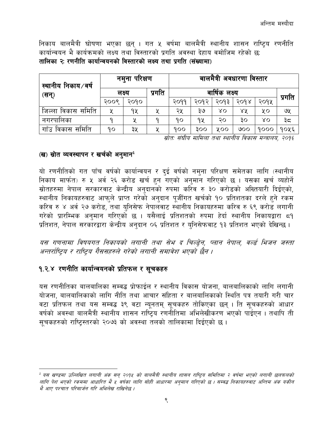निकाय बालमैत्री घोषणा भएका छन् । गत ५ वर्षमा बालमैत्री स्थानीय शासन राष्ट्रिय रणनीति कार्यान्वयन भै कार्यक्रमको लक्ष्य तथा विस्तारको प्रगति अवस्था देहाय वमोजिम रहेको छ: तालिका २: रणनीति कार्यान्वयनको विस्तारको लक्ष्य तथा प्रगति (संख्यामा)

| स्थानीय निकाय ∕वर्ष      |        | नमुना परिक्षण |        | बालमैत्री अवधारणा विस्तार |      |      |                    |             |      |
|--------------------------|--------|---------------|--------|---------------------------|------|------|--------------------|-------------|------|
| (सन्)                    | लक्ष्य |               | प्रगति | वार्षिक लक्ष्य            |      |      |                    | प्रगति      |      |
|                          | २००९   | २०१०          |        | २०११                      | २०१२ | २०१३ | $30d$ <sub>x</sub> | २०१५        |      |
| समिति<br>विकास<br>जिल्ला | ५      | १५            |        | २५                        | ३७   | ४०   | ४५                 | ५०          | ७५   |
| नगरपालिका                |        |               |        | १०                        | १५   | २०   | ЗO                 | $\lambda$ O | ३≂   |
| गाँउ<br>समिति<br>विकास   | ۹ο     | ३५            |        | 900                       | ३००  | 8 OO | ७००                | 9000        | १०५६ |

स्रोत: संघीय मामिला तथा स्थानीय विकास मन्त्रालय, २०१६

#### (ख) स्रोत व्यवस्थापन र खर्चको अनुमान<sup>1</sup>

यो रणनीतिको गत पाँच वर्षको कार्यान्वयन र दई वर्षको नम्ना परिक्षण समेतका लागि (स्थानीय निकाय मार्फत) रु ५ अर्व २६ करोड खर्च हुन गएको अनुमान गरिएको छ । यसका खर्च व्यहोर्ने स्रोतहरुमा नेपाल सरकारवाट केन्द्रीय अनुदानको रुपमा कारेव रु ३० करोडको अख्तियारी दिईएको, स्थानीय निकायहरुवाट आफुले प्राप्त गरेको अनुदान पूजीँगत खर्चको १० प्रतिशतका दरले हुने रकम करिव रु ४ अर्व २७ करोड, तथा युनिसेफ नेपालवाट स्थानीय निकायहरुमा करिव रु ६९ करोड लगानी गरेको प्रारम्भिक अनुमान गरिएको छ । यसैलाई प्रतिशतको रुपमा हेर्दा स्थानीय निकायद्वारा ८१ प्रतिशत, नेपाल सरकारद्वारा केन्द्रीय अनुदान ०६ प्रतिशत र युनिसेफवाट १३ प्रतिशत भएको देखिन्छ ।

यस गणनामा विषयगत निकायको लगानी तथा सेभ द चिल्ड़ेन, प्लान नेपाल, वर्ल्ड भिजन जस्ता अन्तर्राष्टिय र राष्टिय गैससहरुले गरेको लगानी समावेश भएको छैन ।

#### <span id="page-8-0"></span>१.२.४ रणनीति कार्यान्वयनको प्रतिफल र सूचकहरु

यस रणनीतिका बालबालिका सम्वद्ध प्रोफाईल र स्थानीय विकास योजना, बालबालिकाको लागि लगानी योजना, बालबालिकाको लागि नीति तथा आचार संहिता र बालबालिकाको स्थिति पत्र तयारी गरी चार वटा प्रतिफल तथा यस सम्वद्ध ३९ वटा न्यूनतम् सूचकहरु तोकिएका छन् । ति सूचकहरुको आधार वर्षको अवस्था बालमैत्री स्थानीय शासन राष्ट्रिय रणनोतिमा अभिलेखीकरण भएको पाईएन । तथापि ती सुचकहरुको राष्ट्रिस्तरको २०७३ को अवस्था तलको तालिकामा दिईएको छ।

<sup>&</sup>lt;sup>1</sup> यस खण्डमा उल्लिखित लगानी अंक सन् २०१४ को बालमैत्री स्थानीय शासन राष्ट्रिय समितिमा २ वर्षमा भएको लगानी छलफलको लागि पेश भएको रकममा आधारित भै ५ वर्षका लागि सोही आधारमा अनुमान गरिएको छ । सम्वद्ध निकायहरुवाट अन्तिम अंक यकीन भै आए पश्चात परिमार्जन गरि अभिलेख राखिनेछ ।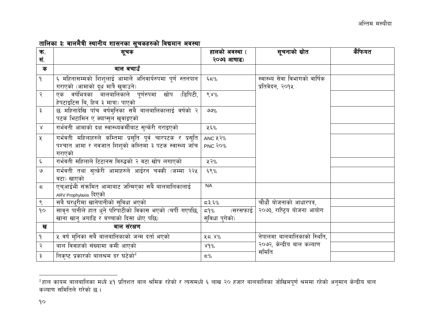#### तालिका ३: बालमैत्री स्थानीय शासनका सचकहरुको विद्यमान अवस्था

| ক.<br>सं.                | सूचक                                                                                                                          | हालको अवस्था (<br>२०७३ आषाढ)      | सूचनाको स्रोत                                     | कैफियत |
|--------------------------|-------------------------------------------------------------------------------------------------------------------------------|-----------------------------------|---------------------------------------------------|--------|
| क                        | बाल बचाउँ                                                                                                                     |                                   |                                                   |        |
| $\mathsf{P}$             | ६ महिनासम्मको शिशुलाई आमाले अनिवार्यरुपमा पूर्ण स्तनपान<br>गराएको (आमाको दूध मात्रै खुवाउने)                                  | $\xi \in \mathcal{C}$             | स्वास्थ्य सेवा विभागको वार्षिक<br>प्रतिवेदन, २०१५ |        |
| $\overline{\mathcal{E}}$ | एक वर्षभित्रका बालबालिकाले पूर्णरुपमा खोप (डिपिटी,<br>हेपटाइटिस बि, हिब ३ मात्रा) पाएको                                       | $68\%$                            |                                                   |        |
| ३                        | छ महिनादेखि पाँच वर्षमुनिका सबै बालबालिकालाई वर्षको २<br>पटक भिटामिन ए क्याप्सुल खुवाइएको                                     | $9\%$                             |                                                   |        |
| $\propto$                | गर्भवती आमाको दक्ष स्वास्थ्यकर्मीबाट सुत्केरी गराइएको                                                                         | ५६%                               |                                                   |        |
| $\chi$                   | गर्भवती महिलाहरुले कम्तिमा प्रसूति पूर्व चारपटक र प्रसूति<br>पश्चात आमा र नवजात शिशुको कम्तिमा ३ पटक स्वास्थ्य जाँच<br>गराएको | ANC 43%<br>PNC RO <sub>%</sub>    |                                                   |        |
| $\boldsymbol{\xi}$       | गर्भवती महिलाले टिटानस विरुद्धको २ वटा खोप लगाएको                                                                             | ५२%                               |                                                   |        |
| $\mathsf{G}$             | गर्भवती तथा सुत्केरी आमाहरुले आईरन चक्की (जम्मा २२५<br>वटा) खाएको                                                             | ६९%                               |                                                   |        |
| $\overline{\varsigma}$   | एचुआईभी संक्रमित आमाबाट जन्मिएका सबै बालबालिकालाई<br>ARV Prophylaxis दिएको                                                    | <b>NA</b>                         |                                                   |        |
| $\varsigma$              | सबै घरधरीमा खानेपानीको सुविधा भएको                                                                                            | 5,55                              | चौधौं योजनाको आधारपत्र,                           |        |
| 90                       | सावुन पानीले हात धुने परिपाटीको विकास भएको (चर्पी गएपछि,<br>खाना खान् अगाडि र बच्चाको दिसा धोए पछि)                           | (सरसफाई  <br>≂9%<br>सविधा पुगेको) | २०७३, राष्ट्रिय योजना आयोग                        |        |
| ख                        | बाल संरक्षण                                                                                                                   |                                   |                                                   |        |
| $\mathbf{P}$             | ५ वर्ष मुनिका सबै बालबालिकाको जन्म दर्ता भएको                                                                                 | 25.8%                             | नेपालमा बालबालिकाको स्थिति,                       |        |
| २                        | बाल विवाहको संख्यामा कमी आएको                                                                                                 | 84%                               | २०७२, केन्द्रीय बाल कल्याण                        |        |
| ३                        | निकृष्ट प्रकारको बालश्रम दर घटेको <sup>2</sup>                                                                                | $\varsigma$ %                     | समिति                                             |        |

<sup>&</sup>lt;sup>2</sup>हाल कायम बालबालिका मध्ये <mark>५१</mark> प्रतिशत बाल श्रमिक रहेको र त्यसमध्ये ६ लाख २० हजार बालबालिका जोखिमपूर्ण श्रममा रहेको अनुमान केन्द्रीय बाल कल्याण समितिले गरेको छ।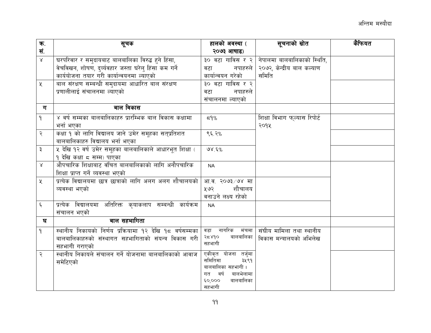| ক.                    | सूचक                                                     | हालको अवस्था (                        | सूचनाको स्रोत                                  | कैफियत |
|-----------------------|----------------------------------------------------------|---------------------------------------|------------------------------------------------|--------|
| सं.                   |                                                          | २०७३ आषाढ)                            |                                                |        |
| $\propto$             | घरपरिवार र समुदायबाट बालबालिका विरुद्ध हुने हिंसा,       |                                       | ३० वटा गाविस र २   नेपालमा बालबालिकाको स्थिति, |        |
|                       | वेचविखन, शोषण, दुर्व्यवहार जस्ता घरेलु हिंसा कम गर्ने    | नपाहरुले  <br>वटा                     | २०७२, केन्द्रीय बाल कल्याण                     |        |
|                       | कार्ययोजना तयार गरी कार्यान्वयनमा ल्याएको                | कार्यान्वयन गरेको                     | समिति                                          |        |
| $\mathbf{\mathsf{X}}$ | बाल संरक्षण सम्बन्धी समुदायमा आधारित बाल संरक्षण         | ३० वटा गाविस र २                      |                                                |        |
|                       | प्रणालीलाई संचालनमा ल्याएको                              | नपाहरुले<br>वटा                       |                                                |        |
|                       |                                                          | संचालनमा ल्याएको                      |                                                |        |
| ग                     | बाल विकास                                                |                                       |                                                |        |
| $\mathsf{P}$          | ४ वर्ष सम्मका बालबालिकाहरु प्रारम्भिक बाल विकास कक्षामा  | 59%                                   | शिक्षा विभाग फल्यास रिपोर्ट                    |        |
|                       | भर्ना भएका                                               |                                       | २०१५                                           |        |
| २                     | कक्षा १ को लागि विद्यालय जाने उमेर समूहका सत्प्रतिशत     | ९६.२%                                 |                                                |        |
|                       | बालबालिकाहरु विद्यालय भर्ना भएका                         |                                       |                                                |        |
| ३                     | ५ देखि १२ वर्ष उमेर समूहका बालबालिकाले आधारभूत शिक्षा (  | 98.5%                                 |                                                |        |
|                       | १ देखि कक्षा ८ सम्म) पाएका                               |                                       |                                                |        |
| $\lambda$             | औपचारिक शिक्षाबाट वंचित बालबालिकाको लागि अनौपचारिक       | <b>NA</b>                             |                                                |        |
|                       | शिक्षा प्राप्त गर्ने व्यवस्था भएको                       |                                       |                                                |        |
| $\chi$                | प्रत्येक विद्यालयमा छात्र छात्राको लागि अलग अलग शौचालयको | आ.व. २०७३/७४ मा                       |                                                |        |
|                       | व्यवस्था भएको                                            | शौचालय<br>प्र ७२                      |                                                |        |
|                       |                                                          | वनाउने लक्ष्य रहेको                   |                                                |        |
| $\boldsymbol{\xi}$    | प्रत्येक विद्यालयमा अतिरिक्त कृयाकलाप सम्बन्धी कार्यक्रम | <b>NA</b>                             |                                                |        |
|                       | संचालन भएको                                              |                                       |                                                |        |
| घ                     | बाल सहभागिता                                             |                                       |                                                |        |
| ۹                     | स्थानीय निकायको निर्णय प्रक्रियामा १२ देखि १८ वर्षसम्मका | वडा नागरिक मंचमा                      | संघीय मामिला तथा स्थानीय                       |        |
|                       | बालबालिकाहरुको संस्थागत सहभागिताको संयन्त्र विकास गरी    | वालबालिका<br>२८४१०<br>सहभागी          | विकास मन्त्रालयको अभिलेख                       |        |
|                       | सहभागी गराएको                                            |                                       |                                                |        |
| २                     | स्थानीय निकायले संचालन गर्ने योजनामा बालबालिकाको आवाज    | एकीकृत योजना तर्जुमा                  |                                                |        |
|                       | समेटिएको                                                 | समितिमा<br>३५९१<br>बालबालिका सहभागी । |                                                |        |
|                       |                                                          | वर्ष<br>बालभेलामा<br>गत               |                                                |        |
|                       |                                                          | बालबालिका<br>60,000                   |                                                |        |
|                       |                                                          | सहभागी                                |                                                |        |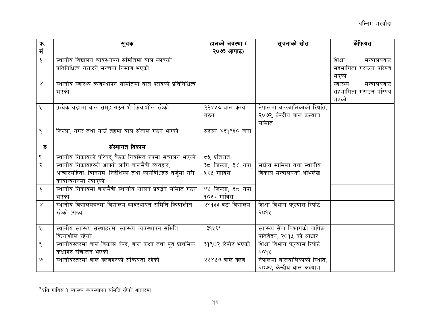| ক.                    | सूचक                                                          | हालको अवस्था (         | सूचनाको स्रोत                  | कैफियत                    |
|-----------------------|---------------------------------------------------------------|------------------------|--------------------------------|---------------------------|
| सं.                   |                                                               | २०७३ आषाढ)             |                                |                           |
| ३                     | स्थानीय विद्यालय व्यवस्थापन समितिमा बाल क्लवको                |                        |                                | शिक्षा<br>मन्त्रालयवाट    |
|                       | प्रतिनिधित्व गराउने संरचना निर्माण भएको                       |                        |                                | सहभागिता गराउन परिपत्र    |
|                       |                                                               |                        |                                | भएको                      |
| $\lambda$             | स्थानीय स्वास्थ्य व्यवस्थापन समितिमा बाल क्लवको प्रतिनिधित्व  |                        |                                | स्वास्थ्य<br>मन्त्रालयवाट |
|                       | भएको                                                          |                        |                                | सहभागिता गराउन परिपत्र    |
|                       |                                                               |                        |                                | भएको                      |
| $\chi$                | प्रत्येक वडामा बाल समूह गठन भै क्रियाशील रहेको                | २२४५७ बाल क्लव         | नेपालमा बालबालिकाको स्थिति,    |                           |
|                       |                                                               | गठन                    | २०७२, केन्द्रीय बाल कल्याण     |                           |
|                       |                                                               |                        | समिति                          |                           |
| ६                     | जिल्ला, नगर तथा गाउँ तहमा बाल संजाल गठन भएको                  | सदस्य ४३१९६० जना       |                                |                           |
|                       |                                                               |                        |                                |                           |
| ङ                     | संस्थागत विकास                                                |                        |                                |                           |
| $\mathsf{P}$          | स्थानीय निकायको परिषद् बैठक नियमित रुपमा संचालन भएको          | <i>८</i> ५ प्रतिशत     |                                |                           |
| २                     | स्थानीय निकायहरुले आफ्नो लागि बालमैत्री व्यवहार,              | ३८ जिल्ला, ३४ नपा, $ $ | संघीय मामिला तथा स्थानीय       |                           |
|                       | आचारसंहिता, विनियम, निर्देशिका तथा कार्यविधिहरु तर्जुमा गरी   | ५२५ गाविस              | विकास मन्त्रालयको अभिलेख       |                           |
|                       | कार्यान्वयनमा ल्याएको                                         |                        |                                |                           |
| ३                     | स्थानीय निकायमा बालमैत्री स्थानीय शासन प्रवर्द्धन समिति गठन   | ७५ जिल्ला, ३८ नपा,     |                                |                           |
|                       | भएको                                                          | १०५६ गाविस             |                                |                           |
| $\lambda$             | स्थानीय विद्यालयहरुमा विद्यालय व्यवस्थापन समिति क्रियाशील     | २९१३३ वटा विद्यालय     | शिक्षा विभाग फुल्यास रिपोर्ट   |                           |
|                       | रहेको (संख्या)                                                |                        | २०१५                           |                           |
|                       |                                                               |                        |                                |                           |
| $\mathbf{\mathsf{X}}$ | स्थानीय स्वास्थ्य संस्थाहरुमा स्वास्थ्य व्यवस्थापन समिति      | ३१५६ <sup>3</sup>      | स्वास्थ्य सेवा विभागको वार्षिक |                           |
|                       | कियाशील रहेको                                                 |                        | प्रतिवेदन, २०१५ को आधार        |                           |
| $\boldsymbol{\xi}$    | स्थानीयस्तरमा बाल विकास केन्द्र, बाल कक्षा तथा पूर्व प्राथमिक | ३१९०२ रिपोर्ट भएको     | शिक्षा विभाग फुल्यास रिपोर्ट   |                           |
|                       | कक्षाहरु संचालन भएको                                          |                        | २०१५                           |                           |
| ও                     | स्थानीयस्तरमा बाल क्लवहरुको सक्रियता रहेको                    | २२४५७ बाल क्लव         | नेपालमा बालबालिकाको स्थिति,    |                           |
|                       |                                                               |                        | २०७२, केन्द्रीय बाल कल्याण     |                           |

 $^3$ प्रति गाविस १ स्वास्थ्य व्यवस्थापन समिति रहेको आधारमा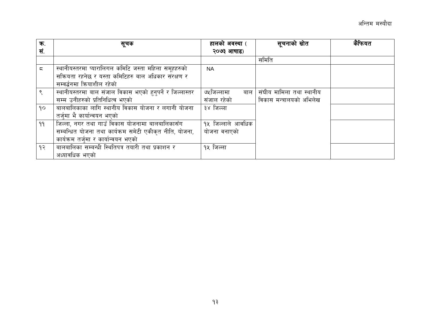| ক.  | सूचक                                                      | हालको अवस्था (      | सूचनाको स्रोत            | कैफियत |
|-----|-----------------------------------------------------------|---------------------|--------------------------|--------|
| सं. |                                                           | २०७३ आषाढ)          |                          |        |
|     |                                                           |                     | समिति                    |        |
| ς   | स्थानीयस्तरमा प्यारालिगल कमिटि जस्ता महिला समूहहरुको      | <b>NA</b>           |                          |        |
|     | सक्रियता रहनेछ र यस्ता कमिटिहरु बाल अधिकार संरक्षण र      |                     |                          |        |
|     | सम्वर्द्धनमा क्रियाशील रहेको                              |                     |                          |        |
|     | स्थानीयस्तरमा बाल संजाल विकास भएको हुनुपर्ने र जिल्लास्तर | ७५जिल्लामा<br>बाल I | संघीय मामिला तथा स्थानीय |        |
|     | सम्म उनीहरुको प्रतिनिधित्व भएको                           | संजाल रहेको         | विकास मन्त्रालयको अभिलेख |        |
| 90  | बालबालिकाका लागि स्थानीय विकास योजना र लगानी योजना        | ३४ जिल्ला           |                          |        |
|     | तर्जुमा भै कार्यान्वयन भएको                               |                     |                          |        |
| ۹۹  | जिल्ला, नगर तथा गाउँ विकास योजनामा बालबालिकासँग           | १५ जिल्लाले आवधिक   |                          |        |
|     | सम्बन्धित योजना तथा कार्यक्रम समेटी एकीकृत नीति, योजना,   | योजना वनाएको        |                          |        |
|     | कार्यक्रम तर्जुमा र कार्यान्वयन भएको                      |                     |                          |        |
| १२  | बालबालिका सम्बन्धी स्थितिपत्र तयारी तथा प्रकाशन र         | १५ जिल्ला           |                          |        |
|     | अध्यावधिक भएको                                            |                     |                          |        |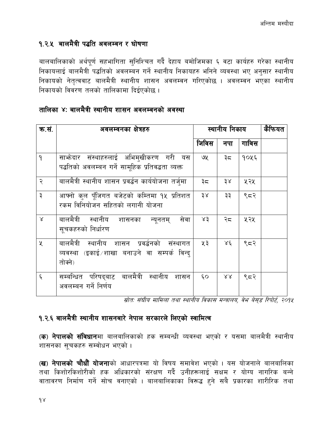#### <span id="page-13-0"></span>१.२.५ बालमैत्री पद्धति अवलम्वन र घोषणा

बालबालिकाको अर्थपर्ण सहभागिता सनिश्चित गर्दै देहाय बमोजिमका ६ वटा कार्यहरु गरेका स्थानीय निकायलाई बालमैत्री पद्धतिको अवलम्बन गर्ने स्थानीय निकायहरु भनिने व्यवस्था भए अनुसार स्थानीय निकायको नेतृत्ववाट बालमैत्री स्थानीय शासन अवलम्वन गरिएकोछ । अवलम्वन भएका स्थानीय निकायको विवरण तलको तालिकामा दिईएकोछ।

| क.सं.              | अवलम्वनका क्षेत्रहरु                                                                                    |       | स्थानीय निकाय |                        |  |
|--------------------|---------------------------------------------------------------------------------------------------------|-------|---------------|------------------------|--|
|                    |                                                                                                         | जिविस | नपा           | गाविस                  |  |
| $\mathsf{P}$       | साभ्रेदार संस्थाहरुलाई अभिमुखीकरण गरी यस<br>पद्धतिको अवलम्बन गर्ने सामूहिक प्रतिवद्धता व्यक्त           | ७५    | ३८            | १०५६                   |  |
| २                  | बालमैत्री स्थानीय शासन प्रवर्द्धन कार्ययोजना तर्ज्मा                                                    | ३८    | 38            | ५२५                    |  |
| $\vec{v}$          | आफ्नो कुल पुँजिगत बजेटको कम्तिमा १५ प्रतिशत<br>रकम विनियोजन सहितको लगानी योजना                          | 38    | ३३            | 552                    |  |
| $\propto$          | बालमैत्री स्थानीय शासनका न्यूनतम्<br>सेवा<br>सूचकहरुको निर्धारण                                         | 83    | २८            | ५२५                    |  |
| X                  | बालमैत्री स्थानीय शासन प्रवर्द्धनको संस्थागत<br>व्यवस्था (इकाई शाखा बनाउने वा सम्पर्क विन्द्<br>तोक्ने) | ५३    | $X\xi$        | ९८२                    |  |
| $\boldsymbol{\xi}$ | सम्बन्धित परिषद्बाट बालमैत्री स्थानीय शासन<br>अवलम्बन गर्ने निर्णय                                      | ξO    | 88            | $\zeta$ $\leq$ $\zeta$ |  |

#### तालिका ४: बालमैत्री स्थानीय शासन अवलम्वनको अवस्था

स्रोत: संघीय मामिला तथा स्थानीय विकास मन्त्रालय, वेभ बेसुड रिपोर्ट, २०१५

#### <span id="page-13-1"></span>१.२.६ बालमैत्री स्थानीय शासनबारे नेपाल सरकारले लिएको स्वामित्व

(क) नेपालको संविधानमा बालबालिकाको हक सम्बन्धी व्यवस्था भएको र यसमा बालमैत्री स्थानीय शासनका सुचकहरु सम्वोधन भएको ।

(ख) नेपालको चौधौँ योजनाको आधारपत्रमा यो विषय समावेश भएको । यस योजनाले बालबालिका तथा किशोरकिशोरीको हक अधिकारको संरक्षण गर्दै उनीहरूलाई सक्षम र योग्य नागरिक बन्ने वातावरण निर्माण गर्ने सोच वनाएको । बालबालिकाका विरूद्ध हुने सबै प्रकारका शारीरिक तथा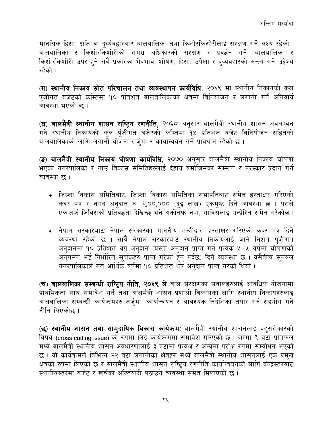मानसिक हिंसा, क्षति वा दर्व्यवहारबाट बालबालिका तथा किशोरकिशोरीलाई संरक्षण गर्ने लक्ष्य रहेको । बालबालिका र किशोरकिशोरीको समग्र अधिकारको संरक्षण र प्रवर्द्धन गर्ने, बालबालिका र किशोरकिशोरी उपर हुने सबै प्रकारका भेदभाव, शोषण, हिंसा, उपेक्षा र दुर्व्यवहारको अन्त्य गर्ने उद्देश्य रहेको ।

(ग) स्थानीय निकाय स्रोत परिचालन तथा व्यवस्थापन कार्यविधि, २०६९ मा स्थानीय निकायको कूल पजीँगत बजेटको कम्तिमा १० प्रतिशत बालबालिकाको क्षेत्रमा विनियोजन र लगानी गर्ने अनिवार्य व्यवस्था भएको छ ।

(घ) बालमैत्री स्थानीय शासन राष्ट्रिय रणनीति, २०६८ अनुसार बालमैत्री स्थानीय शासन अवलम्वन गर्ने स्थानीय निकायको कूल पूँजीगत बजेटको कम्तिमा <u>५</u>४ प्रतिशत वजेट विनियोजन सहितको बालबालिकाको लागि लगानी योजना तर्जमा र कार्यान्वयन गर्ने प्रावधान रहेको छ ।

(ङ) बालमैत्री स्थानीय निकाय घोषणा कार्यविधि, २०७० अनुसार बालमैत्री स्थानीय निकाय घोषणा भएका नगरपालिका र गाउँ विकास समितिहरुलाई देहाय वर्मोजिमको सम्मान र पुरस्कार प्रदान गर्ने व्यवस्था छ।

- जिल्ला विकास समितिबाट: जिल्ला विकास समितिका सभापतिबाट समेत हस्ताक्षर गरिएको कदर पत्र र नगद अनुदान रु. २,००,००० (दुई लाख) एकमुष्ट दिने व्यवस्था छ । यसले एकातर्फ जिविसको प्रतिवद्धता देखिन्छ भने अर्कोतर्फ नपा. गाविसलाई उत्प्रेरित समेत गरेकोछ ।
- नेपाल सरकारबाट: नेपाल सरकारका माननीय मन्त्रीद्वारा हस्ताक्षर गरिएको कदर पत्र दिने व्यवस्था रहेको छ । साथै नेपाल सरकारवाट स्थानीय निकायलाई जाने निशर्त पुँजीगत अनुदानमा १० प्रतिशत थप अनुदान (यस्तो अनुदान प्राप्त गर्न प्रत्येक ५ ∕ ५ वर्षमा घोषणाको अनुगमन भई निर्धारित सुचकहरु प्राप्त गरेको हुन् पर्दछ) दिने व्यवस्था छ । यसैवीच सुनवल नगरपालिकाले गत आर्थिक वर्षमा १० प्रतिशत थप अनुदान प्राप्त गरेको थियो ।

(च) बालबालिका सम्बन्धी राष्ट्रिय नीति, २०६९ ले बाल संरक्षणका सवालहरुलाई आवधिक योजनामा प्राथमिकता साथ समावेश गर्ने तथा बालमैत्री शासन प्रणाली विकासका लागि स्थानीय निकायहरुलाई बालवालिका सम्वन्धी कार्यक्रमहरु तर्जुमा, कार्यान्वयन र आवश्यक निर्देशिका तयार गर्न सहयोग गर्ने नीति लिएकोछ।

(छ) स्थानीय शासन तथा सामुदायिक विकास कार्यक्रमः बालमैत्री स्थानीय शासनलाई वहसरोकारको विषय (cross cutting issue) को रुपमा लिई कार्यक्रममा समावेश गरिएको छ। जम्मा ९ वटा प्रतिफल मध्ये बालमैत्री स्थानीय शासन अवधारणालाई ३ वटामा प्रत्यक्ष र अन्यमा परोक्ष रुपमा सम्वोधन भएको छ । यो कार्यक्रमले विभिन्न २२ वटा लगानीका क्षेत्रहरु मध्ये बालमैत्री स्थानीय शासनलाई एक प्रमुख क्षेत्रको रुपमा लिएको छ र बालमैत्री स्थानीय शासन राष्ट्रिय रणनीति कार्यान्वयनको लागि केन्द्रस्तरवाट स्थानीयस्तरमा बजेट र खर्चको अख्तियारी पठाउने व्यवस्था समेत मिलाएको छ ।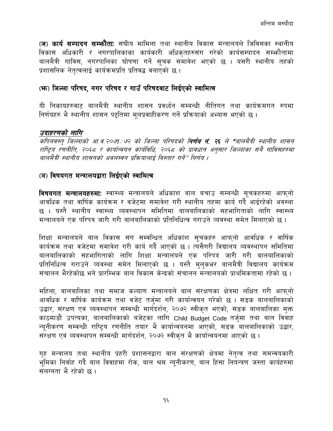(ज) कार्य सम्पादन सम्फौता: संघीय मामिला तथा स्थानीय विकास मन्त्रालयले जिविसका स्थानीय विकास अधिकारी र नगरपालिकाका कार्यकारी अधिकुतहरुसंग गरेको कार्यसम्पादन सम्फौतामा बालमैत्री गाविस, नगरपालिका घोषणा गर्ने सुचक समावेश भएको छ । यसरी स्थानीय तहको प्रशासनिक नेतत्वलाई कार्यक्रमप्रति प्रतिवद्ध वनाएको छ।

#### (फ) जिल्ला परिषद, नगर परिषद र गाउँ परिषदवाट लिईएको स्वामित्व

यी निकायहरुवाट बालमैत्री स्थानीय शासन प्रवर्ध्दन सम्बन्धी नीतिगत तथा कार्यक्रमगत रुपमा निर्णयहरु भै स्थानीय शासन पद्दतिमा मुलप्रवाहीकरण गर्ने प्रक्रियाको अभ्यास भएको छ।

#### उदाहरणको लागि

कपिलवस्त् जिल्लाको आ.व.२०७१/७२ को जिल्ला परिषदको **निर्णय नं. २६** ले "बालमैत्री स्थानीय शासन राष्ट्रिय रणनीति, २०६८ र कार्यान्वयन कार्यविधि, २०६८ को प्रावधान अनुसार जिल्लाका सबै गाविसहरुमा बालमैत्री स्थानीय शासनको अवलम्वन प्रक्रियालाई विस्तार गर्ने" निर्णय ।

#### (ञ) विषयगत मन्त्रालयद्वारा लिईएको स्वामित्व

विषयगत मन्त्रालयहरुमा: स्वास्थ्य मन्त्रालयले अधिकांश बाल बचाउ सम्बन्धी सुचकहरुमा आफुनो आवधिक तथा वार्षिक कार्यक्रम र वजेटमा समावेश गरी स्थानीय तहमा कार्य गर्दै<sup>ं</sup>आईरहेको अवस्था छ । यस्तै स्थानीय स्वास्थ्य व्यवस्थापन समितिमा बालबालिकाको सहभागिताको लागि स्वास्थ्य मन्त्रालयले एक परिपत्र जारी गरी बालबालिकाको प्रतिनिधित्व गराउने व्यवस्था समेत मिलाएको छ।

शिक्षा मन्त्रालयले बाल विकास संग सम्वन्धित अधिकांश सूचकहरु आफ्**नो आवधिक र वार्षि**क कार्यक्रम तथा वजेटमा समावेश गरी कार्य गर्दै आएको छ । त्यसैगरी विद्यालय व्यवस्थापन समितिमा बालबालिकाको सहभागिताको लागि शिक्षा मन्त्रालयले एक परिपत्र जारी गरी बालबालिकाको प्रतिनिधित्व गराउने व्यवस्था समेत मिलाएको छ । यस्तै मलकभर बालमैत्री विद्यालय कार्यक्रम संचालन भैरहेकोछ भने पारम्भिक बाल विकास केन्द्रको संचालन मन्त्रालयको पाथमिकतामा रहेको छ ।

महिला, बालबालिका तथा समाज कल्याण मन्त्रालयले बाल संरक्षणका क्षेत्रमा लक्षित गरी आफुनो आवधिक र वार्षिक कार्यक्रम तथा वजेट तर्जुमा गरी कार्यान्वयन गरेको छ । सडक बालबालिकाको उद्धार, संरक्षण एवं व्यवस्थापन सम्वन्धी मार्गदर्शन, २०७२ स्वीकत भएको, सडक बालबालिका मक्त काठमाडौं उपत्यका, बालबालिकाको बजेटका लागि Child Budget Code तर्जमा तथा बाल विवाह न्युनीकरण सम्वन्धी राष्ट्रिय रणनीति तयार भै कार्यान्वयनमा आएको, सडक बालबालिकाको उद्धार, संरक्षण एवं व्यवस्थापन सम्वन्धी मार्गदर्शन, २०७२ स्वीकृत भै कार्यान्वयनमा आएको छ।

गृह मन्त्रालय तथा स्थानीय प्रहरी प्रशासनद्वारा बाल संरक्षणको क्षेत्रमा नेतृत्व तथा समन्वयकारी भुमिका निर्वाह गर्दै बाल विवाहमा रोक, बाल श्रम न्यनीकरण, बाल हिंसा नियन्त्रण जस्ता कार्यहरुमा संलग्नता भै रहेको छ ।

 $9\xi$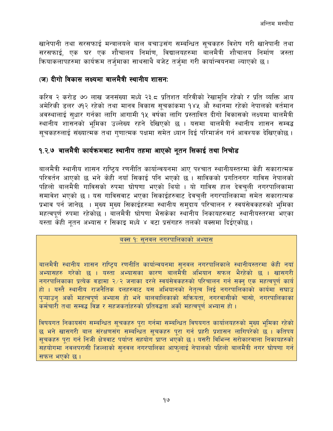खानेपानी तथा सरसफाई मन्त्रालयले बाल बचाउसंग सम्बन्धित सचकहरु विशेष गरी खानेपानी तथा सरसफाई, एक घर एक शौचालय निर्माण, विद्यालयहरुमा बालमैत्री शौचालय निर्माण जस्ता कियाकलापहरुमा कार्यक्रम तर्जमाका साथसाथै बजेट तर्जमा गरी कार्यान्वयनमा ल्याएको छ।

#### (ज) दीगो विकास लक्ष्यमा बालमैत्री स्थानीय शासनः

करिव २ करोड ७० लाख जनसंख्या मध्ये २३.८ प्रतिशत गरिवीको रेखामनि रहेको र प्रति व्यक्ति आय अमेरिकी डलर ७१२ रहेको तथा मानव विकास सुचकांकमा १४५ औ स्थानमा रहेको नेपालको वर्तमान अवस्थालाई सुधार गर्नका लागि आगामी १५ वर्षका लागि प्रस्तावित दीगो विकासको लक्ष्यमा बालमैत्री स्थानीय शासनको भूमिका उल्लेख्य रहने देखिएको छ । यसमा बालमैत्री स्थानीय शासन सम्वद्ध सचकहरुलाई संख्यात्मक तथा गुणात्मक पक्षमा समेत ध्यान दिई परिमार्जन गर्न आवश्यक देखिएकोछ ।

#### <span id="page-16-0"></span>१.२.७ बालमैत्री कार्यक्रमबाट स्थानीय तहमा आएको नूतन सिकाई तथा निचोड

बालमैत्री स्थानीय शासन राष्ट्रिय रणनीति कार्यान्वयनमा आए पश्चात स्थानीयस्तरमा केही सकारात्मक परिवर्तन आएको छ भने केही नयाँ सिकाई पनि भएको छ । साविकको प्रगतिनगर गाविस नेपालको पहिलो बालमैत्री गाविसको रुपमा घोषणा भएको थियो । यो गाविस हाल देवचुली नगरपालिकामा समावेश भएको छ । यस गाविसवाट भएका सिकाईहरुवाट देवचुली नगरपालिकामा समेत सकारात्मक प्रभाव पर्न जानेछ । मुख्य मुख्य सिकाईहरुमा स्थानीय समुदाय परिचालन र स्वयंसेवकहरुको भुमिका महत्वपूर्ण रुपमा रहेकोछ । बालमैत्री घोषणा भैसकेका स्थानीय निकायहरुवाट स्थानीयस्तरमा भएका यस्ता केही नुतन अभ्यास र सिकाइ मध्ये ४ वटा प्रसंगहरु तलको बक्समा दिईएकोछ।

#### बक्स १: सुनवल नगरपालिकाको अभ्यास

बालमैत्री स्थानीय शासन राष्टिय रणनीति कार्यान्वयनमा सनवल नगरपालिकाले स्थानीयस्तरमा केही नयां अभ्यासहरु गरेको छ । यस्ता अभ्यासका कारण बालमैत्री अभियान सफल भैरहेको छ । खासगरी नगरपालिकाका प्रत्येक वडामा २/२ जनाका दरले स्वयंसेवकहरुको परिचालन गर्न सक्न एक महत्वपूर्ण कार्य हो । यस्तै स्थानीय राजनैतिक दलहरुवाट यस अभियानको नेतृत्व लिई नगरपालिकाको कार्यमा सघाउ प्ऱ्याउन् अर्को महत्वपूर्ण अभ्यास हो भने बालबालिकाको सक्रियता, नगरवासीको चासो, नगरपालिकाका कर्मचारी तथा सम्वद्ध विज्ञ र सहजकर्ताहरुको प्रतिवद्धता अर्को महत्वपूर्ण अभ्यास हो ।

विषयगत निकायसंग सम्बन्धित सूचकहरु पूरा गर्नमा सम्बन्धित विषयगत कार्यालयहरुको मुख्य भूमिका रहेको छ भने खासगरी बाल संरक्षणसंग सम्बन्धित सूचकहरु पूरा गर्न प्रहरी प्रशासन लागिपरेको छ । कतिपय सचकहरु परा गर्न निजी क्षेत्रवाट पर्याप्त सहयोग प्राप्त भएको छ । यसरी विभिन्न सरोकारवाला निकायहरुको संहयोगमा नवलपरासी जिल्लाको सुनवल नगरपालिका आफुलाई नेपालको पहिलो बालमैत्री नगर घोषणा गर्न सफल भएको छ।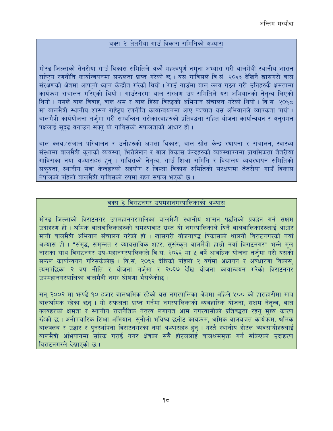#### बक्स २: तेतरीया गाउँ विकास समितिको अभ्यास

मोरङ जिल्लाको तेतरीया गाउँ विकास समितिले अर्को महत्वपूर्ण नमुना अभ्यास गरी बालमैत्री स्थानीय शासन राष्ट्रिय रणनीति कार्यान्वयनमा सफलता प्राप्त गरेको छ । यस गाविसले वि.सं. २०६३ देखिनै खासगरी बाल संरक्षणको क्षेत्रमा आफनो ध्यान केन्द्रीत गरेको थियो । गाउँ गाउँमा बाल क्लव गठन गरी उनिहरुकै क्षमतामा कार्यक्रम संचालन गरिएको थियो । गाउँस्तरमा बाल संरक्षण उप-समितिले यस अभियानको नेतत्व लिएको थियो । यसले बाल विवाह, वाल श्रम र बाल हिंसा विरुद्धको अभियान संचालन गरेको थियो । वि.सं. २०६८ मा बालमैत्री स्थानीय शासन राष्ट्रिय रणनीति कार्यान्वयनमा आए पश्चात यस अभियानले व्यापकता पायो । बालमैत्री कार्ययोजना तर्जुमा गरी सम्बन्धित सरोकारवाहरुको प्रतिवद्धता सहित योजना कार्यान्वयन र अनुगमन पक्षलाई सदढ वनाउन सक्न यो गाविसको सफलताको आधार हो ।

बाल क्लव ∕संजाल परिचालन र उनीहरुको क्षमता विकास, बाल स्रोत केन्द्र स्थापना र संचालन, स्वास्थ्य संस्थामा बालमैत्री कुनाको व्यवस्था, भित्तेलेखन र बाल विकास केन्द्रहरुको व्यवस्थापनमा प्राथमिकता तेतरीया गाविसका नयां अभ्यासहरु हुन् । गाविसको नेतृत्व, गाउँ शिक्षा समिति र विद्यालय व्यवस्थापन समितिको सकयता, स्थानीय सेवा केन्द्रहरुको सहयोग र जिल्ला विकास समितिको संरक्षणमा तेतरीया गाउँ विकास नेपालको पहिलो बालमैत्री गाविसको रुपमा रहन सफल भएको छ ।

#### बक्स ३: विराटनगर उपमहानगरपालिकाको अभ्यास

मोरङ जिल्लाको विराटनगर उपमहानगरपालिका बालमैत्री स्थानीय शासन पद्धतिको प्रवर्द्धन गर्न सक्षम उदाहरण हो । श्रमिक बालबालिकाहरुको समस्यावाट ग्रस्त यो नगरपालिकाले यिनै बालबालिकाहरुलाई आधार मानी बालमैत्री अभियान संचालन गरेको हो । खासगरी योजनावद्ध विकासको थालनी विराटनगरको नयां अभ्यास हो । "संमृद्ध, समुन्नत र व्यावसायिक शहर, सुसंस्कृत बालमैत्री हाम्रो नयाँ विराटनगर" भन्ने मूल नाराका साथ विराटनगर उप-महानगरपालिकाले वि.सं. २०६६ मा ५ वर्षे आवधिक योजना तर्जमा गरी यसको सफल कार्यान्वयन गरिसकेकोछ । वि.सं. २०६२ देखिको पहिलो २ वर्षमा अध्ययन र अवधारणा विकास. त्यसपछिका २ वर्ष नीति र योजना तर्जमा र २०६७ देखि योजना कार्यान्वयन गरेको विराटनगर उपमहानगरपालिका बालमैत्री नगर घोषणा भैसकेकोछ ।

सन् २००२ मा फण्डै १० हजार बालश्रमिक रहेको यस नगरपालिका क्षेत्रमा अहिले ५०० को हाराहारीमा मात्र बालश्रमिक रहेका छन् । यो सफलता प्राप्त गर्नमा नगरपालिकाको व्यवहारिक योजना, सक्षम नेतृत्व, बाल क्लवहरुको क्षमता र स्थानीय राजनैतिक नेतृत्व लगायत आम नगरवासीको प्रतिवद्धता रहन् मुख्य कारण रहेको छ । अनौपचारिक शिक्षा अभियान, सुनौलो भविष्य छनोट कार्यक्रम, श्रमिक बालबचत कार्यक्रम, श्रमिक बालक्लब र उद्धार र पुनर्स्थापना विराटनगरका नयां अभ्यासहरु हुन् । यस्तै स्थानीय होटल व्यवसायीहरुलाई बालमैत्री अभियानमा सरिक गराई नगर क्षेत्रका सबै होटललाई बालश्रममक्त गर्न सकिएको उदाहरण विराटनगरले देखाएको छ ।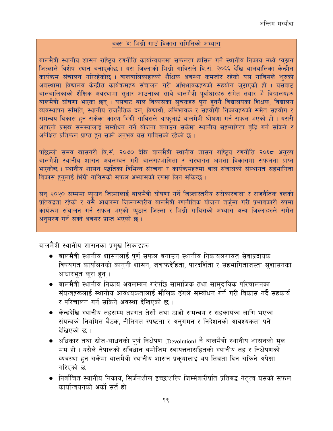#### बक्स ४: भिंग्री गाउँ विकास समितिको अभ्यास

बालमैत्री स्थानीय शासन राष्ट्रिय रणनीति कार्यान्वयनमा सफलता हासिल गर्ने स्थानीय निकाय मध्ये प्युठान जिल्लाले विशेष स्थान बनाएकोछ । यस जिल्लाको भिंग्री गाविसले वि.सं. २०६६ देखि बालबालिका केन्द्रीत कार्यक्रम संचालन गरिरहेकोछ । बालबालिकाहरुको शैक्षिक अवस्था कमजोर रहेको यस गाविसले शुरुको अवस्थामा विद्यालय केन्द्रीत कार्यक्रमहरु संचालन गरी अभिभावकहरुको सहयोग जुटाएको हो । यसवाट बालबालिकाको शैक्षिक अवस्थामा सुधार आउनाका साथै बालमैत्री पूर्वाधारहरु समेत तयार भै विद्यालयहरु बालमैत्री घोषणा भएका छन् । यसवाट बाल विकासका सुचकहरु पुरा हुनगै विद्यालयका शिक्षक, विद्यालय व्यवस्थापन समिति, स्थानीय राजनैतिक दल, विद्यार्थी, अभिभावक र सहयोगी निकायहरुको समेत सहयोग र समन्वय विकास हुन सकेका कारण भिंग्री गाविसले आफुलाई बालमैत्री घोषणा गर्न सफल भएको हो । यसरी आफुनो प्रमुख समस्यालाई सम्वोधन गर्ने योजना वनाउन सकेमा स्थानीय सहभागिता वृद्धि गर्न सकिने र अपेक्षित प्रतिफल प्राप्त हुन सक्ने अनुभव यस गाविसको रहेको छ।

पछिल्लो समय खासगरी वि.सं. २०७० देखि बालमैत्री स्थानीय शासन राष्ट्रिय रणनीति २०६८ अनुरुप बालमैत्री स्थानीय शासन अवलम्वन गरी बालसहभागिता र संस्थागत क्षमता विकासमा सफलता प्राप्त भएकोछ । स्थानीय शासन पद्धतिका विभिन्न संरचना र कार्यक्रमहरुमा बाल संजालको संस्थागत सहभागिता विकास हुनुलाई भिंग्री गाविसको सफल अभ्यासको रुपमा लिन सकिन्छ ।

सन् २०२० सम्ममा प्युठान जिल्लालाई बालमैत्री घोषणा गर्ने जिल्लास्तरीय सरोकारवाला र राजनैतिक दलको प्रतिवद्धता रहेको र यसै आधारमा जिल्लास्तरीय बालमैत्री रणनीतिक योजना तर्जमा गरी प्रभावकारी रुपमा कार्यक्रम संचालन गर्न सफल भएको प्युठान जिल्ला र भिंग्री गाविसको अभ्यास अन्य जिल्लाहरुले समेत अनसरण गर्न सक्ने अवसर प्राप्त भएको छ।

बालमैत्री स्थानीय शासनका प्रमुख सिकाईहरु

- बालमैत्री स्थानीय शासनलाई पूर्ण सफल बनाउन स्थानीय निकायलगायत सेवाप्रदायक विषयगत कार्यालयको कानुनी शासन, जवाफदेहिता, पारदर्शिता र सहभागिताजस्ता सुशासनका आधारभूत कुरा हुन् ।
- बालमैत्री स्थानीय निकाय अवलम्बन गरेपछि सामाजिक तथा साम्**दायिक परिचालनका** संयन्त्रहरूलाई स्थानीय आवश्यकतालाई मौलिक ढंगले सम्बोधन गर्ने गरी विकास गर्दै सहकार्य र परिचालन गर्न सकिने अवस्था देखिएको छ ।
- केन्द्रदेखि स्थानीय तहसम्म तहगत तेर्सो तथा ठाडो समन्वय र सहकार्यका लागि भएका संयन्त्रको नियमित बैठक, नीतिगत स्पष्टता र अनुगमन र निर्देशनको आवश्यकता पर्ने देखिएको छ ।
- अधिकार तथा स्रोत-साधनको पूर्ण निक्षेपण (Devolution) नै बालमैत्री स्थानीय शासनको मूल मर्म हो। यसैले नेपालको संविधान बमोजिम स्वायत्ततासहितको स्थानीय तह र निक्षेपणको व्यवस्था हुन सकेमा बालमैत्री स्थानीय शासन प्रकृयालाई थप तिब्रता दिन सकिने अपेक्षा गरिएको छ ।
- निर्वाचित स्थानीय निकाय, सिर्जनशील इच्छाशक्ति जिम्मेवारीप्रति प्रतिबद्ध नेतृत्व यसको सफल कार्यान्वयनको अर्को सर्त हो ।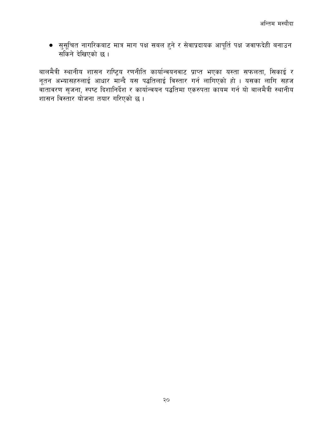● सुसूचित नागरिकबाट मात्र माग पक्ष सबल हुने र सेवाप्रदायक आपूर्ति पक्ष जवाफदेही बनाउन सकिने देखिएको छ ।

बालमैत्री स्थानीय शासन राष्ट्रिय रणनीति कार्यान्वयनवाट प्राप्त भएका यस्ता सफलता, सिकाई र नूतन अभ्यासहरुलाई आधार मान्दै यस पद्धतिलाई विस्तार गर्न लागिएको हो । यसका लागि सहज<br>वातावरण सृजना, स्पष्ट दिशानिर्देश र कार्यान्वयन पद्धतिमा एकरुपता कायम गर्न यो बालमैत्री स्थानीय शासन विस्तार योजना तयार गरिएको छ ।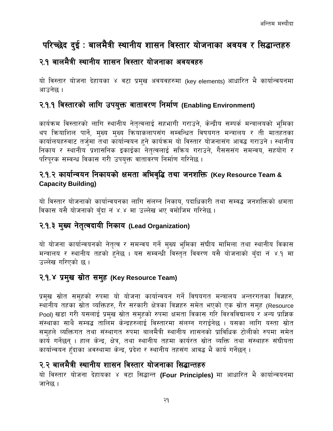# <span id="page-20-0"></span>परिच्छेद दुई : बालमैत्री स्थानीय शासन विस्तार योजनाका अवयव र सिद्धान्तहरु

### <span id="page-20-1"></span>२.१ बालमैत्री स्थानीय शासन विस्तार योजनाका अवयवहरु

यो विस्तार योजना देहायका ४ वटा प्रमुख अवयवहरुमा (key elements) आधारित भै कार्यान्वयनमा आउनेछ ।

#### <span id="page-20-2"></span>२.१.१ विस्तारको लागि उपयुक्त वातावरण निर्माण (Enabling Environment)

कार्यक्रम विस्तारको लागि स्थानीय नेतृत्वलाई सहभागी गराउने, केन्द्रीय सम्पर्क मन्त्रालयको भूमिका थप कियाशिल पार्ने, मुख्य मुख्य कियाकलापसंग सम्वन्धित विषयगत मन्त्रालय र ती मातहतका कार्यालयहरुवाट तर्जमा तथा कार्यान्वयन हुने कार्यक्रम यो विस्तार योजनासंग आवद्ध गराउने । स्थानीय निकाय र स्थानीय प्रशासनिक इकाईका नेतृत्वलाई सक्रिय गराउने, गैसससंग समन्वय, सहयोग र परिपूरक सम्वन्ध विकास गरी उपयुक्त वातावरण निर्माण गरिनेछ ।

#### <span id="page-20-3"></span>२.१.२ कार्यान्वयन निकायको क्षमता अभिवृद्धि तथा जनशक्ति (Key Resource Team & **Capacity Building)**

यो विस्तार योजनाको कार्यान्वयनका लागि संलग्न निकाय, पदाधिकारी तथा सम्वद्ध जनशक्तिको क्षमता विकास यसै योजनाको बँदा नं ४.४ मा उल्लेख भए वमोजिम गरिनेछ ।

#### <span id="page-20-4"></span>२.१.३ मुख्य नेतुत्वदायी निकाय (Lead Organization)

यो योजना कार्यान्वयनको नेतृत्व र समन्वय गर्ने मुख्य भुमिका संघीय मामिला तथा स्थानीय विकास मन्त्रालय र स्थानीय तहको हुनेछ । यस सम्वन्धी विस्तुत विवरण यसै योजनाको बँदा न ४.१ मा उल्लेख गरिएको छ ।

#### <span id="page-20-5"></span>२.१.४ प्रमुख स्रोत समुह (Key Resource Team)

प्रमुख स्रोत समहको रुपमा यो योजना कार्यान्वयन गर्ने विषयगत मन्त्रालय अन्तरगतका विज्ञहरु, स्थानीय तहका स्रोत व्यक्तिहरु, गैर सरकारी क्षेत्रका विज्ञहरु समेत भएको एक स्रोत समह (Resource Pool) खड़ा गरी यसलाई प्रमुख स्रोत समुहको रुपमा क्षमता विकास गरि विश्वविद्यालय र अन्य प्राज्ञिक संस्थाका साथै सम्बद्ध तालिम केन्द्रहरुलाई विस्तारमा संलग्न गराईनेछ । यसका लागि यस्ता स्रोत समुहले व्यक्तिगत तथा संस्थागत रुपमा बालमैत्री स्थानीय शासनको प्राविधिक टोलीको रुपमा समेत कार्य गर्नेछन् । हाल केन्द्र, क्षेत्र, तथा स्थानीय तहमा कार्यरत स्रोत व्यक्ति तथा संस्थाहरु संघीयता कार्यान्वयन हँदाका अवस्थामा केन्द्र, प्रदेश र स्थानीय तहसंग आवद्ध भै कार्य गर्नेछन् ।

### <span id="page-20-6"></span>२.२ बालमैत्री स्थानीय शासन विस्तार योजनाका सिद्धान्तहरु

यो विस्तार योजना देहायका ४ वटा सिद्धान्त (Four Principles) मा आधारित भै कार्यान्वयनमा जानेछ ।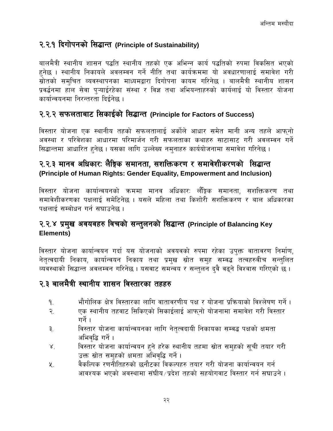#### <span id="page-21-0"></span>२.२.१ दिगोपनको सिद्धान्त (Principle of Sustainability)

बालमैत्री स्थानीय शासन पद्धति स्थानीय तहको एक अभिन्न कार्य पद्धतिको रुपमा विकसित भएको हनेछ । स्थानीय निकायले अवलम्वन गर्ने नीति तथा कार्यक्रममा यो अवधारणालाई समावेश गरी स्रोतको समचित व्यवस्थापनका माध्यमद्वारा दिगोपना कायम गरिनेछ । बालमैत्री स्थानीय शासन प्रवर्द्धनमा हाल सेवा पऱ्याईरहेका संस्था र विज्ञ तथा अभियन्ताहरुको कार्यलाई यो विस्तार योजना कार्यान्वयनमा निरन्तरता दिईनेछ ।

## <span id="page-21-1"></span>२.२.२ सफलताबाट सिकाईको सिद्धान्त (Principle for Factors of Success)

विस्तार योजना एक स्थानीय तहको सफलतालाई अर्कोले आधार समेत मानी अन्य तहले आफनो अवस्था र परिवेशका आधारमा परिमार्जन गरी सफलताका कथाहरु साटासाट गरी अवलम्वन गर्ने सिद्धान्तमा आधारित हुनेछ । यसका लागि उल्लेख्य नमुनाहरु कार्ययोजनामा समावेश गरिनेछ ।

#### <span id="page-21-2"></span>२.२.३ मानव अधिकारः लैङ्गिक समानता, सशक्तिकरण र समावेशीकरणको सिद्धान्त (Principle of Human Rights: Gender Equality, Empowerment and Inclusion)

विस्तार योजना कार्यान्वयनको क्रममा मानव अधिकार: लेंङ्गिक समानता. सशक्तिकरण तथा समावेशीकरणका पक्षलाई समेटिनेछ । यसले महिला तथा किशोरी सशक्तिकरण र बाल अधिकारका पक्षलाई सम्बोधन गर्न सघाउनेछ ।

#### <span id="page-21-3"></span>२.२.४ प्रमुख अवयवहरु विचको सन्तुलनको सिद्धान्त (Principle of Balancing Key Elements)

विस्तार योजना कार्यान्वयन गर्दा यस योजनाको अवयवको रुपमा रहेका उप्क्त वातावरण निर्माण, नेतृत्वदायी निकाय, कार्यान्वयन निकाय तथा प्रमुख स्रोत समुह सम्वद्ध तत्वहरुवीच सन्तुलित व्यवस्थाको सिद्धान्त अवलम्वन गरिनेछ । यसवाट समन्वय र सन्तुलन दुवै वढुने विश्वास गरिएको छ ।

#### <span id="page-21-4"></span>२.३ बालमैत्री स्थानीय शासन विस्तारका तहहरु

- भौगोलिक क्षेत्र विस्तारका लागि वातावरणीय पक्ष र योजना प्रक्रियाको विश्लेषण गर्ने । ۹.
- एक स्थानीय तहवाट सिकिएको सिकाईलाई आफनो योजनामा समावेश गरी विस्तार  $\mathcal{R}_{\cdot}$ गर्ने ।
- विस्तार योजना कार्यान्वयनका लागि नेतत्वदायी निकायका सम्वद्ध पक्षको क्षमता ₹. अभिवृद्धि गर्ने ।
- विस्तार योजना कार्यान्वयन हुने हरेक स्थानीय तहमा स्रोत समुहको सूची तयार गरी  $\mathcal{R}^{\mathcal{L}}$ उक्त स्रोत समुहको क्षमता अभिवृद्धि गर्ने।
- वैकल्पिक रणनीतिहरुको छनौटका विकल्पहरु तयार गरी योजना कार्यान्वयन गर्न ५. आवश्यक भएको अवस्थामा संघीय /प्रदेश तहको सहयोगवाट विस्तार गर्न सघाउने ।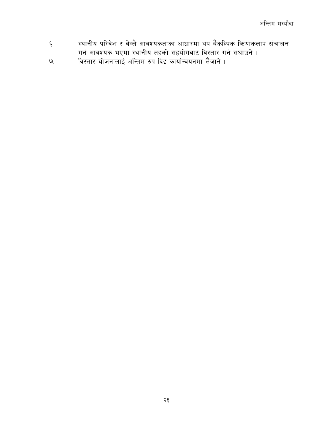- स्थानीय परिवेश र वेग्लै आवश्यकताका आधारमा थप बैकल्पिक क्रियाकलाप संचालन  $\xi$ गर्न आवश्यक भएमा स्थानीय तहको सहयोगवाट विस्तार गर्न सघाउने।
- विस्तार योजनालाई अन्तिम रुप दिई कार्यान्वयनमा लैजाने।  $\mathcal{G}$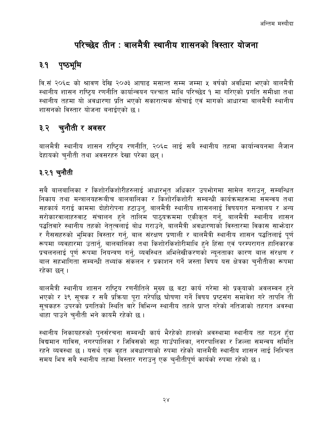# परिच्छेद तीन : बालमैत्री स्थानीय शासनको विस्तार योजना

## <span id="page-23-1"></span><span id="page-23-0"></span>३.१ पृष्ठभूमि

वि.सं २०६८ को श्रावण देखि २०७३ आषाढ मसान्त सम्म जम्मा ५ वर्षको अवधिमा भएको बालमैत्री स्थानीय शासन राष्ट्रिय रणनीति कार्यान्वयन पश्चात माथि परिच्छेद १ मा गरिएको प्रगति समीक्षा तथा स्थानीय तहमा यो अवधारणा प्रति भएको सकारात्मक सोचाई एवं मागको आधारमा बालमैत्री स्थानीय शासनको विस्तार योजना बनाईएको छ ।

## <span id="page-23-2"></span>३.२ चुनौती र अवसर

बालमैत्री स्थानीय शासन राष्ट्रिय रणनीति, २०६८ लाई सबै स्थानीय तहमा कार्यान्वयनमा लैजान देहायको चुनौती तथा अवसरहरु देखा परेका छन्।

### <span id="page-23-3"></span>३.२.१ चुनौती

सबै बालबालिका र किशोरकिशोरीहरुलाई आधारभुत अधिकार उपभोगमा सामेल गराउन्, सम्बन्धित निकाय तथा मन्त्रालयहरूबीच बालबालिका र किशोरकिशोरी सम्बन्धी कार्यक्रमहरूमा समन्वय तथा सहकार्य गराई काममा दोहोरोपना हटाउनु, बालमैत्री स्थानीय शासनलाई विषयगत मन्त्रालय र अन्य सरोकारवालाहरुवाट संचालन हुने तालिम पाठ्यक्रममा एकीकृत गर्नु, बालमैत्री स्थानीय शासन पद्धतिवारे स्थानीय तहको नेतृत्वलाई बोध गराउने, बालमैत्री अवधारणाको विस्तारमा विकास साभ्रेदार र गैससहरुको भूमिका विस्तार गर्नु, बाल संरक्षण प्रणाली र बालमैत्री स्थानीय शासन पद्धतिलाई पूर्ण रूपमा व्यवहारमा उतार्नु, बालबालिका तथा किशोरकिशोरीमाथि हुने हिंसा एवं परम्परागत हानिकारक प्रचलनलाई पूर्ण रूपमा नियन्त्रण गर्नु, व्यवस्थित अभिलेखीकरणको न्यूनताका कारण बाल संरक्षण र बाल सहभागिता सम्बन्धी तथ्यांक संकलन र प्रकाशन गर्ने जस्ता विषय यस क्षेत्रका चनौतीका रूपमा रहेका छन ।

बालमैत्री स्थानीय शासन राष्ट्रिय रणनीतिले मुख्य छ वटा कार्य गरेमा सो प्रकृयाको अवलम्वन हुने भएको र ३९ सूचक र सबै प्रक्रिया पूरा गरेपछि घोषणा गर्ने विषय प्रष्टसंग समावेश गरे तापनि ती सूचकहरु उपरको प्रगतिको स्थिति वारे विभिन्न स्थानीय तहले प्राप्त गरेको नतिजाको तहगत अवस्था थाहा पाउने चुनौती भने कायमै रहेको छ ।

स्थानीय निकायहरुको पुनर्संरचना सम्बन्धी कार्य भैरहेको हालको अवस्थामा स्थानीय तह गठन हुँदा विद्यमान गाविस, नगरपालिका र जिविसको सट्टा गाउँपालिका, नगरपालिका र जिल्ला समन्वय समिति रहने व्यवस्था छ । यसर्थ एक वहत अवधारणाको रुपमा रहेको बालमैत्री स्थानीय शासन लाई निश्चित समय भित्र सबै स्थानीय तहमा विस्तार गराउन् एक चुनौतीपूर्ण कार्यको रुपमा रहेको छ।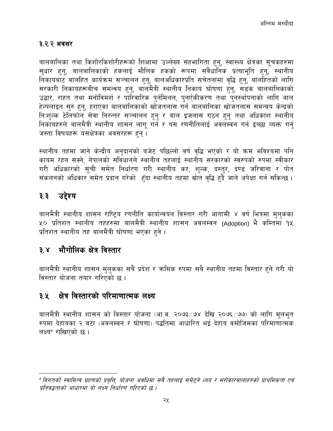#### <span id="page-24-0"></span>३.२.२ अवसर

बालबालिका तथा किशोरकिशोरीहरूको शिक्षामा उल्लेख्य सहभागिता हुनु, स्वास्थ्य क्षेत्रका सूचकहरुमा सुधार हुनु, बालबालिकाको हकलाई मौलिक हकको रूपमा संवैधानिक प्रत्याभूति हुनु, स्थानीय निकायबाट बालहित कार्यक्रम सञ्चालन हुनु, बालअधिकारप्रति सचेतनामा वृद्धि हुनु, बालहितको लागि सरकारी निकायहरूबीच समन्वय हुनु, बालमैत्री स्थानीय निकाय घोषणा हुनु, सडक बालबालिकाको उद्धार, राहत तथा मनोविमर्श र पारिवारिक पुर्नमिलन, पुनर्एकीकरण तथा पुनर्स्थापनाको लागि बाल<br>हेल्पलाइन सुरु हुनु, हराएका बालबालिकाको खोजतलास गर्न बालबालिका खोजतलास समन्वय केन्द्रको निःशुल्क टेलिफोन सेवा निरन्तर सञ्चालन हुनु र बाल इजलास गठन हुनु तथा अधिकांश स्थानीय निकायहरुले बालमैत्री स्थानीय शासन लागू गर्ने र यस रणनीतिलाई अवलम्वन गर्न इच्छा व्यक्त गर्नु जस्ता विषयहरू यसक्षेत्रका अवसरहरू हुन्।

स्थानीय तहमा जाने केन्द्रीय अनुदानको बजेट पछिल्लो वर्ष वृद्धि भएको र यो क्रम भविश्यमा पनि कायम रहन सक्ने, नेपालको संविधानले स्थानीय तहलाई स्थानीय सरकारको स्वरुपको रुपमा स्वीकार गरी अधिकारको सूची समेत निर्धारण गरी स्थानीय कर, शुल्क, दस्तुर, दण्ड जरिवाना र पोत संकलनको अधिकार समेत प्रदान गरेको हुँदा स्थानीय तहमा स्रोत वद्धि हुदै जाने अपेक्षा गर्न सकिन्छ ।

#### <span id="page-24-1"></span>उद्देश्य  $\mathbf{3}.\mathbf{3}$

बालमैत्री स्थानीय शासन राष्ट्रिय रणनीति कार्यान्वयन विस्तार गरी आगामी ४ वर्ष भित्रमा मुलुकका ५० प्रतिशत स्थानीय तहहरुमा बालमैत्री स्थानीय शासन अवलम्वन (Adoption) भै कम्तिमा १५ प्रतिशत स्थानीय तह बालमैत्री घोषणा भएका हुने।

#### <span id="page-24-2"></span>भौगोलिक क्षेत्र विस्तार  $3x$

बालमैत्री स्थानीय शासन मुलुकका सबै प्रदेश र क्रमिक रुपमा सबै स्थानीय तहमा विस्तार हुने गरी यो विस्तार योजना तयार गरिएको छ ।

#### <span id="page-24-3"></span>क्षेत्र विस्तारको परिमाणात्मक लक्ष्य ३.४ $\blacksquare$

बालमैत्री स्थानीय शासन को विस्तार योजना (आ.व. २०७३ ⁄ ७४ देखि २०७६ ⁄ ७७) को लागि मूलभुत रुपमा देहायका २ वटा (अवलम्वन र घोषणा) पद्धतिमा आधारित भई देहाय वमोजिमका परिमाणात्मक लक्ष्य<sup>4</sup> राखिएको छ।

<sup>&</sup>quot; विगतको स्वामित्व ग्रहणको प्रवृत्ति, योजना अवधिमा सवै तहलाई समेटने ध्यय र सरोकारवालाहरुको प्राथमिकता एवं प्रतिवद्धताको आधारमा यो लक्ष्य निर्धारण गरिएको छ ।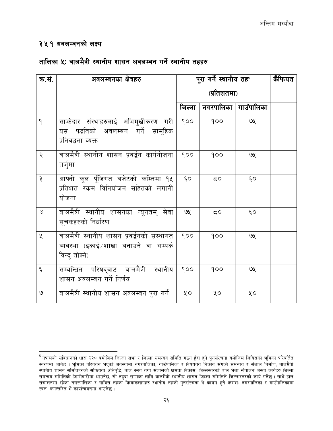#### <span id="page-25-0"></span>३.५.१ अवलम्वनको लक्ष्य

#### तालिका ५: बालमैत्री स्थानीय शासन अवलम्वन गर्ने स्थानीय तहहरु

| क.सं.              | अवलम्वनका क्षेत्रहरु                                                                                    |              | पूरा गर्ने स्थानीय तह |                        | कैफियत |
|--------------------|---------------------------------------------------------------------------------------------------------|--------------|-----------------------|------------------------|--------|
|                    |                                                                                                         |              | (प्रतिशतमा)           |                        |        |
|                    |                                                                                                         | जिल्ला       |                       | नगरपालिका   गाउँपालिका |        |
| $\mathsf{P}$       | साभ्रेदार संस्थाहरुलाई अभिमुखीकरण गरी<br>यस पद्धतिको अवलम्बन गर्ने सामूहिक<br>प्रतिवद्धता व्यक्त        | 900          | 900                   | ७५                     |        |
| २                  | बालमैत्री स्थानीय शासन प्रवर्द्धन कार्ययोजना<br>तर्जुमा                                                 | 900          | 900                   | ७५                     |        |
| ३                  | आफ्नो कुल पूँजिगत बजेटको कम्तिमा १५<br>प्रतिशत रकम विनियोजन सहितको लगानी<br>योजना                       | $\epsilon$ o | 50                    | ξO                     |        |
| $\propto$          | बालमैत्री स्थानीय शासनका न्यूनतम् सेवा<br>सूचकहरुको निर्धारण                                            | ७५           | 50                    | $\epsilon$ o           |        |
| $\chi$             | बालमैत्री स्थानीय शासन प्रवर्द्धनको संस्थागत<br>व्यवस्था (इकाई शाखा बनाउने वा सम्पर्क<br>विन्द् तोक्ने) | 900          | 900                   | ७५                     |        |
| $\boldsymbol{\xi}$ | सम्बन्धित परिषद्बाट बालमैत्री स्थानीय<br>शासन अवलम्बन गर्ने निर्णय                                      | 900          | 900                   | ७५                     |        |
| ও                  | बालमैत्री स्थानीय शासन अवलम्वन पुरा गर्ने                                                               | ųο           | ųο                    | ųο                     |        |

<sup>&</sup>lt;sup>5</sup> नेपालको संविधानको धारा २२० वमोजिम जिल्ला सभा र जिल्ला समन्वय समिति गठन हुँदा हुने पुनर्संरचना वमोजिम जिविसको भूमिका परिवर्तित<br>स्वरुपमा जानेछ । भूमिका परिवर्तन भएको अवस्थामा नगरपालिका, गाउँपालिका र विषयगत निकाय संगको स स्थानीय शासन समितिहरुको सक्रियता अभिवृद्धि, बाल क्लब तथा संजालको क्षमता विकास, जिल्लस्तरको बाल भेला संचालन जस्ता कार्यहरु जिल्ला समन्वय समितिको जिम्मेवारीमा आउनेछ, सो नहुदा सम्मका लागि बालमैत्री स्थानीय शासन जिल्ला समितिले जिल्लास्तरको कार्य गर्नेछ। साथै हाल संचालनमा रहेका नगरपालिका र गाविस तहका कियाकलापहरु स्थानीय तहको पुनर्संरचना भै कायम हुने क्रमश: नगरपालिका र गाउँपालिकामा स्वत: रुपान्तरित भै कार्यान्वयनमा आउनेछ ।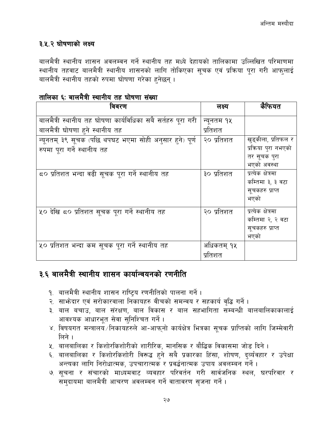#### <span id="page-26-0"></span>३.५.२ घोषणाको लक्ष्य

बालमैत्री स्थानीय शासन अवलम्वन गर्ने स्थानीय तह मध्ये देहायको तालिकामा उल्लिखित परिमाणमा स्थानीय तहवाट बालमैत्री स्थानीय शासनको लागि तोकिएका सूचक एवं प्रक्रिया पूरा गरी आफ्लाई बालमैत्री स्थानीय तहको रुपमा घोषणा गरेका हुनेछन् ।

| तालिका ६: बालमैत्री स्थानीय तह घोषणा संख्या |  |  |  |
|---------------------------------------------|--|--|--|

| विवरण                                                       | लक्ष्य       | कैफियत               |
|-------------------------------------------------------------|--------------|----------------------|
| बालमैत्री स्थानीय तह घोषणा कार्यविधिका सबै सर्तहरु पूरा गरी | न्यूनतम १५   |                      |
| बालमैत्री घोषणा हने स्थानीय तह                              | प्रतिशत      |                      |
| न्यूनतम् ३९ सूचक (पछि थपघट भएमा सोही अनुसार हुने) पूर्ण     | २० प्रतिशत   | खुड्कीला, प्रतिफल र  |
| रुपमा पूरा गर्ने स्थानीय तह                                 |              | प्रक्रिया पुरा नभएको |
|                                                             |              | तर सूचक पुरा         |
|                                                             |              | भएको अवस्था          |
| ८० प्रतिशत भन्दा वढी सूचक पूरा गर्ने स्थानीय तह             | ३० प्रतिशत   | प्रत्येक क्षेत्रमा   |
|                                                             |              | कम्तिमा ३, ३ वटा     |
|                                                             |              | सूचकहरु प्राप्त      |
|                                                             |              | भएको                 |
| ५० देखि ८० प्रतिशत सूचक पूरा गर्ने स्थानीय तह               | २० प्रतिशत   | प्रत्येक क्षेत्रमा   |
|                                                             |              | कम्तिमा २, २ वटा     |
|                                                             |              | सूचकहरु प्राप्त      |
|                                                             |              | भएको                 |
| ५० प्रतिशत भन्दा कम सूचक पूरा गर्ने स्थानीय तह              | र्आंधकतम् १५ |                      |
|                                                             | प्रतिशत      |                      |

## <span id="page-26-1"></span>३.६ बालमैत्री स्थानीय शासन कार्यान्वयनको रणनीति

- १. बालमैत्री स्थानीय शासन राष्ट्रिय रणनीतिको पालना गर्ने ।
- २. साभ्रेदार एवं सरोकारवाला निकायहरु वीचको समन्वय र सहकार्य वृद्धि गर्ने।
- ३. बाल बचाउ, बाल संरक्षण, बाल विकास र बाल सहभागिता सम्बन्धी बालबालिकाकालाई आवश्यक आधारभुत सेवा सुनिश्चित गर्ने।
- ४. विषयगत मन्त्रालय /निकायहरुले आ-आफ्नो कार्यक्षेत्र भित्रका सूचक प्राप्तिको लागि जिम्मेवारी लिने ।
- ५. बालबालिका र किशोरकिशोरीको शारीरिक, मानसिक र बौद्धिक विकासमा जोड दिने ।
- ६. बालबालिका र किशोरकिशोरी विरूद्ध हुने सबै प्रकारका हिंसा, शोषण, दुर्व्यंवहार र उपेक्षा अन्त्यका लागि निरोधात्मक, उपचारात्मक र प्रवर्द्धनात्मक उपाय अवलम्बन गर्ने ।
- ७. सूचना र संचारको माध्यमवाट व्यवहार परिवर्तन गरी सार्वजनिक स्थल, घरपरिवार र समुदायमा बालमैत्री आचरण अवलम्वन गर्ने वातावरण सृजना गर्ने ।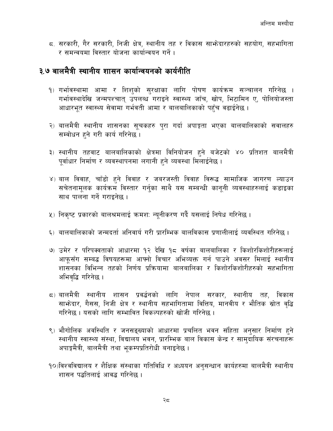5. सरकारी, गैर सरकारी, निजी क्षेत्र, स्थानीय तह र विकास साभ्रेदारहरुको सहयोग, सहभागिता र समन्वयमा विस्तार योजना कार्यान्वयन गर्ने ।

#### <span id="page-27-0"></span>३.७ बालमैत्री स्थानीय शासन कार्यान्वयनको कार्यनीति

- १) गर्भावस्थामा आमा र शिशको सुरक्षाका लागि पोषण कार्यक्रम सञ्चालन गरिनेछ । गर्भावस्थादेखि जन्मपश्चात् उपलब्ध गराइने स्वास्थ्य जाँच, खोप, भिटामिन ए, पोलियोजस्ता आधारभूत स्वास्थ्य सेवामा गर्भवती आमा र बालबालिकाको पहुँच वढाईनेछ ।
- २) बालमैत्री स्थानीय शासनका सूचकहरु पुरा गर्दा अपाङ्गता भएका बालबालिकाको सवालहरु सम्वोधन हुने गरी कार्य गरिनेछ ।
- ३) स्थानीय तहवाट बालबालिकाको क्षेत्रमा विनियोजन हुने बजेटको ४० प्रतिशत बालमैत्री पूर्वाधार निर्माण र व्यवस्थापनमा लगानी हुने व्यवस्था मिलाईनेछ ।
- ४) बाल विवाह, चाँडो हुने विवाह र जबरजस्ती विवाह विरूद्ध सामाजिक जागरण ल्याउन सचेतनामुलक कार्यक्रम विस्तार गर्नुका साथै यस सम्बन्धी कानुनी व्यवस्थाहरुलाई कडाइका साथ पालना गर्ने गराइनेछ ।
- ५) निकृष्ट प्रकारको बालश्रमलाई क्रमश: न्यूनीकरण गर्दै यसलाई निषेध गरिनेछ ।
- ६) बालबालिकाको जन्मदर्ता अनिवार्य गरी प्रारम्भिक बालविकास प्रणालीलाई व्यवस्थित गरिनेछ ।
- ७) उमेर र परिपक्वताको आधारमा १२ देखि १८ वर्षका बालबालिका र किशोरकिशोरीहरूलाई आफसँग सम्बद्ध विषयहरूमा आफ्नो विचार अभिव्यक्त गर्न पाउने अवसर मिलाई स्थानीय शासनका विभिन्न तहको निर्णय प्रक्रियामा बालबालिका र किशोरकिशोरीहरुको सहभागिता अभिवृद्धि गरिनेछ ।
- ८) बालमैत्री स्थानीय शासन प्रवर्द्धनको लागि नेपाल सरकार, स्थानीय तह, विकास साभ्रेदार, गैसस, निजी क्षेत्र र स्थानीय सहभागितामा वित्तिय, मानवीय र भौतिक स्रोत वृद्धि गरिनेछ । यसको लागि सम्भावित विकल्पहरुको खोजी गरिनेछ ।
- ९) भौगोलिक अवस्थिति र जनसङ्ख्याको आधारमा प्रचलित भवन संहिता अनुसार निर्माण हुने स्थानीय स्वास्थ्य संस्था, विद्यालय भवन, प्रारम्भिक बाल विकास केन्द्र र सामुदायिक संरचनाहरू अपाङ्गमैत्री, बालमैत्री तथा भुकम्पप्रतिरोधी बनाइनेछ ।
- 90)विश्वविद्यालय र शैक्षिक संस्थाका गतिविधि र अध्ययन अनुसन्धान कार्यहरुमा बालमैत्री स्थानीय शासन पद्धतिलाई आवद्ध गरिनेछ ।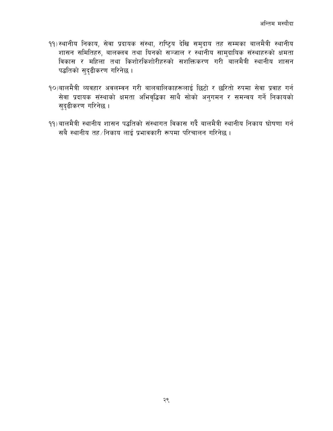- ११) स्थानीय निकाय, सेवा प्रदायक संस्था, राष्ट्रिय देखि समुदाय तह सम्मका बालमैत्री स्थानीय शासन समितिहरु, बालक्लव तथा यिनको सञ्जाल र स्थानीय सामुदायिक संस्थाहरुको क्षमता विकास र महिला तथा किशोरकिशोरीहरुको सशक्तिकरण गरी बालमैत्री स्थानीय शासन पद्धतिको सुदृढीकरण गरिनेछ ।
- **१**०)बालमैत्री व्यवहार अवलम्वन गरी बालबालिकाहरूलाई छिटो र छरितो रुपमा सेवा प्रवाह गर्न सेवा प्रदायक संस्थाको क्षमता अभिवृद्धिका साथै सोको अनुगमन र समन्वय गर्ने निकायको सदढीकरण गरिनेछ ।
- 99)बालमैत्री स्थानीय शासन पद्धतिको संस्थागत विकास गर्दै बालमैत्री स्थानीय निकाय घोषणा गर्न सबै स्थानीय तह ∕निकाय लाई प्रभावकारी रूपमा परिचालन गरिनेछ ।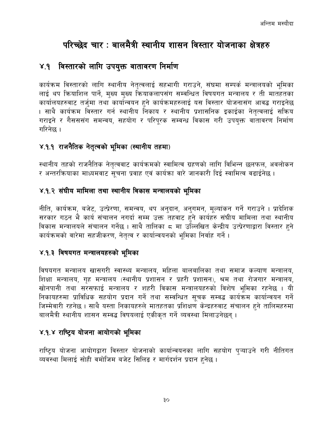# परिच्छेद चार : बालमैत्री स्थानीय शासन विस्तार योजनाका क्षेत्रहरु

#### <span id="page-29-1"></span><span id="page-29-0"></span>४.१ विस्तारको लागि उपयुक्त वातावरण निर्माण

कार्यक्रम विस्तारको लागि स्थानीय नेतत्वलाई सहभागी गराउने, संघमा सम्पर्क मन्त्रालयको भूमिका लाई थप क्रियाशिल पार्ने, मुख्य मुख्य क्रियाकलापसंग सम्वन्धित विषयगत मन्त्रालय र ती मातहतका कार्यालयहरुवाट तर्जुमा तथा कार्यान्वयन हुने कार्यक्रमहरुलाई यस विस्तार योजनासंग आवद्ध गराइनेछ । साथै कार्यक्रम विस्तार गर्न स्थानीय निकाय र स्थानीय प्रशासनिक इकाईका नेतृत्वलाई सक्रिय गराइने र गैसससंग समन्वय, सहयोग र परिपुरक सम्वन्ध विकास गरी उपयुक्त वातावरण निर्माण गरिनेछ ।

#### <span id="page-29-2"></span>४.१.१ राजनैतिक नेतृत्वको भूमिका (स्थानीय तहमा)

स्थानीय तहको राजनैतिक नेतृत्ववाट कार्यक्रमको स्वामित्व ग्रहणको लागि विभिन्न छलफल, अवलोकन र अन्तरक्रियाका माध्यमवाट सूचना प्रवाह एवं कार्यका वारे जानकारी दिई स्वामित्व वढाईनेछ ।

#### <span id="page-29-3"></span>४.१.२ संघीय मामिला तथा स्थानीय विकास मन्त्रालयको भूमिका

नीति, कार्यक्रम, बजेट, उत्प्रेरणा, समन्वय, थप अनुदान, अनुगमन, मूल्यांकन गर्ने गराउने । प्रादेशिक सरकार गठन भै कार्य संचालन नगर्दा सम्म उक्त तहवाट हुने कार्यहरु संघीय मामिला तथा स्थानीय विकास मन्त्रालयले संचालन गर्नेछ । साथै तालिका ८ मा उल्लिखित केन्द्रीय उत्प्रेरणाद्वारा विस्तार हुने कार्यक्रमको वारेमा सहजीकरण, नेतृत्व र कार्यान्वयनको भूमिका निर्वाह गर्ने।

#### <span id="page-29-4"></span>४.१.३ विषयगत मन्त्रालयहरुको भूमिका

विषयगत मन्त्रालय खासगरी स्वास्थ्य मन्त्रालय, महिला बालबालिका तथा समाज कल्याण मन्त्रालय, शिक्षा मन्त्रालय, गृह मन्त्रालय (स्थानीय प्रशासन र प्रहरी प्रशासन), श्रम तथा रोजगार मन्त्रालय, खोनपानी तथा सरसफाई मन्त्रालय र शहरी विकास मन्त्रालयहरुको विशेष भूमिका रहनेछ । यी निकायहरुमा प्राविधिक सहयोग प्रदान गर्ने तथा सम्वन्धित सूचक सम्वद्ध कार्यक्रम कार्यान्वयन गर्ने जिम्मेवारी रहनेछ । साथै यस्ता निकायहरुले मातहतका प्रशिक्षण केन्द्रहरुवाट संचालन हुने तालिमहरुमा बालमैत्री स्थानीय शासन सम्बद्ध विषयलाई एकीकृत गर्ने व्यवस्था मिलाउनेछन् ।

#### <span id="page-29-5"></span>४.१.४ राष्ट्रिय योजना आयोगको भूमिका

राष्टिय योजना आयोगद्वारा विस्तार योजनाको कार्यान्वयनका लागि सहयोग प्ऱ्याउने गरी नीतिगत व्यवस्था मिलाई सोही वमोजिम बजेट सिलिङ र मार्गदर्शन प्रदान हुनेछ ।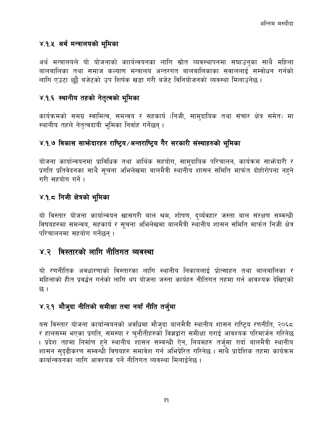#### <span id="page-30-0"></span>४.१.५ अर्थ मन्त्रालयको भूमिका

अर्थ मन्त्रालयले यो योजनाको काार्यन्वयनका लागि स्रोत व्यवस्थापनमा सघाउनुका साथै महिला बालबालिका तथा समाज कल्याण मन्त्रालय अन्तरगत बालबालिकाका सवाललाई सम्वोधन गर्नको लागि एउटा छुट्टै बजेटको उप शिर्षक खडा गरी बजेट विनियोजनको व्यवस्था मिलाउनेछ ।

#### <span id="page-30-1"></span>४.१.६ स्थानीय तहको नेतृत्वको भूमिका

कार्यक्रमको समग्र स्वामित्व, समन्वय र सहकार्य (निजी, सामुदायिक तथा संचार क्षेत्र समेत) मा स्थानीय तहले नेतृत्वदायी भूमिका निर्वाह गर्नेछन्।

#### <span id="page-30-2"></span>४.१.७ विकास साभ्रेदारहरु राष्ट्रिय /अन्तराष्ट्रिय गैर सरकारी संस्थाहरुको भूमिका

योजना कार्यान्वयनमा प्राविधिक तथा आर्थिक सहयोग, सामुदायिक परिचालन, कार्यक्रम साभ्रेदारी र प्रगति प्रतिवेदनका साथै सुचना अभिलेखमा बालमैत्री स्थानीय शासन समिति मार्फत दोहोरोपना नहने गरी सहयोग गर्ने ।

#### <span id="page-30-3"></span>४.१.८ निजी क्षेत्रको भूमिका

यो विस्तार योजना कार्यान्वयन खासगरी बाल श्रम, शोषण, दर्व्यंवहार जस्ता बाल संरक्षण सम्वन्धी विषयहरुमा समन्वय, सहकार्य र सचना अभिलेखमा बालमैत्री स्थानीय शासन समिति मार्फत निजी क्षेत्र परिचालनमा सहयोग गर्नेछन ।

#### <span id="page-30-4"></span>४.२ विस्तारको लागि नीतिगत व्यवस्था

यो रणनीतिक अवधारणाको विस्तारका लागि स्थानीय निकायलाई प्रोत्साहन तथा बालबालिका र महिलाको हीत प्रवर्द्धन गर्नको लागि थप योजना जस्ता कार्यहरु नीतिगत तहमा गर्न आवश्यक देखिएको छ ।

#### <span id="page-30-5"></span>४.२.१ मौजुदा नीतिको समीक्षा तथा नयाँ नीति तर्जुमा

यस विस्तार योजना कार्यान्वयनको अवधिमा मौजुदा बालमैत्री स्थानीय शासन राष्ट्रिय रणनीति, २०६८ र हालसम्म भएका प्रगति, समस्या र चुनौतीहरुको विज्ञद्वारा समीक्षा गराई आवश्यक परिमार्जन गरिनेछ । प्रदेश तहमा निर्माण हुने स्थानीय शासन सम्वन्धी ऐन, नियमहरु तर्जुमा गर्दा बालमैत्री स्थानीय शासन सुदुढीकरण सम्वन्धी विषयहरु समावेश गर्न अभिप्रेरित गरिनेछ । साथै प्रादेशिक तहमा कार्यक्रम कार्यान्वयनका लागि आवश्यक पर्ने नीतिगत व्यवस्था मिलाईनेछ ।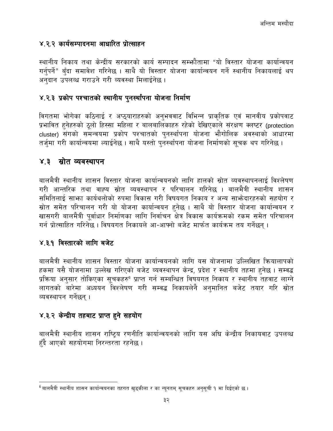#### <span id="page-31-0"></span>४.२.२ कार्यसम्पादनमा आधारित प्रोत्साहन

स्थानीय निकाय तथा केन्द्रीय सरकारको कार्य सम्पादन सम्भ्फौतामा "यो विस्तार योजना कार्यान्वयन गर्नुपर्ने" बुँदा समावेश गरिनेछ । साथै यो विस्तार योजना कार्यान्वयन गर्ने स्थानीय निकायलाई थप अनुदान उपलब्ध गराउने गरी व्यवस्था मिलाईनेछ ।

#### <span id="page-31-1"></span>४.२.३ प्रकोप पश्चातको स्थानीय पुनर्स्थांपना योजना निर्माण

विगतमा भोगेका कठिनाई र अप्ठुयाराहरुको अनुभववाट विभिन्न प्राकृतिक एवं मानवीय प्रकोपवाट प्रभावित हुनेहरुको ठूलो हिस्सा महिला र बालबालिकाहरु रहेको देखिएकाले संरक्षण क्लष्टर (protection cluster) संगको समन्वयमा प्रकोप पश्चातको पुनर्स्थांपना योजना भौगोलिक अवस्थाको आधारमा तर्जुमा गरी कार्यान्वयमा ल्याईनेछ । साथै यस्तो पुनर्स्थांपना योजना निर्माणको सुचक थप गरिनेछ ।

#### <span id="page-31-2"></span>४.३ स्रोत व्यवस्थापन

बालमैत्री स्थानीय शासन विस्तार योजना कार्यान्वयनको लागि हालको स्रोत व्यवस्थापनलाई विश्लेषण गरी आन्तरिक तथा वाह्य स्रोत व्यवस्थापन र परिचालन गरिनेछ । बालमैत्री स्थानीय शासन समितिलाई साभ्रा कार्यथलोको रुपमा विकास गरी विषयगत निकाय र अन्य साभ्रेदारहरुको सहयोग र स्रोत समेत परिचालन गरी यो योजना कार्यान्वयन हनेछ । साथै यो विस्तार योजना कार्यान्वयन र खासगरी बालमैत्री पूर्वाधार निर्माणका लागि निर्वाचन क्षेत्र विकास कार्यक्रमको रकम समेत परिचालन गर्न प्रोत्साहित गरिनेछ । विषयगत निकायले आ-आफ्नो बजेट मार्फत कार्यक्रम तय गर्नेछन् ।

#### <span id="page-31-3"></span>४.३.१ विस्तारको लागि बजेट

बालमैत्री स्थानीय शासन विस्तार योजना कार्यान्वयनको लागि यस योजनामा उल्लिखित क्रियालापको हकमा यसै योजनामा उल्लेख गरिएको बजेट व्यवस्थापन केन्द्र, प्रदेश र स्थानीय तहमा हुनेछ । सम्वद्ध प्रक्रिया अनुसार तोकिएका सूचकहरु<sup>6</sup> प्राप्त गर्न सम्बन्धित विषयगत निकाय र स्थानीय तहवाट लाग्ने लागतको बारेमा अध्ययन विश्लेषण गरी सम्वद्ध निकायलेनै अनमानित बजेट तयार गरि स्रोत व्यवस्थापन गर्नेछन ।

#### <span id="page-31-4"></span>४.३.२ केन्द्रीय तहबाट प्राप्त हुने सहयोग

बालमैत्री स्थानीय शासन राष्ट्रिय रणनीति कार्यान्वयनको लागि यस अघि केन्द्रीय निकायवाट उपलव्ध हुँदै आएको सहयोगमा निरन्तरता रहनेछ।

<sup>&</sup>lt;sup>6</sup> बालमैत्री स्थानीय शासन कार्यान्वयनका तहगत खुड्कीला र का न्यूनतम् सूचकहरु अनुसूची **१ मा दिईएको छ** ।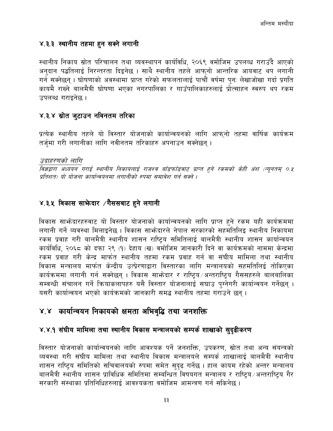#### <span id="page-32-0"></span>४.३.३ स्थानीय तहमा हुन सक्ने लगानी

स्थानीय निकाय स्रोत परिचालन तथा व्यवस्थापन कार्यविधि, २०६९ वमोजिम उपलव्ध गराउँदै आएको अनुदान पद्धतिलाई निरन्तरता दिइनेछ । साथै स्थानीय तहले आफ्नो आन्तरिक आयवाट थप लगानी गर्न सक्नेछन् । घोषणाको अवस्थामा प्राप्त गरेको सफलतालाई पाचौं वर्षमा पन: लेखाजोखा गर्दा प्रगति कायमै राख्ने बालमैत्री घोषणा भएका नगरपालिका र गाउँपालिकाहरुलाई प्रोत्साहन स्वरुप थप रकम उपलब्ध गराइनेछ ।

#### <span id="page-32-1"></span>४.३.४ स्रोत जुटाउन नविनतम तरिका

प्रत्येक स्थानीय तहले यो विस्तार योजनाको कार्यान्वयनको लागि आफ्नो तहमा वार्षिक कार्यक्रम तर्ज्**मा गरी लगानीका लागि नवीनतम तरिकाहरु अपनाउ**न सक्नेछन् ।

उदाहरणको लागि

विज्ञद्वारा अध्ययन गराई स्थानीय निकायलाई राजश्व बाँडफाँडवाट प्राप्त हुने रकमको केही अंश (न्यूनतम् ०.४ प्रतिशत) यो योजना कार्यान्वयनमा लगानीको रुपमा समावेश गर्न सक्ने ।

#### <span id="page-32-2"></span>४.३.५ विकास साफेदार /गैससबाट हुने लगानी

विकास साभेदारहरुवाट यो विस्तार योजनाको कार्यान्वयनको लागि प्राप्त हुने रकम यही कार्यक्रममा लगानी गर्ने व्यवस्था मिलाइनेछ । विकास साभ्रेदारले नेपाल सरकारको सहमतिलिइ स्थानीय निकायमा रकम प्रवाह गरी बालमैत्री स्थानीय शासन राष्ट्रिय समितिलाई बालमैत्री स्थानीय शासन कार्यान्वयन कार्यविधि, २०६८ को दफा २९ (१) देहाय (ख) वमोजिम जानकारी दिने वा कार्यक्रमको नाममा केन्द्रमा रकम प्रवाह गरी केन्द्र मार्फत स्थानीय तहमा रकम प्रवाह गर्न वा संघीय मामिला तथा स्थानीय विकास मन्त्रालय मार्फत केन्द्रीय उत्प्रेरणाद्वारा विस्तारका लागि मन्त्रालयको सहमतिलिई तोकिएका कार्यक्रममा लगानी गर्न सक्नेछन् । विकास साफ्रेदार र राष्ट्रिय अन्तराष्ट्रिय गैससहरुले बालबालिका सम्वन्धी संचालन गर्ने क्रियाकलापहरु यसै विस्तार योजनालाई सघाउ पुग्नेगरी कार्यान्वयन गर्नेछन् । यसरी कार्यान्वयन भएको कार्यक्रमको जानकारी समद्ध स्थानीय तहमा गराउने छन ।

#### <span id="page-32-3"></span>४.४ कार्यान्वयन निकायको क्षमता अभिवृद्धि तथा जनशक्ति

#### <span id="page-32-4"></span>४.४.१ संघीय मामिला तथा स्थानीय विकास मन्त्रालयको सम्पर्क शाखाको सुदुढीकरण

विस्तार योजनाको कार्यान्वयनको लागि आवश्यक पर्ने जनशक्ति, उपकरण, स्रोत तथा अन्य संयन्त्रको व्यवस्था गरी संघीय मामिला तथा स्थानीय विकास मन्त्रालयले सम्पर्क शाखालाई बालमैत्री स्थानीय शासन राष्ट्रिय समितिको सचिवालयको रुपमा समेत सुदृढ गर्नेछ । हाल कायम रहेको अन्तर मन्त्रालय बालमैत्री स्थानीय शासन प्राविधिक समितिमा सम्बन्धित विषयगत मन्त्रालय र राष्टिय ∕अन्तराष्टिय गैर सरकारी संस्थाका प्रतिनिधिहरुलाई आवश्यकता वमोजिम आमन्त्रण गर्न सकिनेछ ।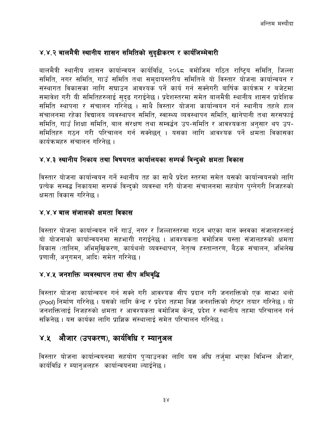#### <span id="page-33-0"></span>४.४.२ बालमैत्री स्थानीय शासन समितिको सुदृढीकरण र कार्यजिम्मेवारी

बालमैत्री स्थानीय शासन कार्यान्वयन कार्यविधि, २०६८ वमोजिम गठित राष्ट्यि समिति, जिल्ला समिति, नगर समिति, गाउँ समिति तथा समुदायस्तरीय समितिले यो विस्तार योजना कार्यान्वयन र संस्थागत विकासका लागि सघाउन आवश्यक पर्ने कार्य गर्न सक्नेगरी बार्षिक कार्यक्रम र बजेटमा समावेश गरी यी समितिहरुलाई सुदृढ गराईनेछ । प्रदेशस्तरमा समेत बालमैत्री स्थानीय शासन प्रादेशिक समिति स्थापना र संचालन गरिनेछ । साथै विस्तार योजना कार्यान्वयन गर्न स्थानीय तहले हाल संचालनमा रहेका विद्यालय व्यवस्थापन समिति, स्वास्थ्य व्यवस्थापन समिति, खानेपानी तथा सरसफाई समिति, गाउँ शिक्षा समिति, बाल संरक्षण तथा सम्वर्द्धन उप-समिति र आवश्यकता अनुसार थप उप-समितिहरु गठन गरी परिचालन गर्न सक्नेछन । यसका लागि आवश्यक पर्ने क्षमता विकासका कार्यक्रमहरु संचालन गरिनेछ ।

#### <span id="page-33-1"></span>४.४.३ स्थानीय निकाय तथा विषयगत कार्यालयका सम्पर्क विन्दुको क्षमता विकास

विस्तार योजना कार्यान्वयन गर्ने स्थानीय तह का साथै प्रदेश स्तरमा समेत यसको कार्यान्वयनको लागि प्रत्येक सम्वद्ध निकायमा सम्पर्क विन्दको व्यवस्था गरी योजना संचालनमा सहयोग पुग्नेगरी निजहरुको क्षमता विकास गरिनेछ ।

#### <span id="page-33-2"></span>४४४ बाल संजालको क्षमता विकास

विस्तार योजना कार्यान्वयन गर्ने गाउँ, नगर र जिल्लास्तरमा गठन भएका बाल क्लवका संजालहरुलाई यो योजनाको कार्यान्वयनमा सहभागी गराईनेछ । आवश्यकता वमोजिम यस्ता संजालहरुको क्षमता विकास (तालिम, अभिमुखिकरण, कार्यथलो व्यवस्थापन, नेतृत्व हस्तान्तरण, बैठक संचालन, अभिलेख प्रणाली, अनुगमन, आदि) समेत गरिनेछ ।

#### <span id="page-33-3"></span>४.४.५ जनशक्ति व्यवस्थापन तथा सीप अभिवृद्धि

विस्तार योजना कार्यान्वयन गर्न सक्ने गरी आवश्यक सीप प्रदान गरी जनशक्तिको एक साभा थलो (Pool) निर्माण गरिनेछ । यसको लागि केन्द्र र प्रदेश तहमा विज्ञ जनशक्तिको रोष्टर तयार गरिनेछ । यो जनशक्तिलाई निजहरुको क्षमता र आवश्यकता वमोजिम केन्द्र, प्रदेश र स्थानीय तहमा परिचालन गर्न सकिनेछ । यस कार्यका लागि प्राज्ञिक संस्थालाई समेत परिचालन गरिनेछ ।

#### <span id="page-33-4"></span>४.५ औजार (उपकरण), कार्यविधि र म्यानुअल

विस्तार योजना कार्यान्वयनमा सहयोग पुऱ्याउनका लागि यस अघि तर्जुमा भएका विभिन्न औजार, कार्यविधि र म्यानुअलहरु कार्यान्वयनमा ल्याईनेछ।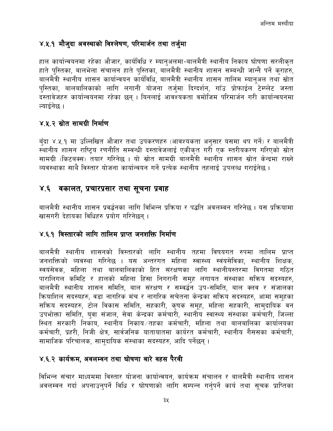#### <span id="page-34-0"></span>४.५.१ मौजुदा अवस्थाको विश्लेषण, परिमार्जन तथा तर्जुमा

हाल कार्यान्वयनमा रहेका औजार, कार्यविधि र म्यानअलमा-बालमैत्री स्थानीय निकाय घोषणा सरलीकत हाते पुस्तिका, बालभेला संचालन हाते पुस्तिका, बालमैत्री स्थानीय शासन सम्बन्धी जान्नै पर्ने कुराहरु, बालमैत्री स्थानीय शासन कार्यान्वयन कार्यविधि, बालमैत्री स्थानीय शासन तालिम म्यानुअल तथा स्रोत पुस्तिका, बालबालिकाको लागि लगानी योजना तर्जुमा दिग्दर्शन, गाँउ प्रोफाईल टेम्प्लेट जस्ता दस्तावेजहरु कार्यान्वयनमा रहेका छन् । यिनलाई आवश्यकता वमोजिम परिमार्जन गरी कार्यान्वयनमा ल्यार्डनेछ ।

#### <span id="page-34-1"></span>४.५.२ स्रोत सामग्री निर्माण

बँदा ४.५.१ मा उल्लिखित औजार तथा उपकरणहरु (आवश्यकता अनुसार यसमा थप गर्ने) र बालमैत्री स्थानीय शासन राष्टिय रणनीति सम्बन्धी दस्तावेजलाई एकीकत गरी एक स्तरीयकरण गरिएको स्रोत सामग्री (किटबक्स) तयार गरिनेछ । यो स्रोत सामग्री बालमैत्री स्थानीय शासन स्रोत केन्द्रमा राख्ने व्यवस्थाका साथै विस्तार योजना कार्यान्वयन गर्ने प्रत्येक स्थानीय तहलाई उपलब्ध गराईनेछ ।

#### <span id="page-34-2"></span>४.६ वकालत, प्रचारप्रसार तथा सूचना प्रवाह

बालमैत्री स्थानीय शासन प्रवर्द्धनका लागि विभिन्न प्रक्रिया र पद्धति अवलम्वन गरिनेछ । यस प्रक्रियामा खासगरी देहायका विधिहरु प्रयोग गरिनेछन ।

#### <span id="page-34-3"></span>४.६.१ विस्तारको लागि तालिम प्राप्त जनशक्ति निर्माण

बालमैत्री स्थानीय शासनको विस्तारको लागि स्थानीय तहमा विषयगत रुपमा तालिम प्राप्त जनशक्तिको व्यवस्था गरिनेछ । यस अन्तरगत महिला स्वास्थ्य स्वंयसेविका, स्थानीय शिक्षक, स्वयंसेवक, महिला तथा बालबालिकाको हित संरक्षणका लागि स्थानीयस्तरमा विगतमा गठित पारालिगल कमिटि र हालको महिला हिंसा निगरानी समह लगायत संस्थाका सक्रिय सदस्यहरु, बालमैत्री स्थानीय शासन समिति, बाल संरक्षण र सम्वर्द्धन उप-समिति, बाल क्लव र संजालका कियाशिल सदस्यहरु, वडा नागरिक मंच र नागरिक सचेतना केन्द्रका सक्रिय सदस्यहरु, आमा समुहका सक्रिय सदस्यहरु, टोल विकास समिति, सहकारी, कृषक समूह, महिला सहकारी, सामुदायिक वन उपभोक्ता समिति, यवा संजाल, सेवा केन्द्रका कर्मचारी, स्थानीय स्वास्थ्य संस्थाका कर्मचारी, जिल्ला स्थित सरकारी निकाय, स्थानीय निकाय ∕तहका कर्मचारी, महिला तथा बालबालिका कार्यालयका कर्मचारी, प्रहरी, निजी क्षेत्र, सार्वजनिक यातायातमा कार्यरत कर्मचारी, स्थानीय गैससका कर्मचारी, सामाजिक परिचालक, सामुदायिक संस्थाका सदस्यहरु, आदि पर्नेछन् ।

#### <span id="page-34-4"></span>४.६.२ कार्यक्रम, अवलम्वन तथा घोषणा बारे वहस पैरवी

विभिन्न संचार माध्यममा विस्तार योजना कार्यान्वयन, कार्यक्रम संचालन र बालमैत्री स्थानीय शासन अवलम्वन गर्दा अपनाउन्पर्ने विधि र घोषणाको लागि सम्पन्न गर्नुपर्ने कार्य तथा सूचक प्राप्तिका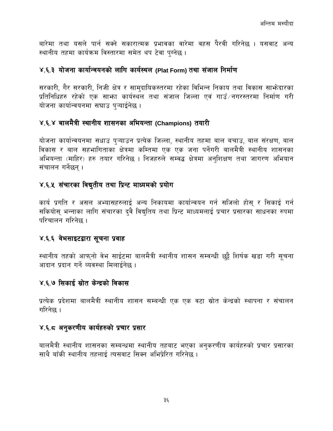बारेमा तथा यसले पार्न सक्ने सकारात्मक प्रभावका वारेमा वहस पैरवी गरिनेछ । यसवाट अन्य स्थानीय तहमा कार्यक्रम विस्तारमा समेत थप टेवा पुग्नेछ।

#### <span id="page-35-0"></span>४.६.३ योजना कार्यान्वयनको लागि कार्यस्थल (Plat Form) तथा संजाल निर्माण

सरकारी, गैर सरकारी, निजी क्षेत्र र सामुदायिकस्तरमा रहेका विभिन्न निकाय तथा विकास साभ्रेदारका प्रतिनिधिहरु रहेको एक साभ्रा कार्यस्थल तथा संजाल जिल्ला एवं गाउँ ∕नगरस्तरमा निर्माण गरी योजना कार्यान्वयनमा सघाउ पऱ्याईनेछ ।

#### <span id="page-35-1"></span>४.६.४ बालमैत्री स्थानीय शासनका अभियन्ता (Champions) तयारी

योजना कार्यान्वयनमा सधाउ पऱ्याउन प्रत्येक जिल्ला, स्थानीय तहमा बाल बचाउ, बाल संरक्षण, बाल विकास र बाल सहभागिताका क्षेत्रमा कम्तिमा एक एक जना पर्नेगरी बालमैत्री स्थानीय शासनका अभियन्ता (माहिर) हरु तयार गरिनेछ । निजहरुले सम्वद्ध क्षेत्रमा अनुशिक्षण तथा जागरण अभियान संचालन गर्नेछन् ।

### <span id="page-35-2"></span>४.६.५ संचारका विबुतीय तथा प्रिन्ट माध्यमको प्रयोग

कार्य प्रगति र असल अभ्यासहरुलाई अन्य निकायमा कार्यान्वयन गर्न सजिलो होस् र सिकाई गर्न सकियोस् भन्नाका लागि संचारका दुवै विद्युतिय तथा प्रिन्ट माध्यमलाई प्रचार प्रसारका साधनका रुपमा परिचालन गरिनेछ ।

#### <span id="page-35-3"></span>४.६.६ वेभसाइटद्वारा सूचना प्रवाह

स्थानीय तहको आफुनो वेभ साईटमा बालमैत्री स्थानीय शासन सम्वन्धी छुट्टै शिर्षक खडा गरी सुचना आदान प्रदान गर्ने व्यवस्था मिलाईनेछ ।

#### <span id="page-35-4"></span>४.६.७ सिकाई स्रोत केन्द्रको विकास

प्रत्येक प्रदेशमा बालमैत्री स्थानीय शासन सम्बन्धी एक एक वटा स्रोत केन्द्रको स्थापना र संचालन गरिनेछ ।

#### <span id="page-35-5"></span>४.६.८ अनुकरणीय कार्यहरुको प्रचार प्रसार

बालमैत्री स्थानीय शासनका सम्बन्धमा स्थानीय तहबाट भएका अनुकरणीय कार्यहरुको प्रचार प्रसारका साथै बाँकी स्थानीय तहलाई त्यसवाट सिक्न अभिप्रेरित गरिनेछ ।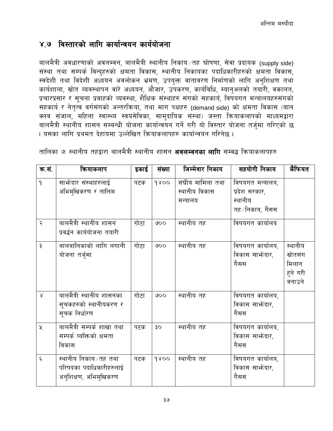### <span id="page-36-0"></span>४.७ विस्तारको लागि कार्यान्वयन कार्ययोजना

बालमैत्री अवधारणाको अवलम्वन, बालमैत्री स्थानीय निकाय ⁄तह घोषणा, सेवा प्रदायक (supply side) संस्था तथा सम्पर्क विन्दुहरुको क्षमता विकास, स्थानीय निकायका पदाधिकारीहरुको क्षमता विकास, स्वदेशी तथा विदेशी अध्ययन अवलोकन भ्रमण, उपयुक्त वातावरण निर्माणको लागि अनुशिक्षण तथा कार्यशाला, स्रोत व्यवस्थापन वारे अध्ययन, औजार, उपकरण, कार्यविधि, म्यानुअलको तयारी, वकालत, प्रचारप्रसार र सूचना प्रवाहको व्यवस्था, शैक्षिक संस्थाहरु संगको सहकार्य, विषयगत मन्त्रालयहरुसंगको सहकार्य र नेतृत्व वर्गसंगको अन्तरक्रिया, तथा माग पक्षहरु (demand side) को क्षमता विकास (बाल क्लव संजाल, महिला स्वास्थ्य स्वयंसेविका, सामुदायिक संस्था) जस्ता क्रियाकलापको माध्यमद्वारा बालमैत्री स्थानीय शासन सम्बन्धी योजना कार्यान्वयन गर्ने गरी यो विस्तार योजना तर्जुमा गरिएको छ । यसका लागि प्रथमत देहायमा उल्लेखित क्रियाकलापहरु कार्यान्वयन गरिनेछ ।

| क.सं.     | कियाकलाप                                                                 | इकाई | संख्या | जिम्मेवार निकाय                                | सहयोगी निकाय                                                     | कैफियत                                             |
|-----------|--------------------------------------------------------------------------|------|--------|------------------------------------------------|------------------------------------------------------------------|----------------------------------------------------|
| ٩         | साफेदार संस्थाहरुलाई<br>अभिमुखिकरण र तालिम                               | पटक  | 9800   | संघीय मामिला तथा<br>स्थानीय विकास<br>मन्त्रालय | विषयगत मन्त्रालय,<br>प्रदेश सरकार,<br>स्थानीय<br>तह ∕निकाय, गैसस |                                                    |
| २         | बालमैत्री स्थानीय शासन<br>प्रवर्द्धन कार्ययोजना तयारी                    | गोटा | 000    | स्थानीय तह                                     | विषयगत कार्यालय                                                  |                                                    |
| ३         | बालबालिकाको लागि लगानी<br>योजना तर्जुमा                                  | गोटा | 000    | स्थानीय तह                                     | विषयगत कार्यालय,<br>विकास साभ्रेदार,<br>गैसस                     | स्थानीय<br>स्रोतसंग<br>मिलान<br>हुने गरी<br>वनाउने |
| $\lambda$ | बालमैत्री स्थानीय शासनका<br>सूचकहरुको स्थानीयकरण र<br>सूचक निर्धारण      | गोटा | 000    | स्थानीय तह                                     | विषयगत कार्यालय,<br>विकास साभ्रेदार,<br>गैसस                     |                                                    |
| X         | बालमैत्री सम्पर्क शाखा तथा<br>सम्पर्क व्यक्तिको क्षमता<br>विकास          | पटक  | οĘ     | स्थानीय तह                                     | विषयगत कार्यालय,<br>विकास साभ्रेदार,<br>गैसस                     |                                                    |
| ६         | स्थानीय निकाय/तह तथा<br>परिषदका पदाधिकारीहरुलाई<br>अनुशिक्षण, अभिमुखिकरण | पटक  | 9800   | स्थानीय तह                                     | विषयगत कार्यालय,<br>विकास साफ़ेदार,<br>गैसस                      |                                                    |

तालिका ७: स्थानीय तहद्वारा बालमैत्री स्थानीय शासन **अवलम्वनका लागि** सम्वद्ध क्रियाकलापहरु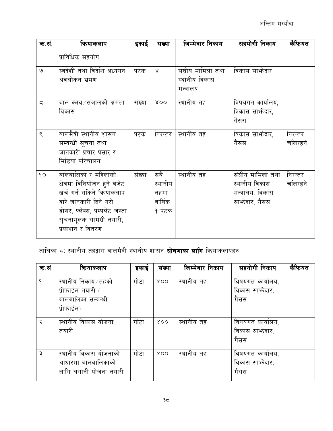| क.सं.                    | कियाकलाप                                                                                                                                                                                    | इकाई   | संख्या                                     | जिम्मेवार निकाय                                | सहयोगी निकाय                                                           | कैफियत             |
|--------------------------|---------------------------------------------------------------------------------------------------------------------------------------------------------------------------------------------|--------|--------------------------------------------|------------------------------------------------|------------------------------------------------------------------------|--------------------|
|                          | प्राविधिक सहयोग                                                                                                                                                                             |        |                                            |                                                |                                                                        |                    |
| ও                        | स्वदेशी तथा विदेशि अध्ययन<br>अवलोकन भ्रमण                                                                                                                                                   | पटक    | $\lambda$                                  | संघीय मामिला तथा<br>स्थानीय विकास<br>मन्त्रालय | विकास साभेदार                                                          |                    |
| $\overline{\phantom{a}}$ | बाल क्लव ∕ संजालको क्षमता<br>विकास                                                                                                                                                          | संख्या | XOO                                        | स्थानीय तह                                     | विषयगत कार्यालय,<br>विकास साभ्रेदार,<br>गैसस                           |                    |
| ९                        | बालमैत्री स्थानीय शासन<br>सम्वन्धी सूचना तथा<br>जानकारी प्रचार प्रसार र<br>मिडिया परिचालन                                                                                                   | पटक    | निरन्तर                                    | स्थानीय तह                                     | विकास साभ्रेदार,<br>गैसस                                               | निरन्तर<br>चलिरहने |
| 90                       | बालबालिका र महिलाको<br>क्षेत्रमा विनियोजन हुने बजेट<br>खर्च गर्न सकिने क्रियाकलाप<br>वारे जानकारी दिने गरी<br>ब्रोसर, फ्लेक्स, पम्पलेट जस्ता<br>सूचनामूलक सामग्री तयारी,<br>प्रकाशन र वितरण | संख्या | सबै<br>स्थानीय<br>तहमा<br>वार्षिक<br>१ पटक | स्थानीय तह                                     | संघीय मामिला तथा<br>स्थानीय विकास<br>मन्त्रालय, विकास<br>साभेदार, गैसस | निरन्तर<br>चलिरहने |

तालिका ८: स्थानीय तहद्वारा बालमैत्री स्थानीय शासन **घोषणाका लागि** कियाकलापहरु

| क.सं.        | कियाकलाप                                                                    | इकाई | संख्या | जिम्मेवार निकाय | सहयोगी निकाय                                 | कैफियत |
|--------------|-----------------------------------------------------------------------------|------|--------|-----------------|----------------------------------------------|--------|
| $\mathsf{P}$ | स्थानीय निकाय ⁄ तहको<br>प्रोफाईल तयारी (<br>बालबालिका सम्बन्धी<br>प्रोफाईल) | गोटा | XOO    | स्थानीय तह      | विषयगत कार्यालय,<br>विकास साभ्रेदार,<br>गैसस |        |
| २            | स्थानीय विकास योजना<br>तयारी                                                | गोटा | XOO    | स्थानीय तह      | विषयगत कार्यालय,<br>विकास साभ्रेदार,<br>गैसस |        |
| ३            | स्थानीय विकास योजनाको<br>आधारमा बालबालिकाको<br>लागि लगानी योजना तयारी       | गोटा | 800    | स्थानीय तह      | विषयगत कार्यालय,<br>विकास साभ्रेदार,<br>गैसस |        |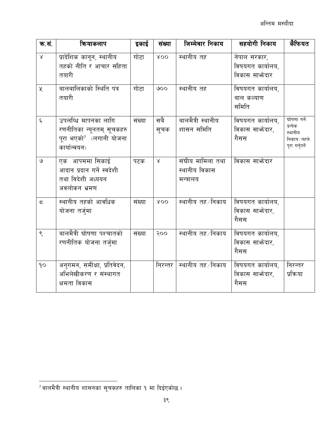| क.सं.              | कियाकलाप                                                                                                | इकाई   | संख्या      | जिम्मेवार निकाय                                | सहयोगी निकाय                                      | कैफियत                                                                |
|--------------------|---------------------------------------------------------------------------------------------------------|--------|-------------|------------------------------------------------|---------------------------------------------------|-----------------------------------------------------------------------|
| $\propto$          | प्रादेशिक कानून, स्थानीय<br>तहको नीति र आचार संहिता<br>तयारी                                            | गोटा   | XOO         | स्थानीय तह                                     | नेपाल सरकार,<br>विषयगत कार्यालय,<br>विकास साभेदार |                                                                       |
| X                  | बालबालिकाको स्थिति पत्र<br>तयारी                                                                        | गोटा   | 000         | स्थानीय तह                                     | विषयगत कार्यालय,<br>बाल कल्याण<br>समिति           |                                                                       |
| $\boldsymbol{\xi}$ | उपलब्धि मापनका लागि<br>रणनीतिका न्यूनतम् सूचकहरु<br>पूरा भएको <sup>7</sup> (लगानी योजना<br>कार्यान्वयन) | संख्या | सबै<br>सूचक | बालमैत्री स्थानीय<br>शासन समिति                | विषयगत कार्यालय,<br>विकास साभेदार,<br>गैसस        | घोषणा गर्ने<br>प्रत्येक<br>स्थानीय<br>निकाय ∕ तहले<br>पूरा गर्नुपर्ने |
| ৩                  | एक आपसमा सिकाई<br>आदान प्रदान गर्ने स्वदेशी<br>तथा विदेशी अध्ययन<br>अवलोकन भ्रमण                        | पटक    | $\propto$   | संघीय मामिला तथा<br>स्थानीय विकास<br>मन्त्रालय | विकास साफेदार                                     |                                                                       |
| $\overline{5}$     | स्थानीय तहको आवधिक<br>योजना तर्जुमा                                                                     | संख्या | XOO         | स्थानीय तह /निकाय                              | विषयगत कार्यालय,<br>विकास साफ़ेदार,<br>गैसस       |                                                                       |
| ९                  | बालमैत्री घोषणा पश्चातको<br>रणनीतिक योजना तर्जुमा                                                       | संख्या | २००         | स्थानीय तह ∕निकाय                              | विषयगत कार्यालय,<br>विकास साभ्रेदार,<br>गैसस      |                                                                       |
| 90                 | अनुगमन, समीक्षा, प्रतिवेदन,<br>अभिलेखीकरण र संस्थागत<br>क्षमता विकास                                    |        | निरन्तर     | स्थानीय तह ∕निकाय                              | विषयगत कार्यालय,<br>विकास साभ्रेदार,<br>गैसस      | निरन्तर<br>प्रक्रिया                                                  |

 $^7$ बालमैत्री स्थानीय शासनका सूचकहरु तालिका १ मा दिईएकोछ ।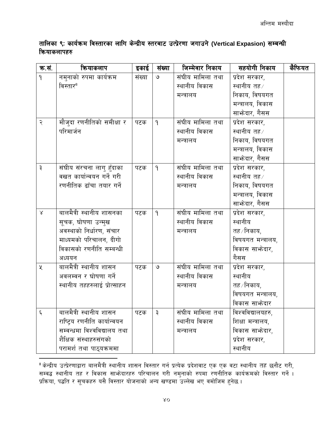तालिका ९: कार्यक्रम विस्तारका लागि केन्द्रीय स्तरबाट उत्प्रेरणा जगाउने (Vertical Expasion) सम्बन्धी कियाकलापहरु

| क.सं.              | कियाकलाप                     | इकाई   | संख्या        | जिम्मेवार निकाय          | सहयोगी निकाय      | कैफियत |
|--------------------|------------------------------|--------|---------------|--------------------------|-------------------|--------|
| $\mathsf{P}$       | नमुनाको रुपमा कार्यक्रम      | संख्या | $\mathcal{O}$ |                          | प्रदेश सरकार,     |        |
|                    | विस्तार <sup>8</sup>         |        |               | स्थानीय विकास            | स्थानीय तह ⁄      |        |
|                    |                              |        |               | मन्त्रालय                | निकाय, विषयगत     |        |
|                    |                              |        |               |                          | मन्त्रालय, विकास  |        |
|                    |                              |        |               |                          | साभ्रेदार, गैसस   |        |
| २                  | मौजुदा रणनीतिको समीक्षा र    | पटक    | $\mathsf{P}$  | <u>संघीय मा</u> मिला तथा | प्रदेश सरकार,     |        |
|                    | परिमार्जन                    |        |               | स्थानीय विकास            | स्थानीय तह ∕      |        |
|                    |                              |        |               | मन्त्रालय                | निकाय, विषयगत     |        |
|                    |                              |        |               |                          | मन्त्रालय, विकास  |        |
|                    |                              |        |               |                          | साभ्रेदार, गैसस   |        |
| ३                  | संघीय संरचना लागु हुँदाका    | पटक    | $\mathsf{P}$  | संघीय मामिला तथा         | प्रदेश सरकार,     |        |
|                    | वखत कार्यान्वयन गर्ने गरी    |        |               | स्थानीय विकास            | स्थानीय तह ∕      |        |
|                    | रणनीतिक ढाँचा तयार गर्ने     |        |               | मन्त्रालय                | निकाय, विषयगत     |        |
|                    |                              |        |               |                          | मन्त्रालय, विकास  |        |
|                    |                              |        |               |                          | साभ्रेदार, गैसस   |        |
| $\propto$          | बालमैत्री स्थानीय शासनका     | पटक    | $\mathsf{P}$  | संघीय मामिला तथा         | प्रदेश सरकार,     |        |
|                    | सूचक, घोषणा उन्मुख           |        |               | स्थानीय विकास            | स्थानीय           |        |
|                    | अवस्थाको निर्धारण, संचार     |        |               | मन्त्रालय                | तह ∕ निकाय,       |        |
|                    | माध्यमको परिचालन, दीगो       |        |               |                          | विषयगत मन्त्रालय, |        |
|                    | विकासको रणनीति सम्बन्धी      |        |               |                          | विकास साभ्रेदार,  |        |
|                    | अध्ययन                       |        |               |                          | गैसस              |        |
| ৼ                  | बालमैत्री स्थानीय शासन       | पटक    | ও             | संघीय मामिला तथा         | प्रदेश सरकार,     |        |
|                    | अवलम्बन र घोषणा गर्ने        |        |               | स्थानीय विकास            | स्थानीय           |        |
|                    | स्थानीय तहहरुलाई प्रोत्साहन  |        |               | मन्त्रालय                | तह ∕ निकाय,       |        |
|                    |                              |        |               |                          | विषयगत मन्त्रालय, |        |
|                    |                              |        |               |                          | विकास साफोदार     |        |
| $\boldsymbol{\xi}$ | बालमैत्री स्थानीय शासन       | पटक    | ३             | संघीय मामिला तथा         | विश्वविद्यालयहरु, |        |
|                    | राष्ट्रिय रणनीति कार्यान्वयन |        |               | स्थानीय विकास            | शिक्षा मन्त्रालय, |        |
|                    | सम्वन्धमा विश्वविद्यालय तथा  |        |               | मन्त्रालय                | विकास साभेदार,    |        |
|                    | शैक्षिक संस्थाहरुसंगको       |        |               |                          | प्रदेश सरकार,     |        |
|                    | परामर्श तथा पाठ्यक्रममा      |        |               |                          | स्थानीय           |        |

<sup>8</sup> केन्द्रीय उत्प्रेरणाद्वारा बालमैत्री स्थानीय शासन विस्तार गर्न प्रत्येक प्रदेशवाट एक एक वटा स्थानीय तह छनौट गरी, सम्बद्ध स्थानीय तह र विकास साभेदारहरु परिचालन गरी नमुनाको रुपमा रणनीतिक कार्यक्रमको विस्तार गर्ने । प्रक्रिया, पद्धति र सूचकहरु यसै विस्तार योजनाको अन्य खण्डमा उल्लेख भए वमोजिम हुनेछ ।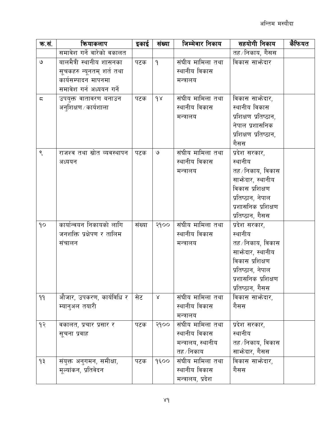| क.सं.                  | कियाकलाप                    | इकाई   | संख्या       | जिम्मेवार निकाय    | सहयोगी निकाय          | कैफियत |
|------------------------|-----------------------------|--------|--------------|--------------------|-----------------------|--------|
|                        | समावेश गर्ने वारेको वकालत   |        |              |                    | तह ∕निकाय, गैसस       |        |
| $\mathsf{G}$           | बालमैत्री स्थानीय शासनका    | पटक    | $\mathsf{P}$ | संघीय मामिला तथा   | विकास साभेदार         |        |
|                        | सूचकहरु न्यूनतम् शर्त तथा   |        |              | स्थानीय विकास      |                       |        |
|                        | कार्यसम्पादन मापनमा         |        |              | मन्त्रालय          |                       |        |
|                        | समावेश गर्न अध्ययन गर्ने    |        |              |                    |                       |        |
| $\overline{\varsigma}$ | उपयुक्त वातावरण बनाउन       | पटक    | 98           | संघीय मामिला तथा   | विकास साभ्रेदार,      |        |
|                        | अनुशिक्षण ⁄ कार्यशाला       |        |              | स्थानीय विकास      | स्थानीय विकास         |        |
|                        |                             |        |              | मन्त्रालय          | प्रशिक्षण प्रतिष्ठान, |        |
|                        |                             |        |              |                    | नेपाल प्रशासनिक       |        |
|                        |                             |        |              |                    | प्रशिक्षण प्रतिष्ठान, |        |
|                        |                             |        |              |                    | गैसस                  |        |
| $\zeta$                | राजश्व तथा स्रोत व्यवस्थापन | पटक    | ও            | संघीय मामिला तथा   | प्रदेश सरकार,         |        |
|                        | अध्ययन                      |        |              | स्थानीय विकास      | स्थानीय               |        |
|                        |                             |        |              | मन्त्रालय          | तह ⁄ निकाय, विकास     |        |
|                        |                             |        |              |                    | साफ्रेदार, स्थानीय    |        |
|                        |                             |        |              |                    | विकास प्रशिक्षण       |        |
|                        |                             |        |              |                    | प्रतिष्ठान, नेपाल     |        |
|                        |                             |        |              |                    | प्रशासनिक प्रशिक्षण   |        |
|                        |                             |        |              |                    | प्रतिष्ठान, गैसस      |        |
| 90                     | कार्यान्वयन निकायको लागि    | संख्या | २१००         | संघीय मामिला तथा   | प्रदेश सरकार,         |        |
|                        | जनशक्ति प्रक्षेपण र तालिम   |        |              | स्थानीय विकास      | स्थानीय               |        |
|                        | संचालन                      |        |              | मन्त्रालय          | तह ∕निकाय, विकास      |        |
|                        |                             |        |              |                    | साफ्रेदार, स्थानीय    |        |
|                        |                             |        |              |                    | विकास प्रशिक्षण       |        |
|                        |                             |        |              |                    | प्रतिष्ठान, नेपाल     |        |
|                        |                             |        |              |                    | प्रशासनिक प्रशिक्षण   |        |
|                        |                             |        |              |                    | प्रतिष्ठान, गैसस      |        |
| 99                     | औजार, उपकरण, कार्यविधि र    | सेट    | $\propto$    | संघीय मामिला तथा   | विकास साभ्रेदार,      |        |
|                        | म्यानुअल तयारी              |        |              | स्थानीय विकास      | गैसस                  |        |
|                        |                             |        |              | मन्त्रालय          |                       |        |
| 93                     | वकालत, प्रचार प्रसार र      | पटक    | २१००         | संघीय मामिला तथा   | प्रदेश सरकार,         |        |
|                        | सूचना प्रवाह                |        |              | स्थानीय विकास      | स्थानीय               |        |
|                        |                             |        |              | मन्त्रालय, स्थानीय | तह ⁄निकाय, विकास      |        |
|                        |                             |        |              | तह ∕ निकाय         | साभ्रेदार, गैसस       |        |
| १३                     | संयुक्त अनुगमन, समीक्षा,    | पटक    | 9500         | संघीय मामिला तथा   | विकास साभ्रेदार,      |        |
|                        | मूल्यांकन, प्रतिवेदन        |        |              | स्थानीय विकास      | गैसस                  |        |
|                        |                             |        |              | मन्त्रालय, प्रदेश  |                       |        |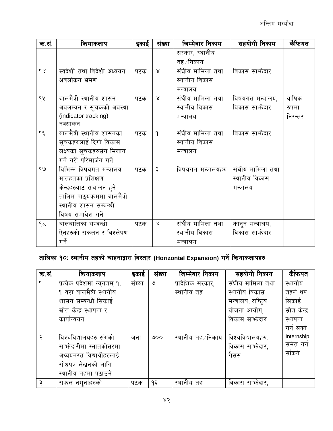| क.सं. | कियाकलाप                    | इकाई | संख्या       | जिम्मेवार निकाय     | सहयोगी निकाय      | कैफियत  |
|-------|-----------------------------|------|--------------|---------------------|-------------------|---------|
|       |                             |      |              | सरकार, स्थानीय      |                   |         |
|       |                             |      |              | तह ∕ निकाय          |                   |         |
| 98    | स्वदेशी तथा विदेशी अध्ययन   | पटक  | $\propto$    | संघीय मामिला तथा    | विकास साभेदार     |         |
|       | अवलोकन भ्रमण                |      |              | स्थानीय विकास       |                   |         |
|       |                             |      |              | मन्त्रालय           |                   |         |
| 9X    | बालमैत्री स्थानीय शासन      | पटक  | $\lambda$    | संघीय मामिला तथा    | विषयगत मन्त्रालय, | वार्षिक |
|       | अवलम्वन र सूचकको अवस्था     |      |              | स्थानीय विकास       | विकास साफेदार     | रुपमा   |
|       | (indicator tracking)        |      |              | मन्त्रालय           |                   | निरन्तर |
|       | नक्सांकन                    |      |              |                     |                   |         |
| ۹६    | बालमैत्री स्थानीय शासनका    | पटक  | $\mathsf{P}$ | संघीय मामिला तथा    | विकास साफ़ेदार    |         |
|       | सूचकहरुलाई दिगो विकास       |      |              | स्थानीय विकास       |                   |         |
|       | लक्ष्यका सूचकहरुसंग मिलान   |      |              | मन्त्रालय           |                   |         |
|       | गर्ने गरी परिमार्जन गर्ने   |      |              |                     |                   |         |
| 90    | विभिन्न विषयगत मन्त्रालय    | पटक  | ३            | विषयगत मन्त्रालयहरु | संघीय मामिला तथा  |         |
|       | मातहतका प्रशिक्षण           |      |              |                     | स्थानीय विकास     |         |
|       | केन्द्रहरुवाट संचालन हुने   |      |              |                     | मन्त्रालय         |         |
|       | तालिम पाठ्यक्रममा बालमैत्री |      |              |                     |                   |         |
|       | स्थानीय शासन सम्वन्धी       |      |              |                     |                   |         |
|       | विषय समावेश गर्ने           |      |              |                     |                   |         |
| 95    | बालबालिका सम्वन्धी          | पटक  | $\mathsf{X}$ | संघीय मामिला तथा    | कानून मन्त्रालय,  |         |
|       | ऐनहरुको संकलन र विश्लेषण    |      |              | स्थानीय विकास       | विकास साभोदार     |         |
|       | गर्ने                       |      |              | मन्त्रालय           |                   |         |

# तालिका १०: स्थानीय तहको चाहनाद्वारा विस्तार (Horizontal Expansion) गर्ने कियाकलापहरु

| क.सं.        | कियाकलाप                      | इकाई   | संख्या | जिम्मेवार निकाय   | सहयोगी निकाय         | कैफियत        |
|--------------|-------------------------------|--------|--------|-------------------|----------------------|---------------|
| $\mathsf{P}$ | प्रत्येक प्रदेशमा न्यूनतम् १, | संख्या | ৩      | प्रादेशिक सरकार,  | संघीय मामिला तथा     | स्थानीय       |
|              | १ वटा बालमैत्री स्थानीय       |        |        | स्थानीय तह        | स्थानीय विकास        | तहले थप       |
|              | शासन सम्बन्धी सिकाई           |        |        |                   | मन्त्रालय, राष्ट्रिय | सिकाई         |
|              | स्रोत केन्द्र स्थापना र       |        |        |                   | योजना आयोग,          | स्रोत केन्द्र |
|              | कार्यान्वयन                   |        |        |                   | विकास साफोदार        | स्थापना       |
|              |                               |        |        |                   |                      | गर्न सक्ने    |
| २            | विश्वविद्यालयहरु संगको        | जना    | 000    | स्थानीय तह ∕निकाय | विश्वविद्यालयहरु,    | Internship    |
|              | साफ़ेदारीमा स्नातकोत्तरमा     |        |        |                   | विकास साफोदार,       | समेत गर्न     |
|              | अध्ययनरत विद्यार्थीहरुलाई     |        |        |                   | गैसस                 | सकिने         |
|              | सोधपत्र लेखनको लागि           |        |        |                   |                      |               |
|              | स्थानीय तहमा पठाउने           |        |        |                   |                      |               |
| ३            | सफल नम्नाहरुको                | पटक    | १६     | स्थानीय तह        | विकास साभ्रेदार,     |               |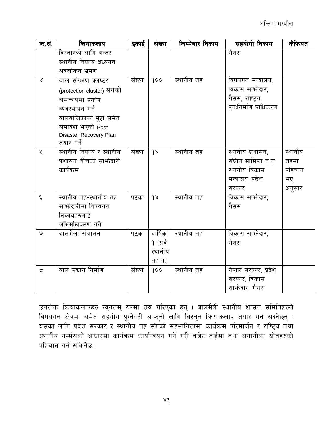| क.सं.          | कियाकलाप                   | इकाई   | संख्या              | जिम्मेवार निकाय | सहयोगी निकाय          | कैफियत  |
|----------------|----------------------------|--------|---------------------|-----------------|-----------------------|---------|
|                | विस्तारको लागि अन्तर       |        |                     |                 | गैसस                  |         |
|                | स्थानीय निकाय अध्ययन       |        |                     |                 |                       |         |
|                | अवलोकन भ्रमण               |        |                     |                 |                       |         |
| $\propto$      | बाल संरक्षण क्लष्टर        | संख्या | 900                 | स्थानीय तह      | विषयगत मन्त्रालय,     |         |
|                | (protection cluster) संगको |        |                     |                 | विकास साफ़ेदार,       |         |
|                | समन्वयमा प्रकोप            |        |                     |                 | गैसस, राष्ट्रिय       |         |
|                | व्यवस्थापन गर्न            |        |                     |                 | पुनःनिर्माण प्राधिकरण |         |
|                | बालबालिकाका मुद्दा समेत    |        |                     |                 |                       |         |
|                | समावेश भएको Post           |        |                     |                 |                       |         |
|                | Disaster Recovery Plan     |        |                     |                 |                       |         |
|                | तयार गर्ने                 |        |                     |                 |                       |         |
| $\chi$         | स्थानीय निकाय र स्थानीय    | संख्या | 98                  | स्थानीय तह      | स्थानीय प्रशासन,      | स्थानीय |
|                | प्रशासन वीचको साभ्रेदारी   |        |                     |                 | संघीय मामिला तथा      | तहमा    |
|                | कार्यक्रम                  |        |                     |                 | स्थानीय विकास         | पहिचान  |
|                |                            |        |                     |                 | मन्त्रालय, प्रदेश     | भए      |
|                |                            |        |                     |                 | सरकार                 | अनुसार  |
| $\xi$          | स्थानीय तह-स्थानीय तह      | पटक    | 98                  | स्थानीय तह      | विकास साभ्रेदार,      |         |
|                | साफ्रेदारीमा विषयगत        |        |                     |                 | गैसस                  |         |
|                | निकायहरुलाई                |        |                     |                 |                       |         |
|                | अभिमुखिकरण गर्ने           |        |                     |                 |                       |         |
| ও              | बालभेला संचालन             | पटक    | वार्षिक             | स्थानीय तह      | विकास साफोदार,        |         |
|                |                            |        | १ (सवै              |                 | गैसस                  |         |
|                |                            |        | स्थानीय             |                 |                       |         |
|                |                            |        | $\overline{d}$ तहमा |                 |                       |         |
| $\overline{5}$ | बाल उद्यान निर्माण         | संख्या | 900                 | स्थानीय तह      | नेपाल सरकार, प्रदेश   |         |
|                |                            |        |                     |                 | सरकार, विकास          |         |
|                |                            |        |                     |                 | साफ्रेदार, गैसस       |         |

उपरोक्त क्रियाकलापहरु न्यूनतम् रुपमा तय गरिएका हुन् । बालमैत्री स्थानीय शासन समितिहरुले विषयगत क्षेत्रमा समेत सहयोग पुग्नेगरी आफ्नो लागि विस्तृत क्रियाकलाप तयार गर्न सक्नेछन् । यसका लागि प्रदेश सरकार र स्थानीय तह संगको सहभागितामा कार्यक्रम परिमार्जन र राष्ट्रिय तथा स्थानीय नर्म्मसको आधारमा कार्यक्रम कार्यान्वयन गर्ने गरी बजेट तर्जुमा तथा लगानीका स्रोतहरुको पहिचान गर्न सकिनेछ ।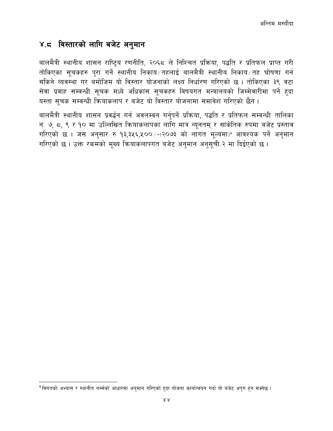#### <span id="page-43-0"></span>४.८ विस्तारको लागि बजेट अनुमान

बालमैत्री स्थानीय शासन राष्ट्रिय रणनीति, २०६८ ले निश्चित प्रक्रिया, पद्धति र प्रतिफल प्राप्त गरी तोकिएका सूचकहरु पुरा गर्ने स्थानीय निकाय तहलाई बालमैत्री स्थानीय निकाय तह घोषणा गर्न सकिने व्यवस्था गर बमोजिम यो विस्तार योजनाको लक्ष्य निर्धारण गरिएको छ। तोकिएका ३९ वटा सेवा प्रवाह सम्वन्धी सूचक मध्ये अधिकांस सूचकहरु विषयगत मन्त्रालयको जिम्मेवारीमा पर्ने हुदा यस्ता सूचक सम्वन्धी कियाकलाप र बजेट यो विस्तार योजनामा समावेश गरिएको छैन ।

बालमैत्री स्थानीय शासन प्रवर्द्धन गर्न अवलम्वन गर्नुपर्ने प्रक्रिया, पद्धति र प्रतिफल सम्वन्धी तालिका नं. ७, ८, ९ र १० मा उल्लिखित कियाकलापका लागि मात्र न्यूनतम् र सांकेतिक रुपमा बजेट प्रस्ताव गरिएको छ । जस अनुसार रु १३,३५६,५००/-(२०७३ को लागत मूल्यमा) आवश्यक पर्ने अनुमान गरिएको छ। उक्त रकमको मूख्य क्रियाकलापगत बजेट अनुमान अनुसूची २ मा दिईएको छ।

<sup>&</sup>lt;sup>9</sup> विगतको अभ्यास र स्थानीय नर्म्सको आधारमा अन्**मान गरिएको हदा योजना कार्यान्वयन गर्दा** यो बजेट अपुग हन सक्नेछ ।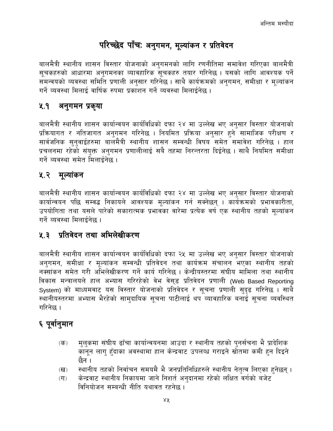# परिच्छेद पाँचः अनुगमन, मूल्यांकन र प्रतिवेदन

<span id="page-44-0"></span>बालमैत्री स्थानीय शासन विस्तार योजनाको अनुगमनको लागि रणनीतिमा समावेश गरिएका बालमैत्री सूचकहरुको आधारमा अनुगमनका व्यावहारिक सूचकहरु तयार गरिनेछ । यसको लागि आवश्यक पर्ने समन्वयको व्यवस्था समिति प्रणाली अनुसार गरिनेछ । साथै कार्यक्रमको अनुगमन, समीक्षा र मुल्यांकन गर्ने व्यवस्था मिलाई वार्षिक रुपमा प्रकाशन गर्ने व्यवस्था मिलाईनेछ ।

#### <span id="page-44-1"></span>ሂ. $9$ अनुगमन प्रकृया

बालमैत्री स्थानीय शासन कार्यान्वयन कार्यविधिको दफा २४ मा उल्लेख भए अनुसार विस्तार योजनाको प्रक्रियागत र नतिजागत अनुगमन गरिनेछ । नियमित प्रक्रिया अनुसार हुने सामाजिक परीक्षण र सार्वजनिक सनवाईहरुमा बालमैत्री स्थानीय शासन सम्वन्धी विषय समेत समावेश गरिनेछ । हाल प्रचलनमा रहेको संयुक्त अनुगमन प्रणालीलाई सबै तहमा निरन्तरता दिईनेछ । साथै नियमित समीक्षा गर्ने व्यवस्था समेत मिलाईनेछ ।

#### <span id="page-44-2"></span>५.२ मूल्यांकन

बालमैत्री स्थानीय शासन कार्यान्वयन कार्यविधिको दफा २४ मा उल्लेख भए अनुसार विस्तार योजनाको कार्यान्वयन पछि सम्वद्ध निकायले आवश्यक मूल्यांकन गर्न सक्नेछन् । कार्यक्रमको प्रभावकारीता, उपयोगिता तथा यसले पारेको सकारात्मक प्रभावका वारेमा प्रत्येक वर्ष एक स्थानीय तहको मल्यांकन गर्ने व्यवस्था मिलाईनेछ ।

#### <span id="page-44-3"></span>५.३ प्रतिवेदन तथा अभिलेखीकरण

बालमैत्री स्थानीय शासन कार्यान्वयन कार्यविधिको दफा २५ मा उल्लेख भए अनुसार विस्तार योजनाको अनुगमन, समीक्षा र मूल्यांकन सम्वन्धी प्रतिवेदन तथा कार्यक्रम संचालन भएका स्थानीय तहको नक्सांकन समेत गरी अभिलेखीकरण गर्ने कार्य गरिनेछ । केन्द्रीयस्तरमा संघीय मामिला तथा स्थानीय विकास मन्त्रालयले हाल अभ्यास गरिरहेको वेभ वेसुड प्रतिवेदन प्रणाली (Web Based Reporting System) को माध्यमवाट यस विस्तार योजनाको प्रतिवेदन र सूचना प्रणाली सुदृढ गरिनेछ । साथै स्थानीयस्तरमा अभ्यास भैरहेको सामुदायिक सूचना पाटीलाई थप व्यावहारिक बनाई सूचना व्यवस्थित गरिनेछ ।

## <span id="page-44-4"></span>६ पूर्वानुमान

- मुलुकमा संघीय ढाँचा कार्यान्वयनमा आउदा र स्थानीय तहको पुनर्संचना भै प्रादेशिक  $(\overline{d}$ कानून लाग् हँदाका अवस्थामा हाल केन्द्रवाट उपलव्ध गराइने स्रोतमा कमी हुन दिइने छैन ।
- स्थानीय तहको निर्वाचन समयमै भै जनप्रतिनिधिहरुले स्थानीय नेतृत्व लिएका हुनेछन् ।  $(\overline{d})$
- केन्द्रवाट स्थानीय निकायमा जाने निशर्त अनुदानमा रहेको लक्षित वर्गको बजेट  $(T)$ विनियोजन सम्बन्धी नीति यथावत रहनेछ ।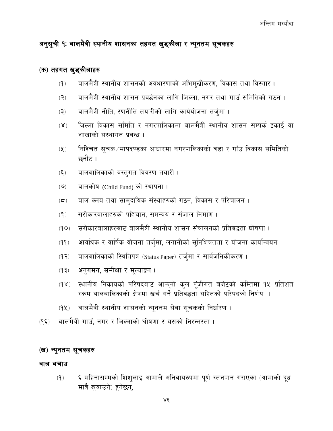#### <span id="page-45-0"></span>अनुसूची १ः बालमैत्री स्थानीय शासनका तहगत खुड्कीला र न्यूनतम सूचकहरु

#### (क) तहगत खुड्कीलाहरु

- बालमैत्री स्थानीय शासनको अवधारणाको अभिमुखीकरण, विकास तथा विस्तार ।  $(9)$
- बालमैत्री स्थानीय शासन प्रवर्द्धनका लागि जिल्ला, नगर तथा गाउँ समितिको गठन ।  $(5)$
- बालमैत्री नीति, रणनीति तयारीको लागि कार्ययोजना तर्जुमा ।  $(5)$
- जिल्ला विकास समिति र नगरपालिकामा बालमैत्री स्थानीय शासन सम्पर्क इकाई वा  $(\lambda)$ शाखाको संस्थागत प्रवन्ध ।
- निश्चित सूचक⁄मापदण्डका आधारमा नगरपालिकाको वडा र गाँउ विकास समितिको  $(\lambda)$ छनौट ।
- बालबालिकाको वस्तुगत विवरण तयारी ।  $(\xi)$
- बालकोष (Child Fund) को स्थापना ।  $(9)$
- बाल क्लब तथा सामुदायिक संस्थाहरुको गठन, विकास र परिचालन ।  $(\boldsymbol{\varsigma})$
- सरोकारवालाहरुको पहिचान, समन्वय र संजाल निर्माण ।  $(9)$
- सरोकारबालाहरुबाट बालमैत्री स्थानीय शासन संचालनको प्रतिबद्धता घोषणा ।  $(OP)$
- आवधिक र वार्षिक योजना तर्जमा, लगानीको सुनिश्चितता र योजना कार्यान्वयन ।  $(99)$
- बालबालिकाको स्थितिपत्र (Status Paper) तर्जुमा र सार्वजनिकीकरण ।  $(92)$
- अनुगमन, समीक्षा र मूल्याङ्कन ।  $(5P)$
- स्थानीय निकायको परिषदबाट आफुनो कुल पुंजीगत बजेटको कम्तिमा १५ प्रतिशत  $(Y)$ रकम बालबालिकाको क्षेत्रमा खर्च गर्ने प्रतिवद्धता सहितको परिषदको निर्णय ।
- बालमैत्री स्थानीय शासनको न्यूनतम सेवा सूचकको निर्धारण ।  $(9x)$
- बालमैत्री गाउँ, नगर र जिल्लाको घोषणा र यसको निरन्तरता ।  $(9\xi)$

#### (ख) न्यूनतम सूचकहरु

#### बाल बचाउ

६ महिनासम्मको शिशुलाई आमाले अनिवार्यरुपमा पूर्ण स्तनपान गराएका (आमाको दूध  $(9)$ मात्रै खुवाउने) हुनेछन्,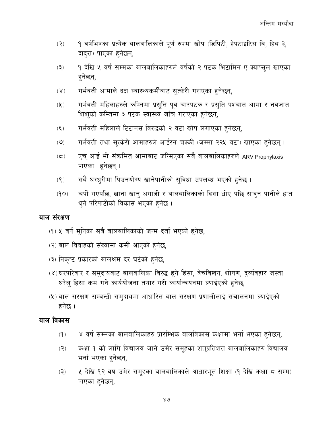- १ वर्षभित्रका प्रत्येक बालबालिकाले पूर्ण रुपमा खोप (डिपिटी, हेपटाइटिस बि, हिब ३,  $(5)$ दाद्रा) पाएका हनेछन्,
- 9 देखि ५ वर्ष सम्मका बालबालिकाहरुले वर्षको २ पटक भिटामिन ए क्याप्सुल खाएका  $(5)$ हनेछन्,
- गर्भवती आमाले दक्ष स्वास्थ्यकर्मीबाट सुत्केरी गराएका हुनेछन्,  $(\lambda)$
- गर्भवती महिलाहरुले कम्तिमा प्रसुति पूर्व चारपटक र प्रसुति पश्चात आमा र नवजात  $(\chi)$ शिशको कम्तिमा ३ पटक स्वास्थ्य जाँच गराएका हुनेछन्,
- गर्भवती महिलाले टिटानस विरुद्धको २ वटा खोप लगाएका हुनेछन्,  $(\xi)$
- गर्भवती तथा सुत्केरी आमाहरुले आईरन चक्की (जम्मा २२५ वटा) खाएका हुनेछन्।  $(\mathcal{O})$
- एच् आई भी संक्रमित आमाबाट जन्मिएका सबै बालबालिकाहरुले ARV Prophylaxis  $(\boldsymbol{\Xi})$ पाएका हनेछन्।
- सबै घरधुरीमा पिउनयोग्य खानेपानीको सुविधा उपलब्ध भएको हुनेछ ।  $(9)$
- चर्पी गएपछि, खाना खान् अगाडी र बालबालिकाको दिसा धोए पछि साव्न पानीले हात  $(9P)$ धुने परिपाटीको विकास भएको हुनेछ।

#### बाल संरक्षण

- (१) ५ वर्ष मुनिका सबै बालबालिकाको जन्म दर्ता भएको हुनेछ,
- (२) बाल विवाहको संख्यामा कमी आएको हुनेछ,
- (३) निकृष्ट प्रकारको बालश्रम दर घटेको हुनेछ,
- (४)घरपरिवार र समुदायबाट बालबालिका विरुद्ध हुने हिंसा, वेचविखन, शोषण, दर्व्यवहार जस्ता घरेलु हिंसा कम गर्ने कार्ययोजना तयार गरी कार्यान्वयनमा ल्याईएको हुनेछ,
- (५) बाल संरक्षण सम्बन्धी समदायमा आधारित बाल संरक्षण प्रणालीलाई संचालनमा ल्याईएको हनेछ ।

#### बाल विकास

- ४ वर्ष सम्मका बालबालिकाहरु प्रारम्भिक बालविकास कक्षामा भर्ना भएका हुनेछन्,  $(9)$
- कक्षा १ को लागि विद्यालय जाने उमेर समूहका शत्प्रतिशत बालबालिकाहरु विद्यालय  $(5)$ भर्ना भएका हनेछन्,
- ५ देखि १२ वर्ष उमेर समहका बालबालिकाले आधारभूत शिक्षा (१ देखि कक्षा ८ सम्म)  $(5)$ पाएका हनेछन्,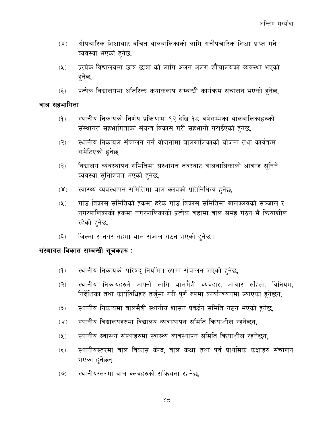- औपचारिक शिक्षाबाट वंचित बालबालिकाको लागि अनौपचारिक शिक्षा प्राप्त गर्ने  $(Y)$ व्यवस्था भएको हुनेछ,
- प्रत्येक विद्यालयमा छात्र छात्रा को लागि अलग अलग शौचालयको व्यवस्था भएको  $(2)$ हनेछ,
- प्रत्येक विद्यालयमा अतिरिक्त कृयाकलाप सम्बन्धी कार्यक्रम संचालन भएको हुनेछ,  $(\xi)$

#### बाल सहभागिता

- स्थानीय निकायको निर्णय प्रक्रियामा १२ देखि १८ वर्षसम्मका बालबालिकाहरुको  $(9)$ संस्थागत सहभागिताको संयन्त्र विकास गरी सहभागी गराईएको हुनेछ,
- स्थानीय निकायले संचालन गर्ने योजनामा बालबालिकाको योजना तथा कार्यक्रम  $(5)$ समेटिएको हनेछ,
- विद्यालय व्यवस्थापन समितिमा संस्थागत तवरवाट बालवालिकाको आवाज सुनिने  $(5)$ व्यवस्था सुनिश्चित भएको हुनेछ,
- स्वास्थ्य व्यवस्थापन समितिमा बाल क्लवको प्रतिनिधित्व हुनेछ,  $(Y)$
- गाँउ विकास समितिको हकमा हरेक गाँउ विकास समितिमा बालक्लवको सञ्जाल र  $(\lambda)$ नगरपालिकाको हकमा नगरपालिकाको प्रत्येक वडामा बाल समह गठन भै कियाशील रहेको हनेछ,
- जिल्ला र नगर तहमा बाल संजाल गठन भएको हुनेछ ।  $(\xi)$

#### संस्थागत विकास सम्बन्धी सूचकहरु:

- स्थानीय निकायको परिषद् नियमित रुपमा संचालन भएको हुनेछ,  $(9)$
- स्थानीय निकायहरुले आफ्नो लागि बालमैत्री व्यवहार, आचार संहिता, विनियम,  $(5)$ निर्देशिका तथा कार्यविधिहरु तर्जुमा गरी पूर्ण रुपमा कार्यान्वयनमा ल्याएका हुनेछन्,
- स्थानीय निकायमा बालमैत्री स्थानीय शासन प्रवर्द्धन समिति गठन भएको हुनेछ,  $(5)$
- स्थानीय विद्यालयहरुमा विद्यालय व्यवस्थापन समिति क्रियाशील रहनेछन्,  $(Y)$
- स्थानीय स्वास्थ्य संस्थाहरुमा स्वास्थ्य व्यवस्थापन समिति क्रियाशील रहनेछन्,  $(\lambda)$
- स्थानीयस्तरमा बाल विकास केन्द्र, बाल कक्षा तथा पूर्व प्राथमिक कक्षाहरु संचालन  $(\xi)$ भएका हनेछन्,
- स्थानीयस्तरमा बाल क्लवहरुको सक्रियता रहनेछ,  $(9)$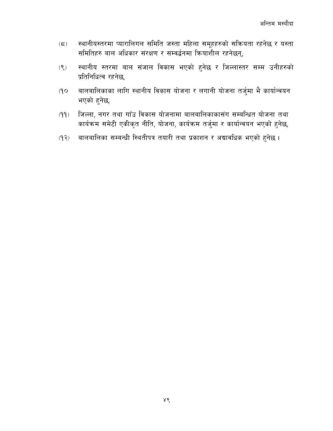- स्थानीयस्तरमा प्यारालिगल समिति जस्ता महिला समूहहरुको सक्रियता रहनेछ र यस्ता  $(5)$ समितिहरु बाल अधिकार संरक्षण र सम्वर्द्धनमा क्रियाशील रहनेछन्,
- स्थानीय स्तरमा बाल संजाल विकास भएको हुनेछ र जिल्लास्तर सम्म उनीहरुको  $(9)$ प्रतिनिधित्व रहनेछ,
- बालबालिकाका लागि स्थानीय विकास योजना र लगानी योजना तर्जुमा भै कार्यान्वयन  $O(P)$ भएको हनेछ,
- जिल्ला, नगर तथा गाँउ विकास योजनामा बालबालिकाकासंग सम्बन्धित योजना तथा  $(99)$ कार्यक्रम समेटी एकीकृत नीति, योजना, कार्यक्रम तर्जुमा र कार्यान्वयन भएको हुनेछ,
- बालबालिका सम्बन्धी स्थितीपत्र तयारी तथा प्रकाशन र अद्यावधिक भएको हुनेछ ।  $(5P)$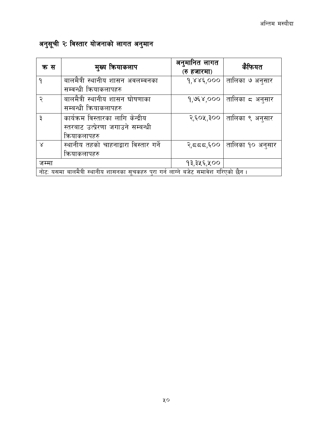# <span id="page-49-0"></span>अनुसूची २ः विस्तार योजनाको लागत अनुमान

| क स                                                                                  | मुख्य कियाकलाप                         | अनुमानित लागत<br>(रु हजारमा) | कैफियत                      |
|--------------------------------------------------------------------------------------|----------------------------------------|------------------------------|-----------------------------|
| ٩                                                                                    | बालमैत्री स्थानीय शासन अवलम्वनका       | 9.886,000                    | तालिका ७ अनुसार             |
|                                                                                      | सम्वन्धी कियाकलापहरु                   |                              |                             |
| २                                                                                    | बालमैत्री स्थानीय शासन घोषणाका         | $9,958,000$                  | तालिका ८ अनुसार             |
|                                                                                      | सम्बन्धी कियाकलापहरु                   |                              |                             |
| ३                                                                                    | कार्यक्रम विस्तारका लागि केन्द्रीय     |                              | २,६०५,३००   तालिका ९ अनुसार |
|                                                                                      | स्तरबाट उत्प्रेरणा जगाउने सम्बन्धी     |                              |                             |
|                                                                                      | कियाकलापहरु                            |                              |                             |
| $\times$                                                                             | स्थानीय तहको चाहनाद्वारा विस्तार गर्ने | $  \cos \zeta$ र             | तालिका १० अनुसार            |
|                                                                                      | कियाकलापहरु                            |                              |                             |
| जम्मा                                                                                |                                        | १३,३५६,५००                   |                             |
| नोट: यसमा बालमैत्री स्थानीय शासनका सूचकहरु पुरा गर्न लाग्ने बजेट समावेश गरिएको छैन । |                                        |                              |                             |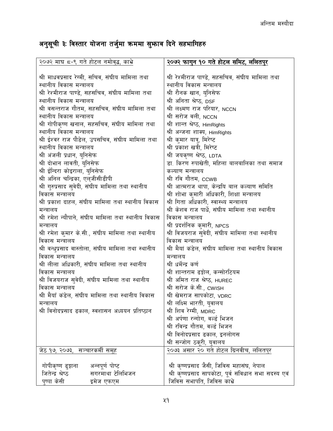# <span id="page-50-0"></span>अनुसूची ३ः विस्तार योजना तर्जुमा क्रममा सुभ्राव दिने सहभागिहरु

| २०७२ माघ ८-९ गते होटल नमोवुद्ध, काभ्रे              | <u>२०७२ फागुन १० गते होटल समिट, ललितपुर</u>           |
|-----------------------------------------------------|-------------------------------------------------------|
|                                                     |                                                       |
| श्री माधवप्रसाद रेग्मी, सचिव, संघीय मामिला तथा      | श्री रेश्मीराज पाण्डे, सहसचिव, संघीय मामिला तथा       |
| स्थानीय विकास मन्त्रालय                             | स्थानीय विकास मन्त्रालय                               |
| श्री रेश्मीराज पाण्डे, सहसचिव, संघीय मामिला तथा     | श्री रौनक खान, युनिसेफ                                |
| स्थानीय विकास मन्त्रालय                             | श्री अनिता श्रेष्ठ, DSF                               |
| श्री वसन्तराज गौतम, सहसचिव, संघीय मामिला तथा        | श्री लक्ष्मण राज परियार, NCCN                         |
| स्थानीय विकास मन्त्रालय                             | श्री सरोज वली, NCCN                                   |
| श्री गोपीकृष्ण खनाल, सहसचिव, संघीय मामिला तथा       | श्री शान्त श्रेष्ठ, HimRights                         |
| स्थानीय विकास मन्त्रालय                             | श्री अन्जना शाक्य, HimRights                          |
| श्री ईश्वर राज पौडेल, उपसचिव, संघीय मामिला तथा      | श्री कुमार यात्रु, मिरेष्ट                            |
| स्थानीय विकास मन्त्रालय                             | श्री प्रकाश खत्री, मिरेष्ट                            |
| श्री अंजली प्रधान, युनिसेफ                          | श्री जयकृष्ण श्रेष्ठ, LDTA                            |
| श्री दोभान लावती, युनिसेफ                           | डा. किरण रुपाखेती, महिला बालबालिका तथा समाज           |
| श्री ईन्दिरा कोइराला, युनिसेफ                       | कल्याण मन्त्रालय                                      |
| श्री अनिल चन्द्रिका, एल्जीसीडीपी                    | श्री रवि गौतम, CCWB                                   |
| श्री गुरुप्रसाद सुवेदी, संघीय मामिला तथा स्थानीय    | श्री आत्मराज थापा, केन्द्रयि बाल कल्याण समिति         |
| विकास मन्त्रालय                                     | श्री शोभा कुमारी अधिकारी, शिक्षा मन्त्रालय            |
| श्री प्रकाश दाहल, संघीय मामिला तथा स्थानीय विकास    | श्री गिता अधिकारी, स्वास्थ्य मन्त्रालय                |
| मन्त्रालय                                           | श्री केशव राज पार्धे, संघीय मामिला तथा स्थानीय        |
| श्री रमेश न्यौपाने, संघीय मामिला तथा स्थानीय विकास  | विकास मन्त्रालय                                       |
| मन्त्रालय                                           | श्री प्रदर्शनिक कुमारी, NPCS                          |
| श्री रमेश कुमार के.सी., संघीय मामिला तथा स्थानीय    | श्री विजयराज सुवेदी, संघीय मामिला तथा स्थानीय         |
| विकास मन्त्रालय                                     | विकास मन्त्रालय                                       |
| श्री वन्धुप्रसाद वास्तोला, संघीय मामिला तथा स्थानीय | श्री मैयां कंडेल, संघीय मामिला तथा स्थानीय विकास      |
| विकास मन्त्रालय                                     | मन्त्रालय                                             |
| श्री लीला अधिकारी, संघीय मामिला तथा स्थानीय         | श्री धर्मेन्द्र कर्ण                                  |
| विकास मन्त्रालय                                     | श्री शान्तराम ढङ्गोल, कन्सोरटियम                      |
| श्री विजयराज सुवेदी, संघीय मामिला तथा स्थानीय       | श्री अमित राज श्रेष्ठ, HUREC                          |
| विकास मन्त्रालय                                     | श्री सरोज के.सी., CWISH                               |
| श्री मैयाँ कंडेल, संघीय मामिला तथा स्थानीय विकास    | श्री खेमराज सापकोटा, VDRC                             |
| मन्त्रालय                                           | श्री लक्ष्मि भारती, युवालय                            |
| श्री विनोदप्रसाद ढकाल, स्वशासन अध्ययन प्रतिष्ठान    | श्री शिव रेग्मी, MDRC                                 |
|                                                     | श्री अर्पणा रन्गोग, वर्ल्ड भिजन                       |
|                                                     | श्री रविन्द्र गौतम, वर्ल्ड भिजन                       |
|                                                     | श्री विनोदप्रसाद ढकाल, इनलोगस                         |
|                                                     | श्री सन्जोग ठकूरी, युवालय                             |
| जेठ १७, २०७३,  सञ्चारकर्मी समूह                     | २०७३ असार २० गते होटल ग्रिनवीच, ललितपुर               |
|                                                     |                                                       |
| गोपीकृष्ण ढुङ्गाना<br>अन्नपूर्ण पोष्ट               | श्री कृष्णप्रसाद जैसी, जिविस महासंघ, नेपाल            |
| जितेन्द्र श्रेष्ठ<br>सगरमाथा टेलिभिजन               | श्री कृष्णप्रसाद सापकोटा, पूर्व संविधान सभा सदस्य एवं |
| पुष्पा केसी<br>इमेज एफएम                            | जिविस सभापति, जिविस काभ्रे                            |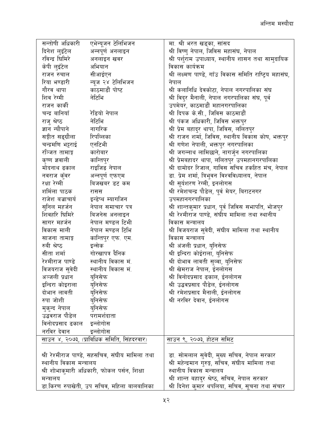| सन्तोषी अधिकारी                                 | एभेन्यूजन टेलिभिजन                         | मा. श्री भरत खड्का, सांसद                               |
|-------------------------------------------------|--------------------------------------------|---------------------------------------------------------|
| दिनेश लुइँटेल                                   | अन्नपूर्ण अनलाइन                           | श्री विष्णु नेपाल, जिविस महासंघ, नेपाल                  |
| रविन्द्र धिमिरे                                 | अनलाइन खवर                                 | श्री पर्शुराम उपाध्याय, स्थानीय शासन तथा सामुदायिक      |
| केपी लुइँटेल                                    | अभियान                                     | विकास कार्यक्रम                                         |
| राजन रुचाल                                      | सीआईएन                                     | श्री लक्ष्मण पाण्डे, गाँउ विकास समिति राष्ट्रिय महासंघ, |
| रिया भण्डारी                                    | न्यूज २४ टेलिभिजन                          | नेपाल                                                   |
| गौरव थापा                                       | काठमाडौं पोष्ट                             | श्री कलानिधि देवकोटा, नेपाल नगरपालिका संघ               |
| शिव रेग्मी                                      | नेटिभि                                     | श्री विदुर मैनाली, नेपाल नगरपालिका संघ, पूर्व           |
| राजन काकी                                       |                                            | उपमेयर, काठमाडौं महानगरपालिका                           |
| चन्द्र बानियाँ                                  | रेडियो नेपाल                               | श्री दिपक के.सी., जिविस काठमाडौं                        |
| राज् श्रेष्ठ                                    | नेटिभि                                     | श्री पंकज अधिकारी, जिविस भक्तपुर                        |
| ज्ञान न्यौपाने                                  | नागरिक                                     | श्री प्रेम बहादुर थापा, जिविस, ललितपुर                  |
| सङ्गीत सङ्ग्रौला                                | रिपव्लिका                                  | श्री राजन शर्मा, जिविस, स्थानीय विकास कोष, भक्तपुर      |
| चन्द्रमणि भट्टराई                               | एनटिभी                                     | श्री गणेश नेपाली, भक्तपुर नगरपालिका                     |
| रञ्जित तामाङ्ग                                  | कारोबार                                    | श्री जगन्नाथ लामिछाने, नागर्जुन नगरपालिका               |
| कृष्ण ज्ञवाली                                   | कान्तिपुर                                  | श्री प्रेमबहादर थापा, ललितपुर उपमहानगरपालिका            |
| मोदनाथ ढकाल                                     | राइजिङ नेपाल                               | श्री दामोदर रिजाल, गाविस सचिव हर्काहत मंच, नेपाल        |
| नवराज कुँवर                                     | अन्नपूर्ण एफएम                             | डा. प्रेम शर्मा, त्रिभुवन विश्वविध्यालय, नेपाल          |
| रक्षा रेग्मी                                    | बिजखबर डट कम                               | श्री सूर्यशरण रेग्मी, इनलोगस                            |
| शर्मिला पाठक                                    | रासस                                       | श्री रमेशचन्द्र पौडेल, पूर्व मेयर, बिराटनगर             |
| राजेश बज्राचार्य                                | इन्डेप्थ म्यागजिन                          | उपमहानगरपालिका                                          |
| सुनिल महर्जन                                    | नेपाल समाचार पत्र                          | श्री शान्तकुमार प्रधान, पूर्व जिविस सभापति, भोजपुर      |
| शिवहरि घिमिरे                                   | बिजनेस अनलाइन                              | श्री रेश्मीराज पाण्डे, संघीय मामिला तथा स्थानीय         |
| सागर महर्जन                                     | नेपाल मण्डल टिभी                           | विकास मन्त्रालय                                         |
| विकास माली                                      | नेपाल मण्डल टिभि                           | श्री विजयराज सुवेदी, संघीय मामिला तथा स्थानीय           |
| साजना तामाङ्ग                                   | कान्तिपुर एफ. एम.                          | विकास मन्त्रालय                                         |
| रुबी श्रेष्ठ                                    | इन्सेक                                     | श्री अंजली प्रधान, युनिसेफ                              |
| सीता शर्मा                                      | गोरखापत्र दैनिक                            | श्री इन्दिरा कोईराला, युनिसेफ                           |
| रेश्मीराज पाण्डे                                | स्थानीय विकास मं.                          | श्री दोभाव लावती सुव्वा, युनिसेफ                        |
| विजयराज सुवेदी                                  | स्थानीय विकास मं.                          | श्री खेमराज नेपाल, ईनलोगस                               |
| अञ्जली प्रधान                                   | यनिसेफ                                     | श्री विनोदप्रसाद ढकाल, ईनलोगस                           |
| इन्दिरा कोइराला                                 | युनिसेफ                                    | श्री उद्धवप्रसाद पौडेल, ईनलोगस                          |
| दोभान लावती                                     | युनिसेफ                                    | श्री रमेशप्रसाद मैनाली, ईनलोगस                          |
| रुपा जोशी                                       | युनिसेफ                                    | श्री नरविर देवान, ईनलोगस                                |
| मुकुन्द नेपाल                                   | युनिसेफ                                    |                                                         |
| उद्धवराज पौडेल                                  | परामर्शदाता                                |                                                         |
| विनोदप्रसाद ढकाल                                | इन्लोगोस                                   |                                                         |
| नरविर देवान                                     | इन्लोगोस                                   |                                                         |
| साउन ४, २०७३, (प्राविधिक समिति, सिंहदरवार)      |                                            | साउन ९, २०७३, होटल समिट                                 |
|                                                 |                                            |                                                         |
| श्री रेश्मीराज पाण्डे, सहसचिव, संघीय मामिला तथा |                                            | डा. सोमलाल सुवेदी, मुख्य सचिव, नेपाल सरकार              |
| स्थानीय विकास मन्त्रालय                         |                                            | श्री महेन्द्रमान गुरुङ्ग, सचिव, संघीय मामिला तथा        |
| श्री शोभाकुमारी अधिकारी, फोकल पर्सन, शिक्षा     |                                            | स्थानीय विकास मन्त्रालय                                 |
| मन्त्रालय                                       |                                            | श्री शान्त बहादुर श्रेष्ठ, सचिव, नेपाल सरकार            |
|                                                 | डा.किरण रुपाखेती, उप सचिव, महिला बालबालिका | श्री दिनेश कुमार थपलिया, सचिव, सुचना तथा संचार          |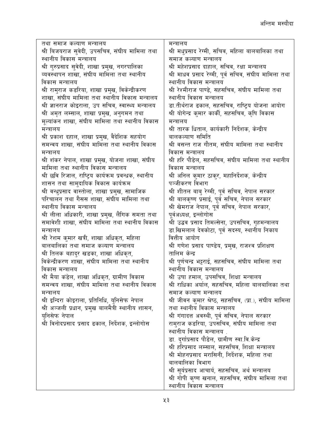| तथा समाज कल्याण मन्त्रालय                             | मन्त्रालय                                              |
|-------------------------------------------------------|--------------------------------------------------------|
| श्री बिजयराज सुवेदी, उपसचिव, संघीय मामिला तथा         | श्री मधुप्रसाद रेग्मी, सचिव, महिला बालबालिका तथा       |
| स्थानीय विकास मन्त्रालय                               | समाज कल्याण मन्त्रालय                                  |
| श्री गुरुप्रसाद सुवेदी, शाखा प्रमुख, नगरपालिका        | श्री महेशप्रसाद दाहाल, सचिव, रक्षा मन्त्रालय           |
| व्यवस्थापन शाखा, संघीय मामिला तथा स्थानीय             | श्री माधव प्रसाद रेग्मी, पूर्व सचिव, संघीय मामिला तथा  |
| विकास मन्त्रालय                                       | स्थानीय विकास मन्त्रालय                                |
| श्री रामुराज कडरिया, शाखा प्रमुख, विकेन्द्रीकरण       | श्री रेश्मीराज पाण्डे, सहसचिव, संघीय मामिला तथा        |
| शाखा, संघीय मामिला तथा स्थानीय विकास मन्त्रालय        | स्थानीय विकास मन्त्रालय                                |
| श्री ज्ञानराज कोइराला, उप सचिव, स्वास्थ्य मन्त्रालय   | डा.तीर्थराज ढकाल, सहसचिव, राष्ट्रिय योजना आयोग         |
| श्री अमृत लम्साल, शाखा प्रमुख, अनुगमन तथा             | श्री योगेन्द्र कुमार कार्की, सहसचिव, कृषि विकास        |
| मूल्यांकन शाखा, संघीय मामिला तथा स्थानीय विकास        | मन्त्रालय                                              |
| मन्त्रालय                                             | श्री तारक धिताल, कार्यकारी निर्देशक, केन्द्रीय         |
| श्री प्रकाश दहाल, शाखा प्रमुख, वैदेशिक सहयोग          | बालकल्याण समिति                                        |
| समन्वय शाखा, संघीय मामिला तथा स्थानीय विकास           | श्री वसन्त राज गौतम, संघीय मामिला तथा स्थानीय          |
| मन्त्रालय                                             | विकास मन्त्रालय                                        |
| श्री शंकर नेपाल, शाखा प्रमुख, योजना शाखा, संघीय       | श्री हरि पौडेल, सहसचिव, संघीय मामिला तथा स्थानीय       |
| मामिला तथा स्थानीय विकास मन्त्रालय                    | विकास मन्त्रालय                                        |
| श्री छवि रिजाल, राष्ट्रिय कार्यक्रम प्रवन्धक, स्थानीय | श्री अनिल कुमार ठाकुर, महानिर्देशक, केन्द्रीय          |
| शासन तथा सामुदायिक विकास कार्यक्रम                    | पञ्जीकरण विभाग                                         |
| श्री वन्धुप्रसाद वास्तोला, शाखा प्रमुख, सामाजिक       | श्री शीतल बाबु रेग्मी, पूर्व सचिव, नेपाल सरकार         |
| परिचालन तथा गैसस शाखा, संघीय मामिला तथा               | श्री बालकृष्ण प्रसाई, पूर्व सचिव, नेपाल सरकार          |
| स्थानीय विकास मन्त्रालय                               | श्री खेमराज नेपाल, पूर्व सचिव, नेपाल सरकार,            |
| श्री लीला अधिकारी, शाखा प्रमुख, लैंगिक समता तथा       | पूर्वअध्यक्ष, इन्लोगोस                                 |
| समावेशी शाखा, संघीय मामिला तथा स्थानीय विकास          | श्री उद्धव प्रसाद तिमल्सेना, उपसचिव, गृहमन्त्रालय      |
| मन्त्रालय                                             | डा.खिमलाल देवकोटा, पूर्व सदस्य, स्थानीय निकाय          |
| श्री रेशम कुमार खत्री, शाखा अधिकृत, महिला             | वित्तीय आयोग                                           |
| बालबालिका तथा समाज कल्याण मन्त्रालय                   | श्री गणेश प्रसाद पाण्डेय, प्रमुख, राजश्व प्रशिक्षण     |
| श्री तिलक बहादुर खडका, शाखा अधिकृत,                   | तालिम केन्द्र                                          |
| विकेन्द्रीकरण शाखा, संघीय मामिला तथा स्थानीय          | श्री पूर्णचन्द्र भट्टराई, सहसचिव, संघीय मामिला तथा     |
| विकास मन्त्रालय                                       | स्थानीय विकास मन्त्रालय                                |
| श्री मैया कंडेल, शाखा अधिकृत, ग्रामीण विकास           | श्री उषा हमाल, उपसचिव, शिक्षा मन्त्रालय                |
| समन्वय शाखा, संघीय मामिला तथा स्थानीय विकास           | श्री राधिका अर्याल, सहसचिव, महिला बालबालिका तथा        |
| मन्त्रालय                                             | समाज कल्याण मन्त्रालय                                  |
| श्री इन्दिरा कोइराला, प्रतिनिधि, युनिसेफ नेपाल        | श्री जीवन कुमार श्रेष्ठ, सहसचिव, (प्रा.), संघीय मामिला |
| श्री अञ्जली प्रधान, प्रमुख बालमैत्री स्थानीय शासन,    | तथा स्थानीय विकास मन्त्रालय                            |
| यनिसेफ नेपाल                                          | श्री गंगादत्त अवस्थी, पूर्व सचिव, नेपाल सरकार          |
| श्री विनोदप्रसाद प्रसाद ढकाल, निर्देशक, इन्लोगोस      | रामुराज कडरिया, उपसचिव, संघीय मामिला तथा               |
|                                                       | स्थानीय विकास मन्त्रालय                                |
|                                                       | डा. दुर्गाप्रसाद पौडेल, ग्रामीण स्वा.वि.केन्द्र        |
|                                                       | श्री हरिप्रसाद लम्साल, सहसचिव, शिक्षा मन्त्रालय        |
|                                                       | श्री मोहनप्रसाद मरासिनी, निर्देशक, महिला तथा           |
|                                                       | बालबालिका विभाग                                        |
|                                                       | श्री सूर्यप्रसाद आचार्य, सहसचिव, अर्थ मन्त्रालय        |
|                                                       | श्री गोपी कृष्ण खनाल, सहसचिव, संघीय मामिला तथा         |
|                                                       | स्थानीय विकास मन्त्रालय                                |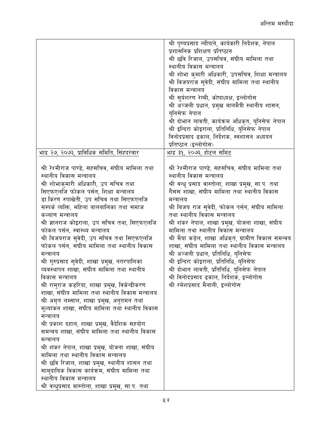|                                                   | श्री पुण्यप्रसाद न्यौपाने, कार्यकारी निर्देशक, नेपाल |
|---------------------------------------------------|------------------------------------------------------|
|                                                   | प्रशासनिक प्रशिक्षण प्रतिष्ठान                       |
|                                                   | श्री छवि रिजाल, उपसचिव, संघीय मामिला तथा             |
|                                                   | स्थानीय विकास मन्त्रालय                              |
|                                                   | श्री शोभा कुमारी अधिकारी, उपसचिव, शिक्षा मन्त्रालय   |
|                                                   | श्री विजयराज सुवेदी, संघीय मामिला तथा स्थानीय        |
|                                                   | विकास मन्त्रालय                                      |
|                                                   | श्री सूर्यशरण रेग्मी, कोषाध्यक्ष, इन्लोगोस           |
|                                                   | श्री अञ्जली प्रधान, प्रमुख बालमैत्री स्थानीय शासन,   |
|                                                   | यनिसेफ नेपाल                                         |
|                                                   | श्री दोभान लावती, कार्यक्रम अधिकृत, युनिसेफ नेपाल    |
|                                                   | श्री इन्दिरा कोइराला, प्रतिनिधि, युनिसेफ नेपाल       |
|                                                   | विनोदप्रसाद ढकाल, निर्देशक, स्वशासन अध्ययन           |
|                                                   | प्रतिष्ठान (इन्लोगोस)                                |
| भाद्र २७, २०७३, प्राविधिक समिति, सिंहदरवार        | भाद्र ३१, २०७३, होटल समिट                            |
|                                                   |                                                      |
| श्री रेश्मीराज पाण्डे, सहसचिव, संघीय मामिला तथा   | श्री रेश्मीराज पाण्डे, सहसचिव, संघीय मामिला तथा      |
| स्थानीय विकास मन्त्रालय                           | स्थानीय विकास मन्त्रालय                              |
| श्री शोभाकुमारी अधिकारी, उप सचिव तथा              | श्री वन्धु प्रसाद वास्तोला, शाखा प्रमुख, सा.प. तथा   |
| सिएफएलजि फोकल पर्सन, शिक्षा मन्त्रालय             | गैसस शाखा, संघीय मामिला तथा स्थानीय विकास            |
| डा.किरण रुपाखेती, उप सचिव तथा सिएफएलजि            | मन्त्रालय                                            |
| सम्पर्क व्यक्ति, महिला बालबालिका तथा समाज         | श्री बिजय राज सुवेदी, फोकल पर्सन, संघीय मामिला       |
| कल्याण मन्त्रालय                                  | तथा स्थानीय विकास मन्त्रालय                          |
| श्री ज्ञानराज कोइराला, उप सचिव तथा, सिएफएलजि      | श्री शंकर नेपाल, शाखा प्रमुख, योजना शाखा, संघीय      |
| फोकल पर्सन, स्वास्थ्य मन्त्रालय                   | मामिला तथा स्थानीय विकास मन्त्रालय                   |
| श्री बिजयराज सुवेदी, उप सचिव तथा सिएफएलजि         | श्री मैया कडेल, शाखा अधिकृत, ग्रामीण विकास समन्वय    |
| फोकल पर्सन, संघीय मामिला तथा स्थानीय विकास        | शाखा, संघीय मामिला तथा स्थानीय विकास मन्त्रालय       |
| मन्त्रालय                                         | श्री अञ्जली प्रधान, प्रतिनिधि, युनिसेफ               |
| श्री गुरुप्रसाद सुवेदी, शाखा प्रमुख, नगरपालिका    | श्री इन्दिरा कोइराला, प्रतिनिधि, युनिसेफ             |
| व्यवस्थापन शाखा, संघीय मामिला तथा स्थानीय         | श्री दोभान लावती, प्रतिनिधि, युनिसेफ नेपाल           |
| विकास मन्त्रालय                                   | श्री विनोदप्रसाद ढकाल, निर्देशक, इन्लोगोस            |
| श्री रामुराज कडरिया, शाखा प्रमुख, विकेन्द्रीकरण   | श्री रमेशप्रसाद मैनाली, इन्लोगोस                     |
| शाखा, संघीय मामिला तथा स्थानीय विकास मन्त्रालय    |                                                      |
| श्री अमृत लम्साल, शाखा प्रमुख, अनुगमन तथा         |                                                      |
| मूल्यांकन शाखा, संघीय मामिला तथा स्थानीय विकास    |                                                      |
| मन्त्रालय                                         |                                                      |
| श्री प्रकाश दहाल, शाखा प्रमुख, वैदेशिक सहयोग      |                                                      |
| समन्वय शाखा, संघीय मामिला तथा स्थानीय विकास       |                                                      |
| मन्त्रालय                                         |                                                      |
| श्री शंकर नेपाल, शाखा प्रमुख, योजना शाखा, संघीय   |                                                      |
| मामिला तथा स्थानीय विकास मन्त्रालय                |                                                      |
| श्री छवि रिजाल, शाखा प्रमुख, स्थानीय शासन तथा     |                                                      |
| सामुदायिक विकास कार्यक्रम, संघीय मामिला तथा       |                                                      |
| स्थानीय विकास मन्त्रालय                           |                                                      |
| श्री वन्धुप्रसाद वास्तोला, शाखा प्रमुख, सा.प. तथा |                                                      |
|                                                   |                                                      |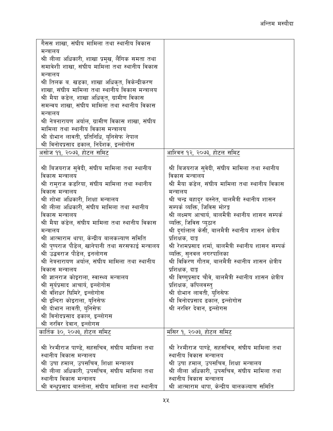| गैसस शाखा, संघीय मामिला तथा स्थानीय विकास           |                                                          |
|-----------------------------------------------------|----------------------------------------------------------|
| मन्त्रालय                                           |                                                          |
| श्री लीला अधिकारी, शाखा प्रमुख, लैंगिक समता तथा     |                                                          |
| समावेशी शाखा, संघीय मामिला तथा स्थानीय विकास        |                                                          |
| मन्त्रालय                                           |                                                          |
| श्री तिलक ब. खडका, शाखा अधिकृत, विकेन्द्रीकरण       |                                                          |
| शाखा, संघीय मामिला तथा स्थानीय विकास मन्त्रालय      |                                                          |
| श्री मैया कडेल, शाखा अधिकृत, ग्रामीण विकास          |                                                          |
| समन्वय शाखा, संघीय मामिला तथा स्थानीय विकास         |                                                          |
| मन्त्रालय                                           |                                                          |
| श्री नेत्रनारायण अर्याल, ग्रामीण विकास शाखा, संघीय  |                                                          |
| मामिला तथा स्थानीय विकास मन्त्रालय                  |                                                          |
| श्री दोभान लावती, प्रतिनिधि, युनिसेफ नेपाल          |                                                          |
| श्री विनोदप्रसाद ढकाल, निर्देशक, इन्लोगोस           |                                                          |
| असोज ११, २०७३, होटल समिट                            | आश्विन १२, २०७३, होटल समिट                               |
|                                                     |                                                          |
| श्री बिजयराज सुवेदी, संघीय मामिला तथा स्थानीय       | श्री बिजयराज सुवेदी, संघीय मामिला तथा स्थानीय            |
| विकास मन्त्रालय                                     | विकास मन्त्रालय                                          |
| श्री रामुराज कडरिया, संघीय मामिला तथा स्थानीय       | श्री मैया कंडेल, संघीय मामिला तथा स्थानीय विकास          |
| विकास मन्त्रालय                                     | मन्त्रालय                                                |
| श्री शोभा अधिकारी, शिक्षा मन्त्रालय                 | श्री चन्द्र बहादुर बस्नेत, बालमैत्री स्थानीय शासन        |
| श्री लीला अधिकारी, संघीय मामिला तथा स्थानीय         | सम्पर्क व्यक्ति, जिविस मोरङ्ग                            |
| विकास मन्त्रालय                                     | श्री लक्ष्मण आचार्य, बालमैत्री स्थानीय शासन सम्पर्क      |
| श्री मैया कंडेल, संघीय मामिला तथा स्थानीय विकास     | व्यक्ति, जिविस प्युठान                                   |
| मन्त्रालय                                           | श्री दुर्गालाल केसी, बालमैत्री स्थानीय शासन क्षेत्रीय    |
| श्री आत्माराम थापा, केन्द्रीय बालकल्याण समिति       | प्रशिक्षक, दाङ्ग                                         |
| श्री पुष्पराज पौडेल, खानेपानी तथा सरसफाई मन्त्रालय  | श्री रेशमप्रसाद शर्मा, बालमैत्री स्थानीय शासन सम्पर्क    |
| श्री उद्धवराज पौडेल, इनलोगस                         | व्यक्ति, सुनवल नगरपालिका                                 |
| श्री नेत्रनारायण अर्याल, संघीय मामिला तथा स्थानीय   | श्री विकिरण गौतम, बालमैत्री स्थानीय शासन क्षेत्रीय       |
| विकास मन्त्रालय                                     | प्रशिक्षक, दाङ्ग                                         |
| श्री ज्ञानराज कोइराला, स्वास्थ्य मन्त्रालय          | श्री विष्णुप्रसाद चौवे, बालमैत्री स्थानीय शासन क्षेत्रीय |
| श्री सूर्यप्रसाद आचार्य, इन्लोगोस                   | प्रशिक्षक, कपिलवस्तु                                     |
| श्री वंशिधर घिमिरे, इन्लोगोस                        | श्री दोभान लावती, युनिसेफ                                |
| श्री इन्दिरा कोइराला, युनिसेफ                       | श्री विनोदप्रसाद ढकाल, इन्लोगोस                          |
| श्री दोभान लावती, युनिसेफ                           | श्री नरविर देवान, इन्लोगस                                |
| श्री विनोदप्रसाद ढकाल, इन्लोगस                      |                                                          |
| श्री नरविर देवान, इन्लोगस                           |                                                          |
| कार्तिक ३०, २०७३, होटल समिट                         | मंसिर १, २०७३, होटल समिट                                 |
|                                                     |                                                          |
| श्री रेश्मीराज पाण्डे, सहसचिव, संघीय मामिला तथा     | श्री रेश्मीराज पाण्डे, सहसचिव, संघीय मामिला तथा          |
| स्थानीय विकास मन्त्रालय                             | स्थानीय विकास मन्त्रालय                                  |
| श्री उषा हमाल, उपसचिव, शिक्षा मन्त्रालय             | श्री उषा हमाल, उपसचिव, शिक्षा मन्त्रालय                  |
| श्री लीला अधिकारी, उपसचिव, संघीय मामिला तथा         | श्री लीला अधिकारी, उपसचिव, संघीय मामिला तथा              |
| स्थानीय विकास मन्त्रालय                             | स्थानीय विकास मन्त्रालय                                  |
| श्री वन्धुप्रसाद बास्तोला, संघीय मामिला तथा स्थानीय | श्री आत्माराम थापा, केन्द्रीय बालकल्याण समिति            |